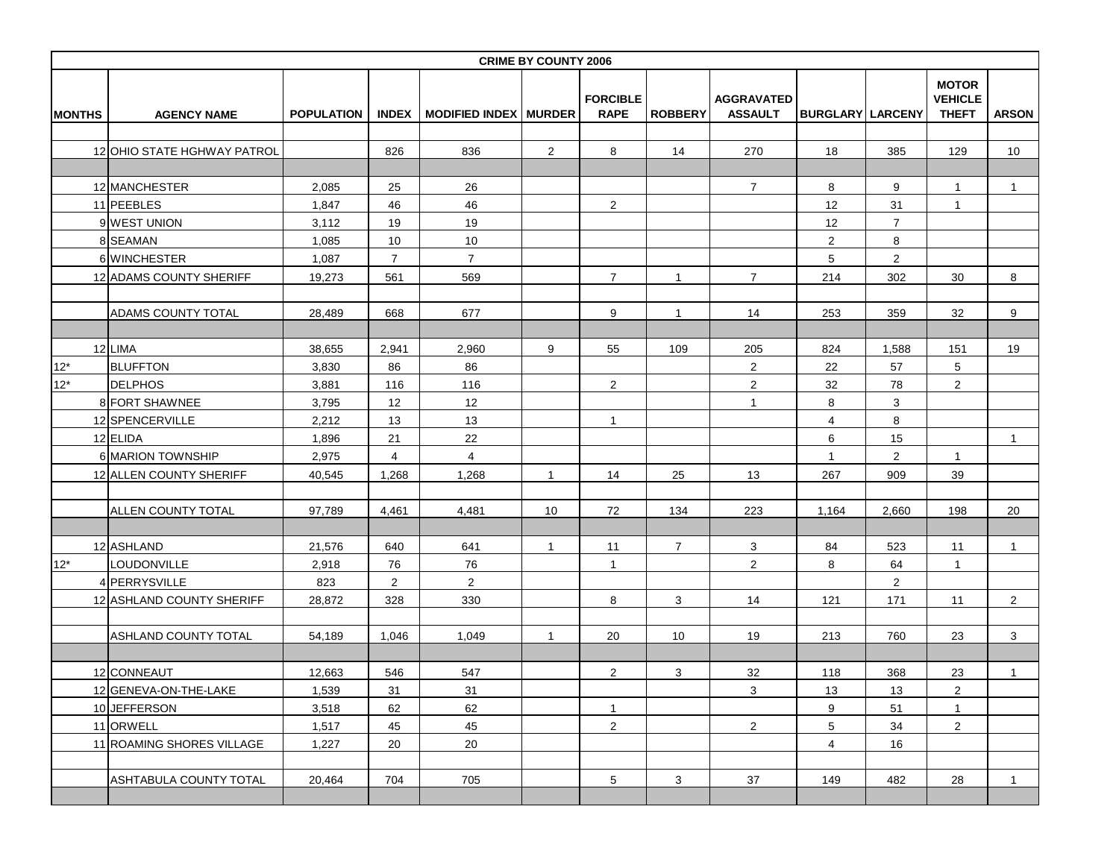|               |                             |                   |                |                              | <b>CRIME BY COUNTY 2006</b> |                                |                |                                     |                         |                |                                                |                |
|---------------|-----------------------------|-------------------|----------------|------------------------------|-----------------------------|--------------------------------|----------------|-------------------------------------|-------------------------|----------------|------------------------------------------------|----------------|
| <b>MONTHS</b> | <b>AGENCY NAME</b>          | <b>POPULATION</b> | <b>INDEX</b>   | <b>MODIFIED INDEX MURDER</b> |                             | <b>FORCIBLE</b><br><b>RAPE</b> | <b>ROBBERY</b> | <b>AGGRAVATED</b><br><b>ASSAULT</b> | <b>BURGLARY LARCENY</b> |                | <b>MOTOR</b><br><b>VEHICLE</b><br><b>THEFT</b> | <b>ARSON</b>   |
|               |                             |                   |                |                              |                             |                                |                |                                     |                         |                |                                                |                |
|               | 12 OHIO STATE HGHWAY PATROL |                   | 826            | 836                          | $\overline{2}$              | 8                              | 14             | 270                                 | 18                      | 385            | 129                                            | 10             |
|               |                             |                   |                |                              |                             |                                |                |                                     |                         |                |                                                |                |
|               | 12 MANCHESTER               | 2,085             | 25             | 26                           |                             |                                |                | $\overline{7}$                      | 8                       | 9              | $\mathbf{1}$                                   | $\mathbf{1}$   |
|               | 11 PEEBLES                  | 1,847             | 46             | 46                           |                             | $\overline{c}$                 |                |                                     | 12                      | 31             | $\mathbf{1}$                                   |                |
|               | 9 WEST UNION                | 3,112             | 19             | 19                           |                             |                                |                |                                     | 12                      | $\overline{7}$ |                                                |                |
|               | 8 SEAMAN                    | 1,085             | 10             | $10$                         |                             |                                |                |                                     | $\overline{2}$          | 8              |                                                |                |
|               | 6 WINCHESTER                | 1,087             | $\overline{7}$ | $\overline{7}$               |                             |                                |                |                                     | 5                       | $\overline{a}$ |                                                |                |
|               | 12 ADAMS COUNTY SHERIFF     | 19,273            | 561            | 569                          |                             | $\overline{7}$                 | $\mathbf{1}$   | $\overline{7}$                      | 214                     | 302            | 30                                             | 8              |
|               | ADAMS COUNTY TOTAL          | 28,489            | 668            | 677                          |                             | 9                              | $\mathbf{1}$   | 14                                  | 253                     | 359            | 32                                             | 9              |
|               |                             |                   |                |                              |                             |                                |                |                                     |                         |                |                                                |                |
|               | 12 LIMA                     | 38,655            | 2,941          | 2,960                        | 9                           | 55                             | 109            | 205                                 | 824                     | 1,588          | 151                                            | 19             |
| $12*$         | <b>BLUFFTON</b>             | 3,830             | 86             | 86                           |                             |                                |                | $\overline{2}$                      | 22                      | 57             | $\sqrt{5}$                                     |                |
| $12*$         | <b>DELPHOS</b>              | 3,881             | 116            | 116                          |                             | $\mathbf{2}$                   |                | $\overline{a}$                      | 32                      | 78             | $\overline{2}$                                 |                |
|               | 8 FORT SHAWNEE              | 3,795             | 12             | 12                           |                             |                                |                | $\mathbf{1}$                        | 8                       | 3              |                                                |                |
|               | 12 SPENCERVILLE             | 2,212             | 13             | 13                           |                             | $\mathbf{1}$                   |                |                                     | $\overline{4}$          | 8              |                                                |                |
|               | 12 ELIDA                    | 1,896             | 21             | 22                           |                             |                                |                |                                     | 6                       | 15             |                                                | $\mathbf{1}$   |
|               | 6 MARION TOWNSHIP           | 2,975             | 4              | $\overline{4}$               |                             |                                |                |                                     | $\mathbf{1}$            | $\overline{2}$ | $\mathbf{1}$                                   |                |
|               | 12 ALLEN COUNTY SHERIFF     | 40,545            | 1,268          | 1,268                        | 1                           | 14                             | 25             | 13                                  | 267                     | 909            | 39                                             |                |
|               | ALLEN COUNTY TOTAL          | 97,789            | 4,461          | 4,481                        | 10                          | 72                             | 134            | 223                                 | 1,164                   | 2,660          | 198                                            | 20             |
|               | 12 ASHLAND                  | 21,576            | 640            | 641                          | $\mathbf{1}$                | 11                             | $\overline{7}$ | $\mathbf{3}$                        | 84                      | 523            | 11                                             | $\mathbf{1}$   |
| $12*$         | LOUDONVILLE                 | 2,918             | 76             | 76                           |                             | $\mathbf{1}$                   |                | 2 <sup>1</sup>                      | 8                       | 64             | $\mathbf{1}$                                   |                |
|               | 4 PERRYSVILLE               | 823               | $\overline{2}$ | $\overline{2}$               |                             |                                |                |                                     |                         | $\overline{2}$ |                                                |                |
|               | 12 ASHLAND COUNTY SHERIFF   | 28,872            | 328            | 330                          |                             | 8                              | 3              | 14                                  | 121                     | 171            | 11                                             | $\overline{2}$ |
|               |                             |                   |                |                              |                             |                                |                |                                     |                         |                |                                                |                |
|               | ASHLAND COUNTY TOTAL        | 54,189            | 1,046          | 1,049                        | $\mathbf{1}$                | 20                             | 10             | 19                                  | 213                     | 760            | 23                                             | 3              |
|               |                             |                   |                |                              |                             |                                |                |                                     |                         |                |                                                |                |
|               | 12 CONNEAUT                 | 12,663            | 546            | 547                          |                             | $\overline{2}$                 | 3              | 32                                  | 118                     | 368            | 23                                             | $\mathbf{1}$   |
|               | 12 GENEVA-ON-THE-LAKE       | 1,539             | 31             | 31                           |                             |                                |                | $\mathbf{3}$                        | 13                      | 13             | $\overline{2}$                                 |                |
|               | 10 JEFFERSON                | 3,518             | 62             | 62                           |                             | $\mathbf{1}$                   |                |                                     | 9                       | 51             | $\mathbf{1}$                                   |                |
|               | 11 ORWELL                   | 1,517             | 45             | 45                           |                             | $\mathbf{2}$                   |                | $\overline{2}$                      | 5 <sub>5</sub>          | 34             | $\overline{2}$                                 |                |
|               | 11 ROAMING SHORES VILLAGE   | 1,227             | 20             | 20                           |                             |                                |                |                                     | $\overline{4}$          | 16             |                                                |                |
|               | ASHTABULA COUNTY TOTAL      | 20,464            | 704            | 705                          |                             | $5\overline{)}$                | 3              | 37                                  | 149                     | 482            | 28                                             | $\mathbf{1}$   |
|               |                             |                   |                |                              |                             |                                |                |                                     |                         |                |                                                |                |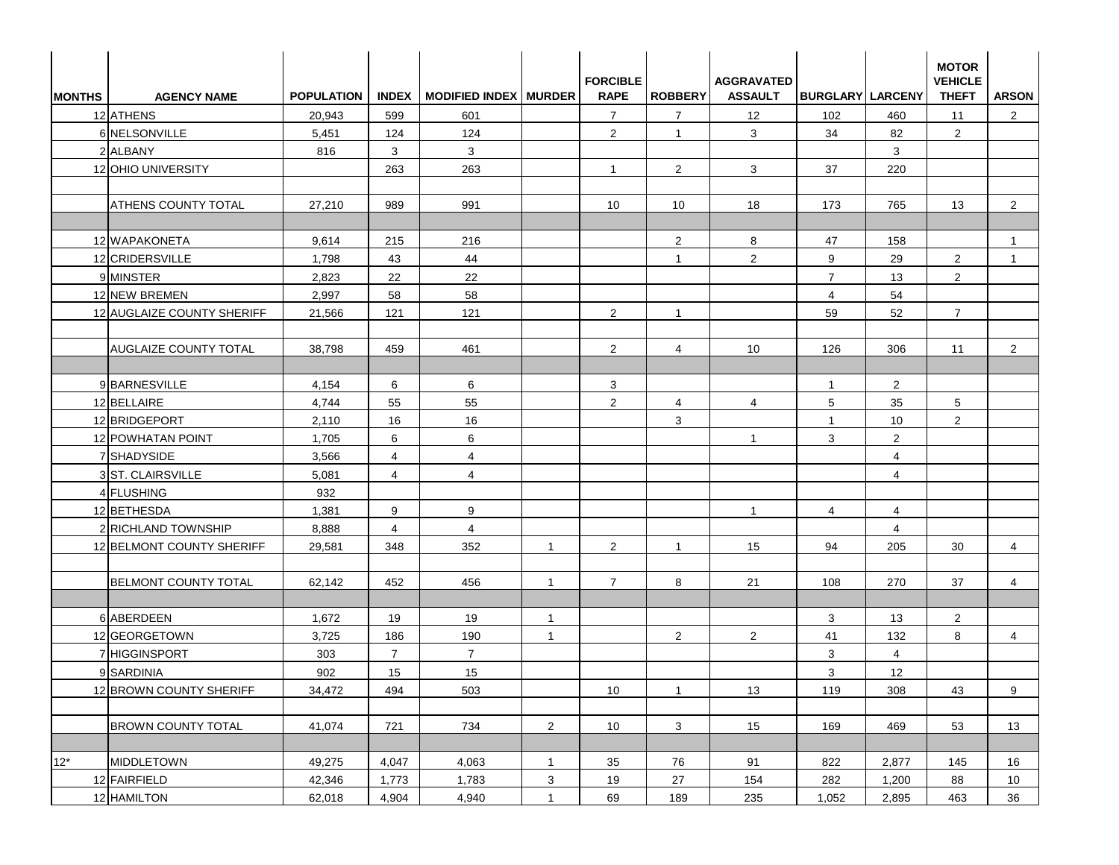| <b>MONTHS</b> | <b>AGENCY NAME</b>           | <b>POPULATION</b> |                | INDEX   MODIFIED INDEX   MURDER |                | <b>FORCIBLE</b><br><b>RAPE</b> | <b>ROBBERY</b> | <b>AGGRAVATED</b><br><b>ASSAULT</b> | <b>BURGLARY LARCENY</b> |                | <b>MOTOR</b><br><b>VEHICLE</b><br><b>THEFT</b> | <b>ARSON</b>   |
|---------------|------------------------------|-------------------|----------------|---------------------------------|----------------|--------------------------------|----------------|-------------------------------------|-------------------------|----------------|------------------------------------------------|----------------|
|               | 12 ATHENS                    | 20,943            | 599            | 601                             |                | $\overline{7}$                 | $\overline{7}$ | 12                                  | 102                     | 460            | 11                                             | $\overline{2}$ |
|               | 6 NELSONVILLE                | 5,451             | 124            | 124                             |                | 2                              | $\mathbf{1}$   | 3                                   | 34                      | 82             | $\overline{2}$                                 |                |
|               | 2 ALBANY                     | 816               | 3              | 3                               |                |                                |                |                                     |                         | 3              |                                                |                |
|               | 12 OHIO UNIVERSITY           |                   | 263            | 263                             |                | $\mathbf{1}$                   | $\overline{2}$ | 3                                   | 37                      | 220            |                                                |                |
|               | <b>ATHENS COUNTY TOTAL</b>   | 27,210            | 989            | 991                             |                | 10                             | 10             | 18                                  | 173                     | 765            | 13                                             | $\overline{2}$ |
|               | 12 WAPAKONETA                | 9,614             | 215            | 216                             |                |                                | $\overline{2}$ | 8                                   | 47                      | 158            |                                                | $\mathbf{1}$   |
|               | 12 CRIDERSVILLE              | 1,798             | 43             | 44                              |                |                                | $\mathbf{1}$   | $\overline{2}$                      | 9                       | 29             | $\overline{2}$                                 | $\overline{1}$ |
|               | 9 MINSTER                    | 2,823             | 22             | 22                              |                |                                |                |                                     | $\overline{7}$          | 13             | 2                                              |                |
|               | 12 NEW BREMEN                | 2,997             | 58             | 58                              |                |                                |                |                                     | $\overline{4}$          | 54             |                                                |                |
|               | 12 AUGLAIZE COUNTY SHERIFF   | 21,566            | 121            | 121                             |                | 2                              | $\mathbf{1}$   |                                     | 59                      | 52             | $\overline{7}$                                 |                |
|               | <b>AUGLAIZE COUNTY TOTAL</b> | 38,798            | 459            | 461                             |                | $\overline{2}$                 | $\overline{4}$ | 10                                  | 126                     | 306            | 11                                             | $\overline{2}$ |
|               | 9BARNESVILLE                 | 4,154             | 6              | 6                               |                | 3                              |                |                                     | $\mathbf{1}$            | $\overline{2}$ |                                                |                |
|               | 12 BELLAIRE                  | 4,744             | 55             | 55                              |                | 2                              | $\overline{4}$ | $\overline{4}$                      | 5                       | 35             | 5 <sup>5</sup>                                 |                |
|               | 12 BRIDGEPORT                | 2,110             | 16             | 16                              |                |                                | 3              |                                     | $\overline{1}$          | 10             | $\overline{2}$                                 |                |
|               | 12 POWHATAN POINT            | 1,705             | 6              | 6                               |                |                                |                | $\mathbf{1}$                        | 3                       | $\overline{2}$ |                                                |                |
|               | 7 SHADYSIDE                  | 3,566             | $\overline{4}$ | 4                               |                |                                |                |                                     |                         | 4              |                                                |                |
|               | 3 ST. CLAIRSVILLE            | 5,081             | $\overline{4}$ | $\overline{4}$                  |                |                                |                |                                     |                         | $\overline{4}$ |                                                |                |
|               | 4 FLUSHING                   | 932               |                |                                 |                |                                |                |                                     |                         |                |                                                |                |
|               | 12 BETHESDA                  | 1,381             | 9              | 9                               |                |                                |                | $\mathbf{1}$                        | $\overline{4}$          | $\overline{4}$ |                                                |                |
|               | 2 RICHLAND TOWNSHIP          | 8,888             | $\overline{4}$ | $\overline{4}$                  |                |                                |                |                                     |                         | $\overline{4}$ |                                                |                |
|               | 12 BELMONT COUNTY SHERIFF    | 29,581            | 348            | 352                             | $\overline{1}$ | 2                              | $\mathbf{1}$   | 15                                  | 94                      | 205            | 30                                             | $\overline{4}$ |
|               | <b>BELMONT COUNTY TOTAL</b>  | 62,142            | 452            | 456                             | $\mathbf{1}$   | $\overline{7}$                 | 8              | 21                                  | 108                     | 270            | 37                                             | $\overline{4}$ |
|               | 6 ABERDEEN                   | 1,672             | 19             | 19                              | $\mathbf{1}$   |                                |                |                                     | 3                       | 13             | $\overline{2}$                                 |                |
|               | 12 GEORGETOWN                | 3,725             | 186            | 190                             | $\mathbf{1}$   |                                | $\overline{2}$ | $\overline{2}$                      | 41                      | 132            | 8                                              | $\overline{4}$ |
|               | 7 HIGGINSPORT                | 303               | $\overline{7}$ | $\overline{7}$                  |                |                                |                |                                     | 3                       | 4              |                                                |                |
|               | 9 SARDINIA                   | 902               | 15             | 15                              |                |                                |                |                                     | $\mathbf{3}$            | 12             |                                                |                |
|               | 12 BROWN COUNTY SHERIFF      | 34,472            | 494            | 503                             |                | 10                             | $\overline{1}$ | 13                                  | 119                     | 308            | 43                                             | 9              |
|               | <b>BROWN COUNTY TOTAL</b>    | 41,074            | 721            | 734                             | $\overline{2}$ | 10                             | $\mathbf{3}$   | 15                                  | 169                     | 469            | 53                                             | 13             |
| $12^*$        | MIDDLETOWN                   | 49,275            | 4,047          | 4,063                           | $\mathbf{1}$   | 35                             | 76             | 91                                  | 822                     | 2,877          | 145                                            | 16             |
|               | 12 FAIRFIELD                 | 42,346            | 1,773          | 1,783                           | $\mathbf{3}$   | 19                             | 27             | 154                                 | 282                     | 1,200          | 88                                             | 10             |
|               | 12 HAMILTON                  | 62,018            | 4,904          | 4,940                           | $\mathbf{1}$   | 69                             | 189            | 235                                 | 1,052                   | 2,895          | 463                                            | 36             |
|               |                              |                   |                |                                 |                |                                |                |                                     |                         |                |                                                |                |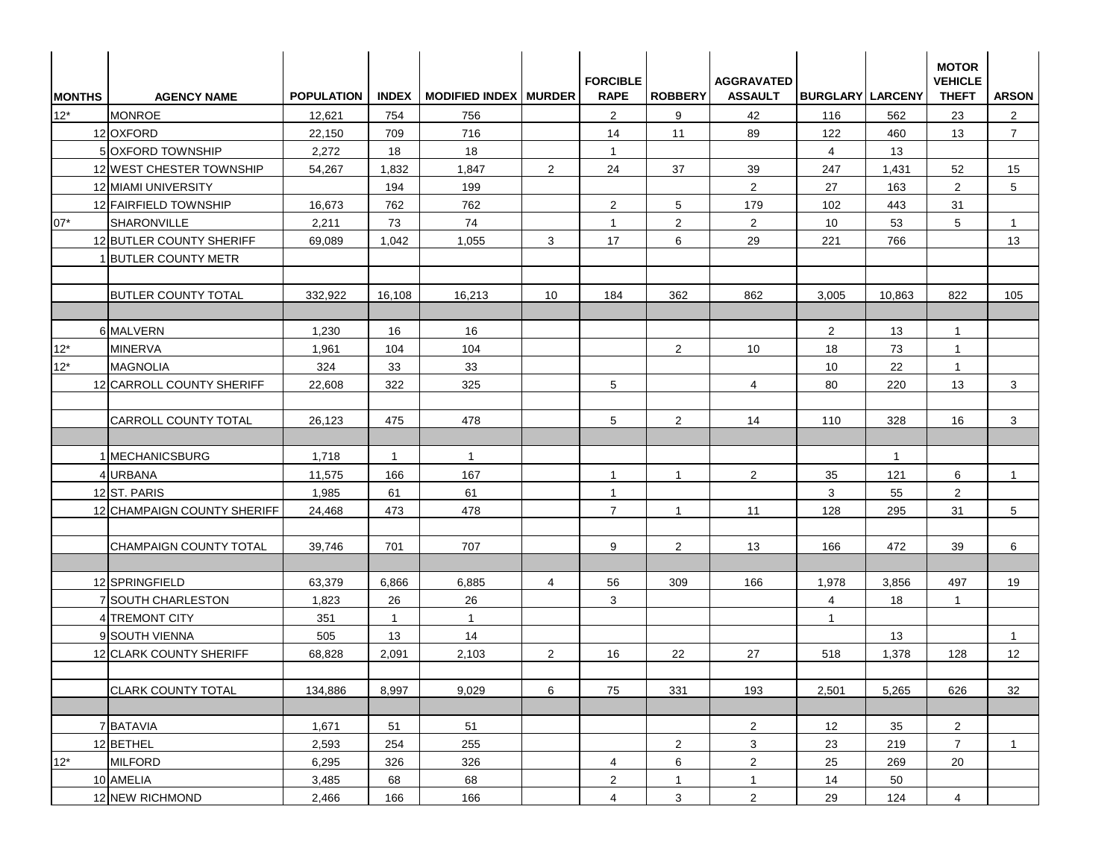| <b>MONTHS</b> | <b>AGENCY NAME</b>          | <b>POPULATION</b> |                | INDEX   MODIFIED INDEX   MURDER |                | <b>FORCIBLE</b><br><b>RAPE</b> | <b>ROBBERY</b> | <b>AGGRAVATED</b><br><b>ASSAULT</b> | <b>BURGLARY LARCENY</b> |              | <b>MOTOR</b><br><b>VEHICLE</b><br><b>THEFT</b> | <b>ARSON</b>   |
|---------------|-----------------------------|-------------------|----------------|---------------------------------|----------------|--------------------------------|----------------|-------------------------------------|-------------------------|--------------|------------------------------------------------|----------------|
| $12*$         | <b>MONROE</b>               | 12,621            | 754            | 756                             |                | 2                              | 9              | 42                                  | 116                     | 562          | 23                                             | $\overline{2}$ |
|               | 12 OXFORD                   | 22,150            | 709            | 716                             |                | 14                             | 11             | 89                                  | 122                     | 460          | 13                                             | $\overline{7}$ |
|               | 5 OXFORD TOWNSHIP           | 2,272             | 18             | 18                              |                | $\mathbf{1}$                   |                |                                     | $\overline{4}$          | 13           |                                                |                |
|               | 12 WEST CHESTER TOWNSHIP    | 54,267            | 1,832          | 1,847                           | $\overline{2}$ | 24                             | 37             | 39                                  | 247                     | 1,431        | 52                                             | 15             |
|               | 12 MIAMI UNIVERSITY         |                   | 194            | 199                             |                |                                |                | 2                                   | 27                      | 163          | 2                                              | 5              |
|               | 12 FAIRFIELD TOWNSHIP       | 16,673            | 762            | 762                             |                | $\overline{2}$                 | 5              | 179                                 | 102                     | 443          | 31                                             |                |
| $07*$         | SHARONVILLE                 | 2,211             | 73             | 74                              |                | $\mathbf{1}$                   | $\overline{c}$ | 2                                   | 10                      | 53           | 5 <sup>5</sup>                                 | $\overline{1}$ |
|               | 12 BUTLER COUNTY SHERIFF    | 69,089            | 1,042          | 1,055                           | 3              | 17                             | 6              | 29                                  | 221                     | 766          |                                                | 13             |
|               | <b>BUTLER COUNTY METR</b>   |                   |                |                                 |                |                                |                |                                     |                         |              |                                                |                |
|               | <b>BUTLER COUNTY TOTAL</b>  | 332,922           | 16,108         | 16,213                          | 10             | 184                            | 362            | 862                                 | 3,005                   | 10,863       | 822                                            | 105            |
|               | 6 MALVERN                   | 1,230             | 16             | 16                              |                |                                |                |                                     | $\overline{2}$          | 13           | $\mathbf{1}$                                   |                |
| $12*$         | <b>MINERVA</b>              | 1,961             | 104            | 104                             |                |                                | $\overline{2}$ | 10                                  | 18                      | 73           | $\mathbf{1}$                                   |                |
| $12*$         | <b>MAGNOLIA</b>             | 324               | 33             | 33                              |                |                                |                |                                     | 10                      | 22           | $\mathbf{1}$                                   |                |
|               | 12 CARROLL COUNTY SHERIFF   | 22,608            | 322            | 325                             |                | 5                              |                | $\overline{4}$                      | 80                      | 220          | 13                                             | 3              |
|               | <b>CARROLL COUNTY TOTAL</b> | 26,123            | 475            | 478                             |                | 5                              | $\overline{2}$ | 14                                  | 110                     | 328          | 16                                             | 3              |
|               | 1 MECHANICSBURG             | 1,718             | $\mathbf{1}$   | $\mathbf{1}$                    |                |                                |                |                                     |                         | $\mathbf{1}$ |                                                |                |
|               | 4 URBANA                    | 11,575            | 166            | 167                             |                | $\mathbf{1}$                   | $\mathbf{1}$   | $\overline{2}$                      | 35                      | 121          | 6                                              | $\mathbf{1}$   |
|               | 12 ST. PARIS                | 1,985             | 61             | 61                              |                | $\mathbf{1}$                   |                |                                     | 3                       | 55           | $\overline{2}$                                 |                |
|               | 12 CHAMPAIGN COUNTY SHERIFF | 24,468            | 473            | 478                             |                | $\overline{7}$                 | $\mathbf{1}$   | 11                                  | 128                     | 295          | 31                                             | 5              |
|               | CHAMPAIGN COUNTY TOTAL      | 39,746            | 701            | 707                             |                | 9                              | 2              | 13                                  | 166                     | 472          | 39                                             | 6              |
|               | 12 SPRINGFIELD              | 63,379            | 6,866          | 6,885                           | $\overline{4}$ | 56                             | 309            | 166                                 | 1,978                   | 3,856        | 497                                            | 19             |
|               | 7 SOUTH CHARLESTON          | 1,823             | 26             | 26                              |                | 3                              |                |                                     | $\overline{4}$          | 18           | $\mathbf{1}$                                   |                |
|               | 4 TREMONT CITY              | 351               | $\overline{1}$ | $\mathbf{1}$                    |                |                                |                |                                     | $\mathbf{1}$            |              |                                                |                |
|               | 9 SOUTH VIENNA              | 505               | 13             | 14                              |                |                                |                |                                     |                         | 13           |                                                | $\mathbf{1}$   |
|               | 12 CLARK COUNTY SHERIFF     | 68,828            | 2,091          | 2,103                           | $\overline{2}$ | 16                             | 22             | 27                                  | 518                     | 1,378        | 128                                            | 12             |
|               | <b>CLARK COUNTY TOTAL</b>   | 134,886           | 8,997          | 9,029                           | 6              | 75                             | 331            | 193                                 | 2,501                   | 5,265        | 626                                            | 32             |
|               | 7 BATAVIA                   | 1,671             | 51             | 51                              |                |                                |                | $\overline{2}$                      | 12                      | 35           | $\overline{2}$                                 |                |
|               | 12 BETHEL                   | 2,593             | 254            | 255                             |                |                                | $\overline{2}$ | $\mathbf{3}$                        | 23                      | 219          | 7 <sup>7</sup>                                 | $\mathbf{1}$   |
| $12^*$        | <b>MILFORD</b>              | 6,295             | 326            | 326                             |                | $\overline{4}$                 | 6              | $\overline{2}$                      | 25                      | 269          | 20                                             |                |
|               | 10 AMELIA                   | 3,485             | 68             | 68                              |                | $\overline{2}$                 | $\mathbf{1}$   | $\mathbf{1}$                        | 14                      | 50           |                                                |                |
|               | 12 NEW RICHMOND             | 2,466             | 166            | 166                             |                | $\overline{4}$                 | 3              | $\overline{2}$                      | 29                      | 124          | $\overline{4}$                                 |                |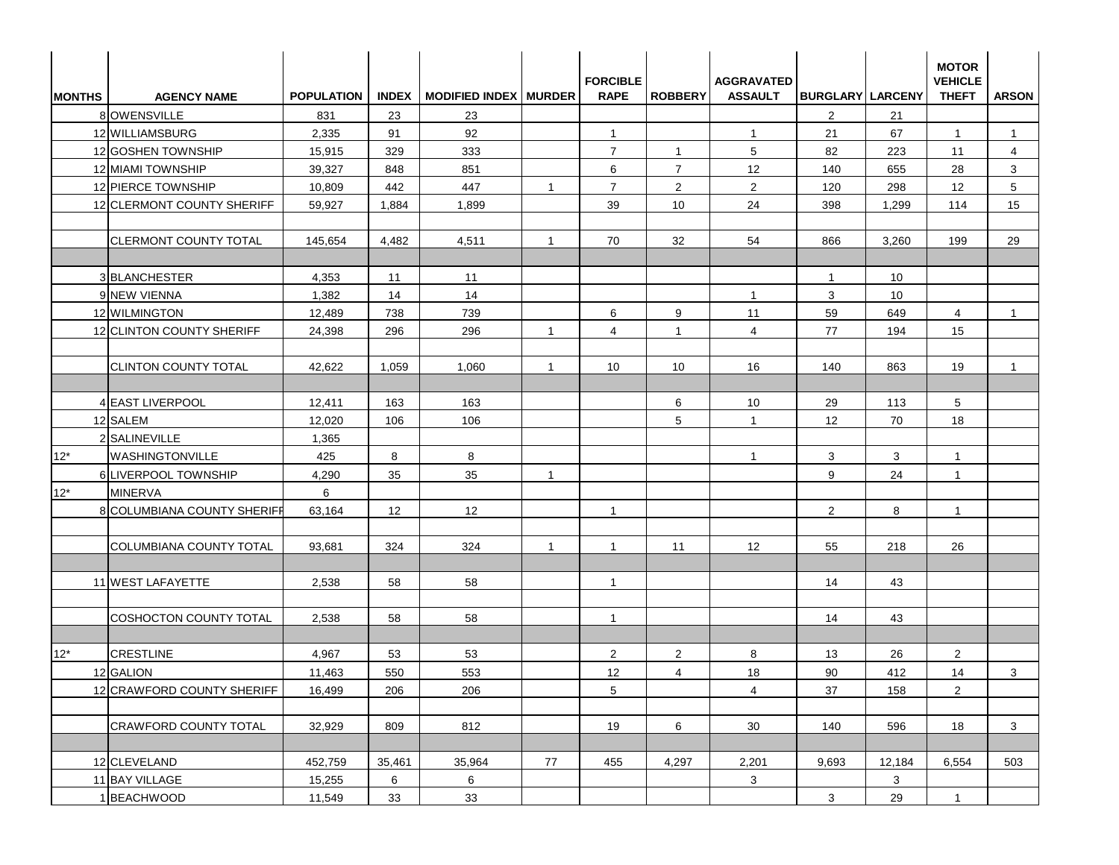| <b>MONTHS</b> | <b>AGENCY NAME</b>            | <b>POPULATION</b> |        | INDEX   MODIFIED INDEX   MURDER |                | <b>FORCIBLE</b><br><b>RAPE</b> | <b>ROBBERY</b> | <b>AGGRAVATED</b><br><b>ASSAULT</b> | <b>BURGLARY LARCENY</b> |        | <b>MOTOR</b><br><b>VEHICLE</b><br><b>THEFT</b> | <b>ARSON</b>   |
|---------------|-------------------------------|-------------------|--------|---------------------------------|----------------|--------------------------------|----------------|-------------------------------------|-------------------------|--------|------------------------------------------------|----------------|
|               | 8 OWENSVILLE                  | 831               | 23     | 23                              |                |                                |                |                                     | 2                       | 21     |                                                |                |
|               | 12 WILLIAMSBURG               | 2,335             | 91     | 92                              |                | $\mathbf{1}$                   |                | $\mathbf{1}$                        | 21                      | 67     | $\mathbf{1}$                                   | $\mathbf{1}$   |
|               | 12 GOSHEN TOWNSHIP            | 15,915            | 329    | 333                             |                | $\overline{7}$                 | $\mathbf{1}$   | 5                                   | 82                      | 223    | 11                                             | $\overline{4}$ |
|               | 12 MIAMI TOWNSHIP             | 39,327            | 848    | 851                             |                | 6                              | $\overline{7}$ | 12                                  | 140                     | 655    | 28                                             | 3              |
|               | 12 PIERCE TOWNSHIP            | 10,809            | 442    | 447                             | $\mathbf{1}$   | $\overline{7}$                 | $\overline{2}$ | 2                                   | 120                     | 298    | 12                                             | 5              |
|               | 12 CLERMONT COUNTY SHERIFF    | 59,927            | 1,884  | 1,899                           |                | 39                             | 10             | 24                                  | 398                     | 1,299  | 114                                            | 15             |
|               | <b>CLERMONT COUNTY TOTAL</b>  | 145,654           | 4,482  | 4,511                           | $\overline{1}$ | 70                             | 32             | 54                                  | 866                     | 3,260  | 199                                            | 29             |
|               | 3 BLANCHESTER                 | 4,353             | 11     | 11                              |                |                                |                |                                     | $\overline{1}$          | 10     |                                                |                |
|               | 9 NEW VIENNA                  | 1,382             | 14     | 14                              |                |                                |                | $\mathbf{1}$                        | 3                       | 10     |                                                |                |
|               | 12 WILMINGTON                 | 12,489            | 738    | 739                             |                | 6                              | 9              | 11                                  | 59                      | 649    | 4                                              | -1             |
|               | 12 CLINTON COUNTY SHERIFF     | 24,398            | 296    | 296                             | $\overline{1}$ | 4                              | $\mathbf{1}$   | $\overline{4}$                      | 77                      | 194    | 15                                             |                |
|               | <b>CLINTON COUNTY TOTAL</b>   | 42,622            | 1,059  | 1,060                           | $\overline{1}$ | 10 <sup>°</sup>                | 10             | 16                                  | 140                     | 863    | 19                                             | $\mathbf{1}$   |
|               | <b>4 EAST LIVERPOOL</b>       | 12,411            | 163    | 163                             |                |                                | 6              | 10                                  | 29                      | 113    | $5\overline{)}$                                |                |
|               | 12 SALEM                      | 12,020            | 106    | 106                             |                |                                | 5              | $\mathbf{1}$                        | 12                      | 70     | 18                                             |                |
|               | 2 SALINEVILLE                 | 1,365             |        |                                 |                |                                |                |                                     |                         |        |                                                |                |
| $12*$         | <b>WASHINGTONVILLE</b>        | 425               | 8      | 8                               |                |                                |                | $\mathbf{1}$                        | 3                       | 3      | $\mathbf{1}$                                   |                |
|               | 6 LIVERPOOL TOWNSHIP          | 4,290             | 35     | 35                              | $\overline{1}$ |                                |                |                                     | 9                       | 24     | $\mathbf{1}$                                   |                |
| $12^*$        | <b>MINERVA</b>                | 6                 |        |                                 |                |                                |                |                                     |                         |        |                                                |                |
|               | 8 COLUMBIANA COUNTY SHERIFF   | 63,164            | 12     | 12                              |                | $\mathbf{1}$                   |                |                                     | $\overline{2}$          | 8      | $\mathbf{1}$                                   |                |
|               | COLUMBIANA COUNTY TOTAL       | 93,681            | 324    | 324                             | $\overline{1}$ | $\mathbf{1}$                   | 11             | $12 \overline{ }$                   | 55                      | 218    | 26                                             |                |
|               | 11 WEST LAFAYETTE             | 2,538             | 58     | 58                              |                | $\mathbf{1}$                   |                |                                     | 14                      | 43     |                                                |                |
|               | <b>COSHOCTON COUNTY TOTAL</b> | 2,538             | 58     | 58                              |                | $\mathbf{1}$                   |                |                                     | 14                      | 43     |                                                |                |
| $12^{\star}$  | <b>CRESTLINE</b>              | 4,967             | 53     | 53                              |                | $\overline{2}$                 | $\overline{2}$ | 8                                   | 13                      | 26     | $\overline{2}$                                 |                |
|               | 12 GALION                     | 11,463            | 550    | 553                             |                | 12                             | $\overline{4}$ | 18                                  | $90\,$                  | 412    | 14                                             | 3 <sup>1</sup> |
|               | 12 CRAWFORD COUNTY SHERIFF    | 16,499            | 206    | 206                             |                | 5                              |                | $\overline{4}$                      | 37                      | 158    | $\overline{2}$                                 |                |
|               |                               |                   |        |                                 |                |                                |                |                                     |                         |        |                                                |                |
|               | CRAWFORD COUNTY TOTAL         | 32,929            | 809    | 812                             |                | 19                             | 6              | 30                                  | 140                     | 596    | 18                                             | 3              |
|               | 12 CLEVELAND                  | 452,759           | 35,461 | 35,964                          | 77             | 455                            | 4,297          | 2,201                               | 9,693                   | 12,184 | 6,554                                          | 503            |
|               | 11 BAY VILLAGE                | 15,255            | 6      | $6\overline{6}$                 |                |                                |                | $\mathbf{3}$                        |                         | 3      |                                                |                |
|               | 1 BEACHWOOD                   | 11,549            | 33     | 33                              |                |                                |                |                                     | 3 <sup>1</sup>          | 29     | $\mathbf{1}$                                   |                |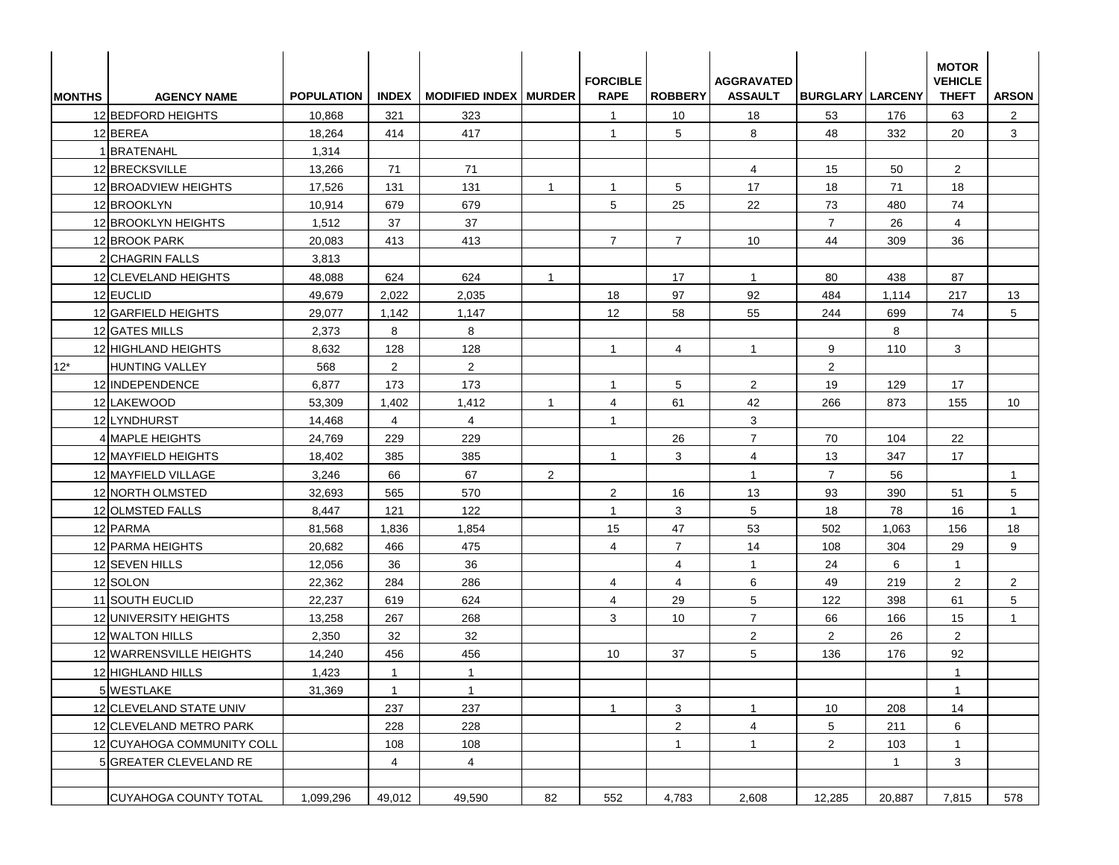| <b>IMONTHS</b> | <b>AGENCY NAME</b>         | <b>POPULATION</b> | <b>INDEX</b>   | <b>MODIFIED INDEX   MURDER</b> |                | <b>FORCIBLE</b><br><b>RAPE</b> | <b>ROBBERY</b> | <b>AGGRAVATED</b><br><b>ASSAULT</b> | <b>BURGLARY LARCENY</b> |              | <b>MOTOR</b><br><b>VEHICLE</b><br><b>THEFT</b> | <b>ARSON</b>   |
|----------------|----------------------------|-------------------|----------------|--------------------------------|----------------|--------------------------------|----------------|-------------------------------------|-------------------------|--------------|------------------------------------------------|----------------|
|                | 12 BEDFORD HEIGHTS         | 10,868            | 321            | 323                            |                | $\mathbf{1}$                   | 10             | 18                                  | 53                      | 176          | 63                                             | $\overline{2}$ |
|                | 12 BEREA                   | 18,264            | 414            | 417                            |                | $\mathbf{1}$                   | 5              | 8                                   | 48                      | 332          | 20                                             | 3              |
|                | 1 BRATENAHL                | 1,314             |                |                                |                |                                |                |                                     |                         |              |                                                |                |
|                | 12 BRECKSVILLE             | 13,266            | 71             | 71                             |                |                                |                | $\overline{4}$                      | 15                      | 50           | $\overline{2}$                                 |                |
|                | 12 BROADVIEW HEIGHTS       | 17,526            | 131            | 131                            | $\overline{1}$ | $\mathbf{1}$                   | 5              | 17                                  | 18                      | 71           | 18                                             |                |
|                | 12 BROOKLYN                | 10,914            | 679            | 679                            |                | 5                              | 25             | 22                                  | 73                      | 480          | 74                                             |                |
|                | 12 BROOKLYN HEIGHTS        | 1,512             | 37             | 37                             |                |                                |                |                                     | $\overline{7}$          | 26           | $\overline{4}$                                 |                |
|                | 12 BROOK PARK              | 20,083            | 413            | 413                            |                | $\overline{7}$                 | $\overline{7}$ | 10                                  | 44                      | 309          | 36                                             |                |
|                | 2 CHAGRIN FALLS            | 3,813             |                |                                |                |                                |                |                                     |                         |              |                                                |                |
|                | 12 CLEVELAND HEIGHTS       | 48,088            | 624            | 624                            | $\overline{1}$ |                                | 17             | $\mathbf{1}$                        | 80                      | 438          | 87                                             |                |
|                | 12 EUCLID                  | 49,679            | 2,022          | 2,035                          |                | 18                             | 97             | 92                                  | 484                     | 1,114        | 217                                            | 13             |
|                | 12 GARFIELD HEIGHTS        | 29,077            | 1,142          | 1,147                          |                | 12                             | 58             | 55                                  | 244                     | 699          | 74                                             | 5              |
|                | 12 GATES MILLS             | 2,373             | 8              | 8                              |                |                                |                |                                     |                         | 8            |                                                |                |
|                | 12 HIGHLAND HEIGHTS        | 8,632             | 128            | 128                            |                | $\overline{1}$                 | $\overline{4}$ | $\mathbf{1}$                        | 9                       | 110          | 3                                              |                |
| $12*$          | HUNTING VALLEY             | 568               | $\overline{2}$ | $\overline{2}$                 |                |                                |                |                                     | 2                       |              |                                                |                |
|                | 12 INDEPENDENCE            | 6,877             | 173            | 173                            |                | $\mathbf{1}$                   | 5              | $\overline{2}$                      | 19                      | 129          | 17                                             |                |
|                | 12 LAKEWOOD                | 53,309            | 1,402          | 1,412                          | $\overline{1}$ | $\overline{4}$                 | 61             | 42                                  | 266                     | 873          | 155                                            | 10             |
|                | 12LYNDHURST                | 14,468            | $\overline{4}$ | $\overline{4}$                 |                | $\overline{1}$                 |                | 3                                   |                         |              |                                                |                |
|                | 4 MAPLE HEIGHTS            | 24,769            | 229            | 229                            |                |                                | 26             | $\overline{7}$                      | 70                      | 104          | 22                                             |                |
|                | 12 MAYFIELD HEIGHTS        | 18,402            | 385            | 385                            |                | $\overline{1}$                 | 3              | 4                                   | 13                      | 347          | 17                                             |                |
|                | 12 MAYFIELD VILLAGE        | 3,246             | 66             | 67                             | 2              |                                |                | $\mathbf{1}$                        | $\overline{7}$          | 56           |                                                | $\overline{1}$ |
|                | 12 NORTH OLMSTED           | 32,693            | 565            | 570                            |                | $\overline{2}$                 | 16             | 13                                  | 93                      | 390          | 51                                             | 5              |
|                | 12 OLMSTED FALLS           | 8,447             | 121            | 122                            |                | $\mathbf{1}$                   | 3              | 5                                   | 18                      | 78           | 16                                             | -1             |
|                | 12 PARMA                   | 81,568            | 1,836          | 1,854                          |                | 15                             | 47             | 53                                  | 502                     | 1,063        | 156                                            | 18             |
|                | 12 PARMA HEIGHTS           | 20,682            | 466            | 475                            |                | 4                              | $\overline{7}$ | 14                                  | 108                     | 304          | 29                                             | 9              |
|                | 12 SEVEN HILLS             | 12,056            | 36             | 36                             |                |                                | $\overline{4}$ | $\mathbf{1}$                        | 24                      | 6            | $\mathbf{1}$                                   |                |
|                | 12 SOLON                   | 22,362            | 284            | 286                            |                | 4                              | $\overline{4}$ | 6                                   | 49                      | 219          | 2                                              | $\overline{2}$ |
|                | 11 SOUTH EUCLID            | 22,237            | 619            | 624                            |                | $\overline{4}$                 | 29             | 5                                   | 122                     | 398          | 61                                             | 5              |
|                | 12 UNIVERSITY HEIGHTS      | 13,258            | 267            | 268                            |                | 3                              | 10             | $\overline{7}$                      | 66                      | 166          | 15                                             | $\mathbf{1}$   |
|                | 12 WALTON HILLS            | 2,350             | 32             | 32                             |                |                                |                | $\overline{2}$                      | $\overline{2}$          | 26           | $\overline{2}$                                 |                |
|                | 12 WARRENSVILLE HEIGHTS    | 14,240            | 456            | 456                            |                | 10                             | 37             | 5                                   | 136                     | 176          | 92                                             |                |
|                | 12 HIGHLAND HILLS          | 1,423             | $\mathbf{1}$   | $\mathbf{1}$                   |                |                                |                |                                     |                         |              | $\mathbf{1}$                                   |                |
|                | 5 WESTLAKE                 | 31,369            | $\mathbf{1}$   | $\mathbf{1}$                   |                |                                |                |                                     |                         |              | $\mathbf{1}$                                   |                |
|                | 12 CLEVELAND STATE UNIV    |                   | 237            | 237                            |                | $\mathbf{1}$                   | 3              | $\mathbf{1}$                        | 10                      | 208          | 14                                             |                |
|                | 12 CLEVELAND METRO PARK    |                   | 228            | 228                            |                |                                | $\overline{a}$ | $\overline{4}$                      | 5                       | 211          | 6                                              |                |
|                | 12 CUYAHOGA COMMUNITY COLL |                   | 108            | 108                            |                |                                | $\mathbf{1}$   | $\mathbf{1}$                        | $\overline{2}$          | 103          | $\mathbf{1}$                                   |                |
|                | 5 GREATER CLEVELAND RE     |                   | $\overline{4}$ | $\overline{4}$                 |                |                                |                |                                     |                         | $\mathbf{1}$ | 3 <sup>1</sup>                                 |                |
|                | CUYAHOGA COUNTY TOTAL      | 1,099,296         | 49,012         | 49,590                         | 82             | 552                            | 4,783          | 2,608                               | 12,285                  | 20,887       | 7,815                                          | 578            |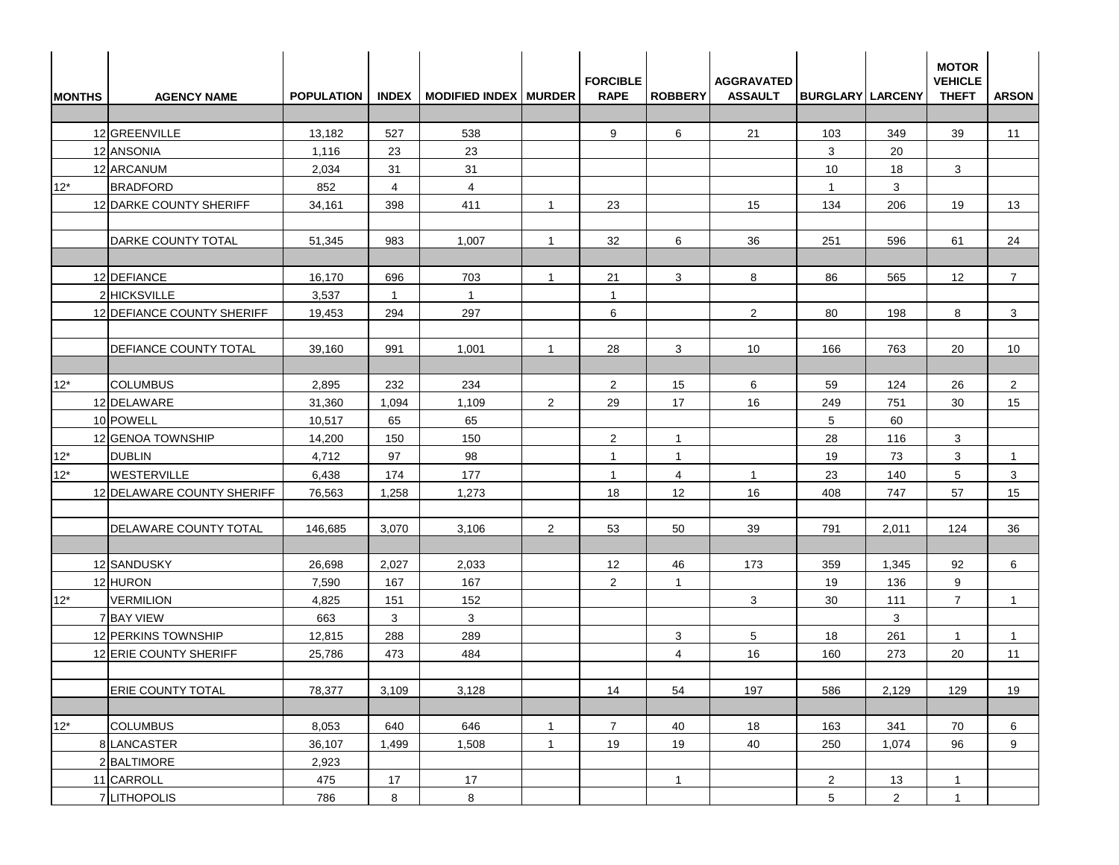| <b>MONTHS</b> | <b>AGENCY NAME</b>           | <b>POPULATION</b> |                | INDEX   MODIFIED INDEX   MURDER |                | <b>FORCIBLE</b><br><b>RAPE</b> | <b>ROBBERY</b> | <b>AGGRAVATED</b><br><b>ASSAULT</b> | <b>BURGLARY LARCENY</b> |                | <b>MOTOR</b><br><b>VEHICLE</b><br><b>THEFT</b> | <b>ARSON</b>    |
|---------------|------------------------------|-------------------|----------------|---------------------------------|----------------|--------------------------------|----------------|-------------------------------------|-------------------------|----------------|------------------------------------------------|-----------------|
|               |                              |                   |                |                                 |                |                                |                |                                     |                         |                |                                                |                 |
|               | 12 GREENVILLE                | 13,182            | 527            | 538                             |                | 9                              | 6              | 21                                  | 103                     | 349            | 39                                             | 11              |
|               | 12 ANSONIA                   | 1,116             | 23             | 23                              |                |                                |                |                                     | 3                       | 20             |                                                |                 |
|               | 12 ARCANUM                   | 2,034             | 31             | 31                              |                |                                |                |                                     | 10                      | 18             | 3                                              |                 |
| $12*$         | <b>BRADFORD</b>              | 852               | $\overline{4}$ | $\overline{4}$                  |                |                                |                |                                     | $\mathbf{1}$            | 3              |                                                |                 |
|               | 12 DARKE COUNTY SHERIFF      | 34,161            | 398            | 411                             | $\overline{1}$ | 23                             |                | 15                                  | 134                     | 206            | 19                                             | 13              |
|               | DARKE COUNTY TOTAL           | 51,345            | 983            | 1,007                           | $\overline{1}$ | 32                             | 6              | 36                                  | 251                     | 596            | 61                                             | 24              |
|               | 12 DEFIANCE                  | 16,170            | 696            | 703                             | $\overline{1}$ | 21                             | 3              | 8                                   | 86                      | 565            | $12 \overline{ }$                              | $\overline{7}$  |
|               | 2 HICKSVILLE                 | 3,537             | $\mathbf{1}$   | $\overline{1}$                  |                | $\overline{1}$                 |                |                                     |                         |                |                                                |                 |
|               | 12 DEFIANCE COUNTY SHERIFF   | 19,453            | 294            | 297                             |                | 6                              |                | $\overline{2}$                      | 80                      | 198            | 8                                              | 3               |
|               | <b>DEFIANCE COUNTY TOTAL</b> | 39,160            | 991            | 1,001                           | $\overline{1}$ | 28                             | 3              | 10                                  | 166                     | 763            | 20                                             | 10 <sup>1</sup> |
| $12*$         | <b>COLUMBUS</b>              | 2,895             | 232            | 234                             |                | $\overline{2}$                 | 15             | 6                                   | 59                      | 124            | 26                                             | $\overline{2}$  |
|               | 12 DELAWARE                  | 31,360            | 1,094          | 1,109                           | 2              | 29                             | 17             | 16                                  | 249                     | 751            | 30                                             | 15              |
|               | 10 POWELL                    | 10,517            | 65             | 65                              |                |                                |                |                                     | 5                       | 60             |                                                |                 |
|               | 12 GENOA TOWNSHIP            | 14,200            | 150            | 150                             |                | $\overline{2}$                 | $\overline{1}$ |                                     | 28                      | 116            | 3                                              |                 |
| $12*$         | <b>DUBLIN</b>                | 4,712             | 97             | 98                              |                | $\overline{1}$                 | $\overline{1}$ |                                     | 19                      | 73             | 3                                              | $\mathbf{1}$    |
| $12*$         | <b>WESTERVILLE</b>           | 6,438             | 174            | 177                             |                | $\overline{1}$                 | 4              | $\mathbf{1}$                        | 23                      | 140            | 5                                              | 3               |
|               | 12 DELAWARE COUNTY SHERIFF   | 76,563            | 1,258          | 1,273                           |                | 18                             | 12             | 16                                  | 408                     | 747            | 57                                             | 15              |
|               | DELAWARE COUNTY TOTAL        | 146,685           | 3,070          | 3,106                           | 2              | 53                             | 50             | 39                                  | 791                     | 2,011          | 124                                            | 36              |
|               | 12 SANDUSKY                  | 26,698            | 2,027          | 2,033                           |                | $12 \overline{ }$              | 46             | 173                                 | 359                     | 1,345          | 92                                             | 6               |
|               | 12 HURON                     | 7,590             | 167            | 167                             |                | $\overline{2}$                 | $\overline{1}$ |                                     | 19                      | 136            | 9                                              |                 |
| $12*$         | <b>VERMILION</b>             | 4,825             | 151            | 152                             |                |                                |                | 3                                   | 30                      | 111            | $\overline{7}$                                 | $\mathbf{1}$    |
|               | 7 BAY VIEW                   | 663               | 3              | 3                               |                |                                |                |                                     |                         | 3              |                                                |                 |
|               | 12 PERKINS TOWNSHIP          | 12,815            | 288            | 289                             |                |                                | 3              | 5                                   | 18                      | 261            | $\mathbf{1}$                                   | $\overline{1}$  |
|               | 12 ERIE COUNTY SHERIFF       | 25,786            | 473            | 484                             |                |                                | $\overline{4}$ | 16                                  | 160                     | 273            | 20                                             | 11              |
|               | ERIE COUNTY TOTAL            | 78,377            | 3,109          | 3,128                           |                | 14                             | 54             | 197                                 | 586                     | 2,129          | 129                                            | 19              |
| $12*$         | <b>COLUMBUS</b>              | 8,053             | 640            | 646                             | $\overline{1}$ | $\overline{7}$                 | 40             | 18                                  | 163                     | 341            | 70                                             | 6               |
|               | 8 LANCASTER                  | 36,107            | 1,499          | 1,508                           | $\mathbf{1}$   | 19                             | 19             | 40                                  | 250                     | 1,074          | 96                                             | 9               |
|               | 2 BALTIMORE                  | 2,923             |                |                                 |                |                                |                |                                     |                         |                |                                                |                 |
|               | 11 CARROLL                   | 475               | 17             | 17                              |                |                                | $\overline{1}$ |                                     | $\overline{2}$          | 13             | $\mathbf{1}$                                   |                 |
|               | 7 LITHOPOLIS                 | 786               | $\bf{8}$       | 8                               |                |                                |                |                                     | 5                       | $\overline{2}$ | $\mathbf{1}$                                   |                 |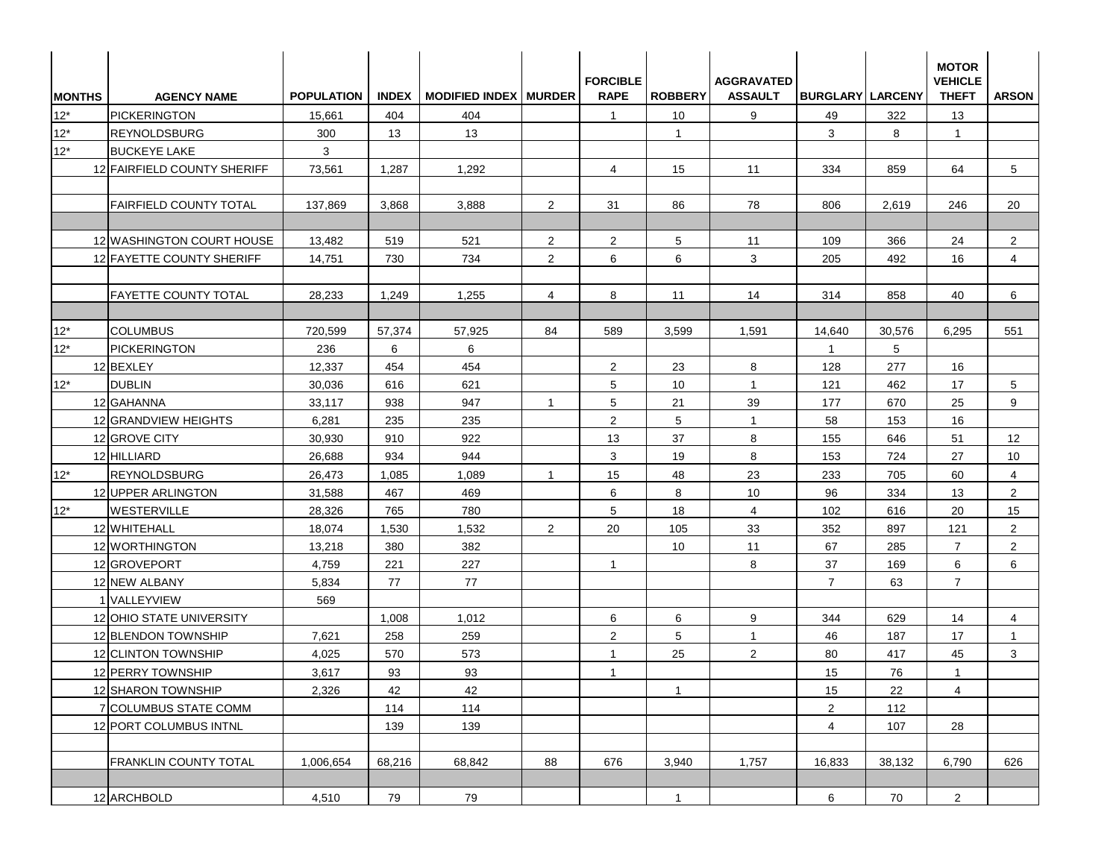| $12*$ | PICKERINGTON                  | <b>POPULATION</b> |        | INDEX   MODIFIED INDEX   MURDER |                | <b>FORCIBLE</b><br><b>RAPE</b> | <b>ROBBERY</b> | <b>AGGRAVATED</b><br><b>ASSAULT</b> | <b>BURGLARY LARCENY</b> |                 | <b>VEHICLE</b><br><b>THEFT</b> | <b>ARSON</b>   |
|-------|-------------------------------|-------------------|--------|---------------------------------|----------------|--------------------------------|----------------|-------------------------------------|-------------------------|-----------------|--------------------------------|----------------|
| $12*$ |                               | 15,661            | 404    | 404                             |                | $\overline{1}$                 | 10             | 9                                   | 49                      | 322             | 13                             |                |
|       | <b>REYNOLDSBURG</b>           | 300               | 13     | 13                              |                |                                | $\mathbf{1}$   |                                     | 3                       | 8               | $\mathbf{1}$                   |                |
| $12*$ | <b>BUCKEYE LAKE</b>           | 3                 |        |                                 |                |                                |                |                                     |                         |                 |                                |                |
|       | 12 FAIRFIELD COUNTY SHERIFF   | 73,561            | 1,287  | 1,292                           |                | $\overline{4}$                 | 15             | 11                                  | 334                     | 859             | 64                             | 5              |
|       |                               |                   |        |                                 |                |                                |                |                                     |                         |                 |                                |                |
|       | <b>FAIRFIELD COUNTY TOTAL</b> | 137,869           | 3,868  | 3,888                           | 2              | 31                             | 86             | 78                                  | 806                     | 2,619           | 246                            | 20             |
|       |                               |                   |        |                                 |                |                                |                |                                     |                         |                 |                                |                |
|       | 12 WASHINGTON COURT HOUSE     | 13,482            | 519    | 521                             | 2              | 2                              | 5 <sup>5</sup> | 11                                  | 109                     | 366             | 24                             | $\overline{2}$ |
|       | 12 FAYETTE COUNTY SHERIFF     | 14,751            | 730    | 734                             | 2              | 6                              | 6              | 3                                   | 205                     | 492             | 16                             | $\overline{4}$ |
|       |                               |                   |        |                                 |                |                                |                |                                     |                         |                 |                                |                |
|       | <b>FAYETTE COUNTY TOTAL</b>   | 28,233            | 1,249  | 1,255                           | 4              | 8                              | 11             | 14                                  | 314                     | 858             | 40                             | 6              |
|       |                               |                   |        |                                 |                |                                |                |                                     |                         |                 |                                |                |
| $12*$ | <b>COLUMBUS</b>               | 720,599           | 57,374 | 57,925                          | 84             | 589                            | 3,599          | 1,591                               | 14,640                  | 30,576          | 6,295                          | 551            |
| $12*$ | <b>PICKERINGTON</b>           | 236               | 6      | 6                               |                |                                |                |                                     | $\overline{1}$          | $5\phantom{.0}$ |                                |                |
|       | 12 BEXLEY                     | 12,337            | 454    | 454                             |                | $\overline{2}$                 | 23             | 8                                   | 128                     | 277             | 16                             |                |
| $12*$ | <b>DUBLIN</b>                 | 30,036            | 616    | 621                             |                | 5                              | 10             | $\mathbf{1}$                        | 121                     | 462             | 17                             | 5              |
|       | 12 GAHANNA                    | 33,117            | 938    | 947                             | $\overline{1}$ | 5                              | 21             | 39                                  | 177                     | 670             | 25                             | 9              |
|       | 12 GRANDVIEW HEIGHTS          | 6,281             | 235    | 235                             |                | 2                              | 5              | $\overline{1}$                      | 58                      | 153             | 16                             |                |
|       | 12 GROVE CITY                 | 30,930            | 910    | 922                             |                | 13                             | 37             | 8                                   | 155                     | 646             | 51                             | 12             |
|       | 12 HILLIARD                   | 26,688            | 934    | 944                             |                | 3                              | 19             | 8                                   | 153                     | 724             | 27                             | 10             |
| $12*$ | <b>REYNOLDSBURG</b>           | 26,473            | 1,085  | 1,089                           | $\overline{1}$ | 15                             | 48             | 23                                  | 233                     | 705             | 60                             | 4              |
|       | 12 UPPER ARLINGTON            | 31,588            | 467    | 469                             |                | 6                              | 8              | 10                                  | 96                      | 334             | 13                             | $\overline{2}$ |
| $12*$ | WESTERVILLE                   | 28,326            | 765    | 780                             |                | 5                              | 18             | $\overline{4}$                      | 102                     | 616             | 20                             | 15             |
|       | 12 WHITEHALL                  | 18,074            | 1,530  | 1,532                           | 2              | 20                             | 105            | 33                                  | 352                     | 897             | 121                            | $\overline{2}$ |
|       | 12 WORTHINGTON                | 13,218            | 380    | 382                             |                |                                | 10             | 11                                  | 67                      | 285             | $\overline{7}$                 | $\overline{2}$ |
|       | 12 GROVEPORT                  | 4,759             | 221    | 227                             |                | $\mathbf{1}$                   |                | 8                                   | 37                      | 169             | 6                              | 6              |
|       | 12 NEW ALBANY                 | 5,834             | 77     | 77                              |                |                                |                |                                     | $\overline{7}$          | 63              | $\overline{7}$                 |                |
|       | 1 VALLEYVIEW                  | 569               |        |                                 |                |                                |                |                                     |                         |                 |                                |                |
|       | 12 OHIO STATE UNIVERSITY      |                   | 1,008  | 1,012                           |                | 6                              | 6              | 9                                   | 344                     | 629             | 14                             | $\overline{4}$ |
|       | 12 BLENDON TOWNSHIP           | 7,621             | 258    | 259                             |                | 2                              | 5              | $\mathbf{1}$                        | 46                      | 187             | 17                             | $\mathbf{1}$   |
|       | 12 CLINTON TOWNSHIP           | 4,025             | 570    | 573                             |                | $\mathbf{1}$                   | 25             | $\overline{2}$                      | 80                      | 417             | 45                             | 3              |
|       | 12 PERRY TOWNSHIP             | 3,617             | 93     | 93                              |                | $\mathbf{1}$                   |                |                                     | 15                      | 76              | $\mathbf{1}$                   |                |
|       | 12 SHARON TOWNSHIP            | 2,326             | 42     | 42                              |                |                                | $\mathbf{1}$   |                                     | 15                      | 22              | $\overline{4}$                 |                |
|       | 7 COLUMBUS STATE COMM         |                   | 114    | 114                             |                |                                |                |                                     | $\overline{2}$          | 112             |                                |                |
|       | 12 PORT COLUMBUS INTNL        |                   | 139    | 139                             |                |                                |                |                                     | 4                       | 107             | 28                             |                |
|       | FRANKLIN COUNTY TOTAL         | 1,006,654         | 68,216 | 68,842                          | 88             | 676                            | 3,940          | 1,757                               | 16,833                  | 38,132          | 6,790                          | 626            |
|       | 12 ARCHBOLD                   | 4,510             | 79     | 79                              |                |                                | $\mathbf{1}$   |                                     | 6                       | 70              | $\overline{2}$                 |                |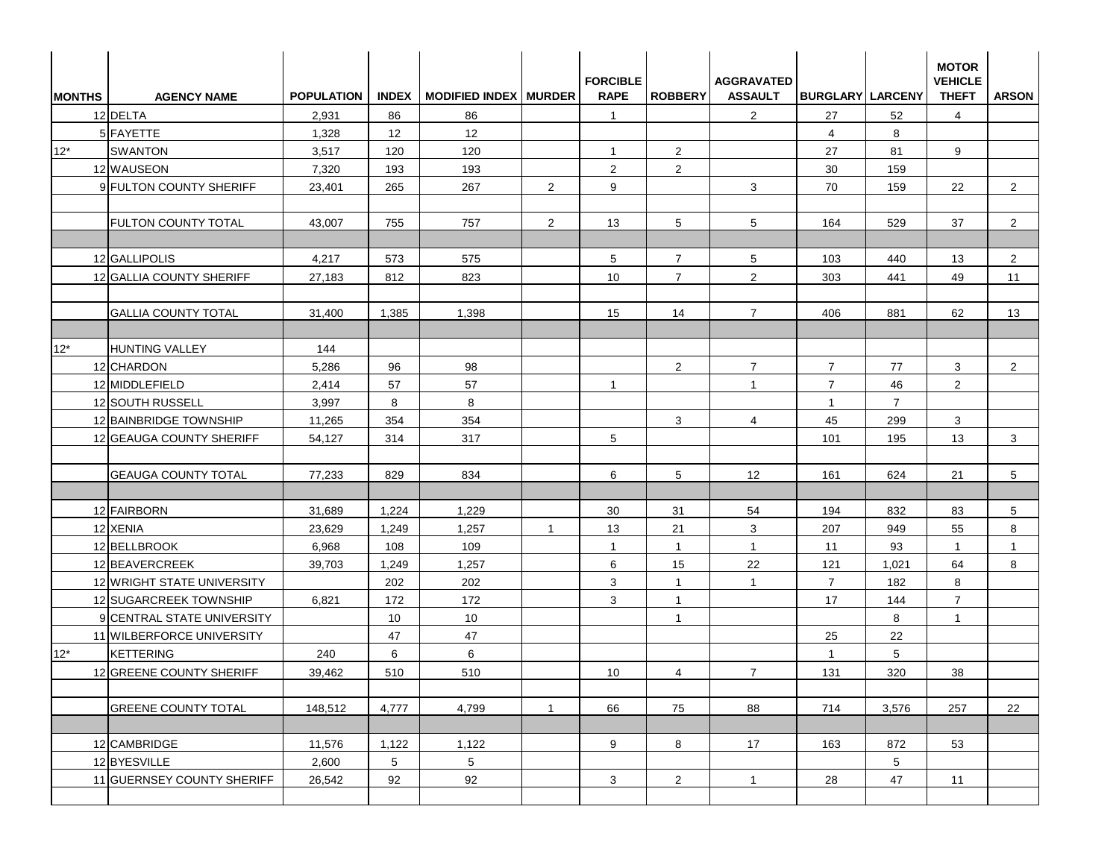| <b>MONTHS</b> | <b>AGENCY NAME</b>         | <b>POPULATION</b> |                 | INDEX   MODIFIED INDEX   MURDER |                | <b>FORCIBLE</b><br><b>RAPE</b> | <b>ROBBERY</b> | <b>AGGRAVATED</b><br><b>ASSAULT</b> | <b>BURGLARY LARCENY</b> |                 | <b>MOTOR</b><br><b>VEHICLE</b><br><b>THEFT</b> | <b>ARSON</b>   |
|---------------|----------------------------|-------------------|-----------------|---------------------------------|----------------|--------------------------------|----------------|-------------------------------------|-------------------------|-----------------|------------------------------------------------|----------------|
|               | 12 DELTA                   | 2,931             | 86              | 86                              |                | $\mathbf{1}$                   |                | $\overline{2}$                      | 27                      | 52              | $\overline{4}$                                 |                |
|               | 5 FAYETTE                  | 1,328             | 12              | 12                              |                |                                |                |                                     | $\overline{4}$          | 8               |                                                |                |
| $12*$         | <b>SWANTON</b>             | 3,517             | 120             | 120                             |                | $\mathbf{1}$                   | $\overline{2}$ |                                     | 27                      | 81              | 9                                              |                |
|               | 12 WAUSEON                 | 7,320             | 193             | 193                             |                | 2                              | $\overline{2}$ |                                     | 30                      | 159             |                                                |                |
|               | 9 FULTON COUNTY SHERIFF    | 23,401            | 265             | 267                             | $\overline{2}$ | 9                              |                | 3                                   | 70                      | 159             | 22                                             | $\overline{2}$ |
|               | <b>FULTON COUNTY TOTAL</b> | 43,007            | 755             | 757                             | 2              | 13                             | 5              | 5                                   | 164                     | 529             | 37                                             | $\overline{a}$ |
|               | 12 GALLIPOLIS              | 4,217             | 573             | 575                             |                | $5^{\circ}$                    | $\overline{7}$ | 5                                   | 103                     | 440             | 13                                             | $\overline{2}$ |
|               | 12 GALLIA COUNTY SHERIFF   | 27,183            | 812             | 823                             |                | 10                             | $\overline{7}$ | 2                                   | 303                     | 441             | 49                                             | 11             |
|               | <b>GALLIA COUNTY TOTAL</b> | 31,400            | 1,385           | 1,398                           |                | 15                             | 14             | $\overline{7}$                      | 406                     | 881             | 62                                             | 13             |
|               |                            |                   |                 |                                 |                |                                |                |                                     |                         |                 |                                                |                |
| $12*$         | HUNTING VALLEY             | 144               |                 |                                 |                |                                |                |                                     |                         |                 |                                                |                |
|               | 12 CHARDON                 | 5,286             | 96              | 98                              |                |                                | $\overline{2}$ | $\overline{7}$                      | $\overline{7}$          | 77              | 3                                              | $\overline{2}$ |
|               | 12 MIDDLEFIELD             | 2,414             | 57              | 57                              |                | $\mathbf{1}$                   |                | $\overline{1}$                      | $\overline{7}$          | 46              | $\overline{2}$                                 |                |
|               | 12 SOUTH RUSSELL           | 3,997             | 8               | 8                               |                |                                |                |                                     | $\overline{1}$          | $\overline{7}$  |                                                |                |
|               | 12 BAINBRIDGE TOWNSHIP     | 11,265            | 354             | 354                             |                |                                | 3              | 4                                   | 45                      | 299             | 3                                              |                |
|               | 12 GEAUGA COUNTY SHERIFF   | 54,127            | 314             | 317                             |                | 5                              |                |                                     | 101                     | 195             | 13                                             | 3              |
|               | <b>GEAUGA COUNTY TOTAL</b> | 77,233            | 829             | 834                             |                | 6                              | 5              | $12 \overline{ }$                   | 161                     | 624             | 21                                             | 5              |
|               | 12 FAIRBORN                | 31,689            | 1,224           | 1,229                           |                | 30                             | 31             | 54                                  | 194                     | 832             | 83                                             | 5              |
|               | 12 XENIA                   | 23,629            | 1,249           | 1,257                           | -1             | 13                             | 21             | 3                                   | 207                     | 949             | 55                                             | 8              |
|               | 12 BELLBROOK               | 6,968             | 108             | 109                             |                | $\mathbf{1}$                   | $\mathbf{1}$   | $\mathbf{1}$                        | 11                      | 93              | $\mathbf{1}$                                   | $\mathbf{1}$   |
|               | 12 BEAVERCREEK             | 39,703            | 1,249           | 1,257                           |                | 6                              | 15             | 22                                  | 121                     | 1,021           | 64                                             | 8              |
|               | 12 WRIGHT STATE UNIVERSITY |                   | 202             | 202                             |                | 3                              | $\mathbf{1}$   | $\mathbf{1}$                        | $\overline{7}$          | 182             | 8                                              |                |
|               | 12 SUGARCREEK TOWNSHIP     | 6,821             | 172             | 172                             |                | 3                              | $\mathbf{1}$   |                                     | 17                      | 144             | $\overline{7}$                                 |                |
|               | 9 CENTRAL STATE UNIVERSITY |                   | 10              | 10                              |                |                                | $\mathbf{1}$   |                                     |                         | 8               | $\mathbf{1}$                                   |                |
|               | 11 WILBERFORCE UNIVERSITY  |                   | 47              | 47                              |                |                                |                |                                     | 25                      | 22              |                                                |                |
| $12*$         | <b>KETTERING</b>           | 240               | 6               | 6                               |                |                                |                |                                     | $\mathbf{1}$            | $5\phantom{.0}$ |                                                |                |
|               | 12 GREENE COUNTY SHERIFF   | 39,462            | 510             | 510                             |                | 10                             | $\overline{4}$ | $\overline{7}$                      | 131                     | 320             | $38\,$                                         |                |
|               | <b>GREENE COUNTY TOTAL</b> | 148,512           | 4,777           | 4,799                           | $\mathbf{1}$   | 66                             | 75             | 88                                  | 714                     | 3,576           | 257                                            | 22             |
|               | 12 CAMBRIDGE               | 11,576            | 1,122           | 1,122                           |                | 9                              | 8              | 17                                  | 163                     | 872             | 53                                             |                |
|               | 12 BYESVILLE               | 2,600             | $5\overline{)}$ | 5 <sub>5</sub>                  |                |                                |                |                                     |                         | 5 <sup>5</sup>  |                                                |                |
|               | 11 GUERNSEY COUNTY SHERIFF | 26,542            | 92              | 92                              |                | $\mathbf{3}$                   | $\overline{2}$ | $\overline{1}$                      | 28                      | 47              | 11                                             |                |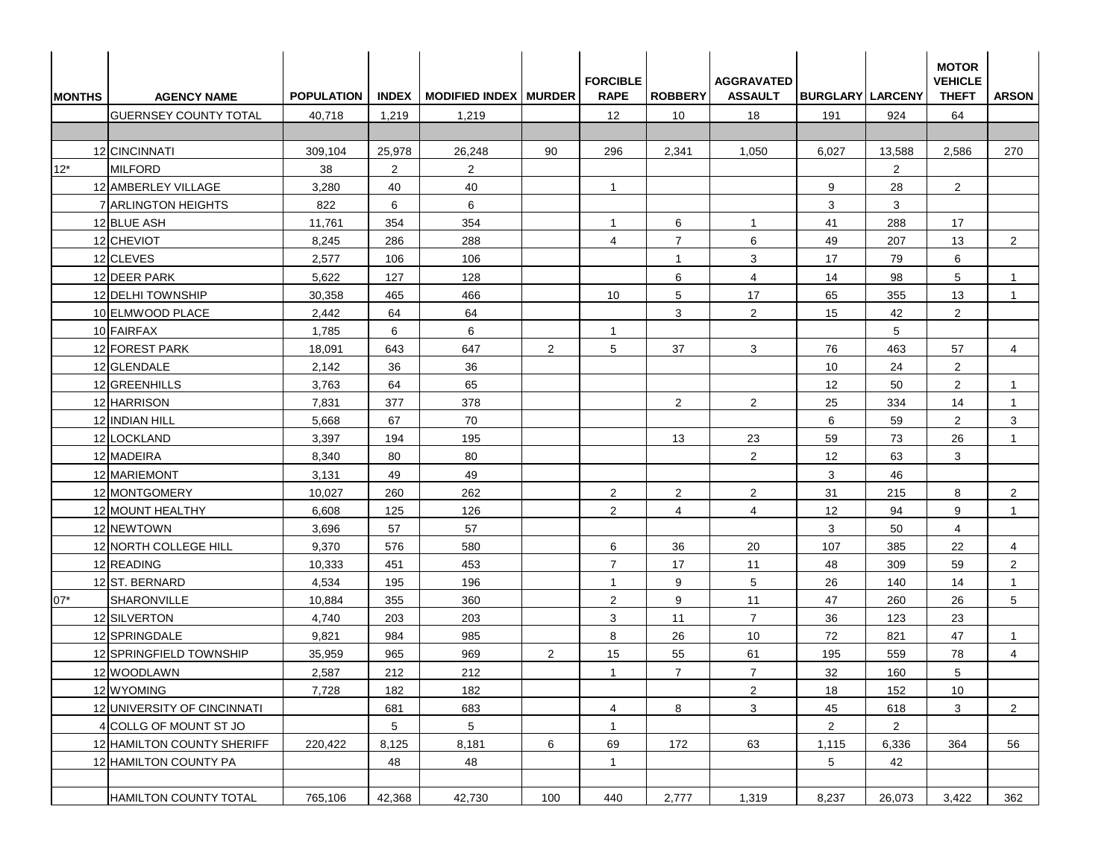| <b>IMONTHS</b> | <b>AGENCY NAME</b>           | <b>POPULATION</b> |                 | INDEX   MODIFIED INDEX   MURDER |                | <b>FORCIBLE</b><br><b>RAPE</b> | <b>ROBBERY</b>   | <b>AGGRAVATED</b><br><b>ASSAULT</b> | <b>BURGLARY LARCENY</b> |                | <b>MOTOR</b><br><b>VEHICLE</b><br><b>THEFT</b> | <b>ARSON</b>   |
|----------------|------------------------------|-------------------|-----------------|---------------------------------|----------------|--------------------------------|------------------|-------------------------------------|-------------------------|----------------|------------------------------------------------|----------------|
|                | <b>GUERNSEY COUNTY TOTAL</b> | 40,718            | 1,219           | 1,219                           |                | 12                             | 10               | 18                                  | 191                     | 924            | 64                                             |                |
|                |                              |                   |                 |                                 |                |                                |                  |                                     |                         |                |                                                |                |
|                | 12 CINCINNATI                | 309,104           | 25,978          | 26,248                          | 90             | 296                            | 2,341            | 1,050                               | 6,027                   | 13,588         | 2,586                                          | 270            |
| $12*$          | <b>MILFORD</b>               | 38                | $\overline{2}$  | $\overline{2}$                  |                |                                |                  |                                     |                         | $\overline{2}$ |                                                |                |
|                | 12 AMBERLEY VILLAGE          | 3,280             | 40              | 40                              |                | $\overline{1}$                 |                  |                                     | 9                       | 28             | $\overline{2}$                                 |                |
|                | 7 ARLINGTON HEIGHTS          | 822               | 6               | 6                               |                |                                |                  |                                     | 3                       | 3              |                                                |                |
|                | 12 BLUE ASH                  | 11,761            | 354             | 354                             |                | $\overline{1}$                 | 6                | $\mathbf{1}$                        | 41                      | 288            | 17                                             |                |
|                | 12 CHEVIOT                   | 8,245             | 286             | 288                             |                | $\overline{4}$                 | $\overline{7}$   | 6                                   | 49                      | 207            | 13                                             | $\overline{2}$ |
|                | 12 CLEVES                    | 2,577             | 106             | 106                             |                |                                | $\overline{1}$   | 3                                   | 17                      | 79             | 6                                              |                |
|                | 12 DEER PARK                 | 5,622             | 127             | 128                             |                |                                | 6                | $\overline{4}$                      | 14                      | 98             | 5                                              | -1             |
|                | 12 DELHI TOWNSHIP            | 30,358            | 465             | 466                             |                | 10                             | 5                | 17                                  | 65                      | 355            | 13                                             | $\mathbf{1}$   |
|                | 10 ELMWOOD PLACE             | 2,442             | 64              | 64                              |                |                                | 3                | $\overline{2}$                      | 15                      | 42             | $\overline{2}$                                 |                |
|                | 10 FAIRFAX                   | 1,785             | 6               | 6                               |                | $\overline{1}$                 |                  |                                     |                         | 5              |                                                |                |
|                | 12 FOREST PARK               | 18,091            | 643             | 647                             | 2              | 5                              | 37               | 3                                   | 76                      | 463            | 57                                             | 4              |
|                | 12 GLENDALE                  | 2,142             | 36              | 36                              |                |                                |                  |                                     | 10                      | 24             | $\overline{2}$                                 |                |
|                | 12 GREENHILLS                | 3,763             | 64              | 65                              |                |                                |                  |                                     | 12                      | 50             | 2                                              | $\mathbf{1}$   |
|                | 12 HARRISON                  | 7,831             | 377             | 378                             |                |                                | 2                | $\overline{2}$                      | 25                      | 334            | 14                                             | $\mathbf 1$    |
|                | 12 INDIAN HILL               | 5,668             | 67              | 70                              |                |                                |                  |                                     | 6                       | 59             | $\overline{2}$                                 | 3              |
|                | 12 LOCKLAND                  | 3,397             | 194             | 195                             |                |                                | 13               | 23                                  | 59                      | 73             | 26                                             | $\mathbf 1$    |
|                | 12 MADEIRA                   | 8,340             | 80              | 80                              |                |                                |                  | $\overline{2}$                      | 12                      | 63             | 3                                              |                |
|                | 12 MARIEMONT                 | 3,131             | 49              | 49                              |                |                                |                  |                                     | 3                       | 46             |                                                |                |
|                | 12 MONTGOMERY                | 10,027            | 260             | 262                             |                | $\overline{2}$                 | $\overline{2}$   | $\overline{2}$                      | 31                      | 215            | 8                                              | $\overline{2}$ |
|                | 12 MOUNT HEALTHY             | 6,608             | 125             | 126                             |                | $\overline{2}$                 | $\overline{4}$   | $\overline{4}$                      | 12                      | 94             | 9                                              | $\mathbf{1}$   |
|                | 12 NEWTOWN                   | 3,696             | 57              | 57                              |                |                                |                  |                                     | 3                       | 50             | $\overline{4}$                                 |                |
|                | 12 NORTH COLLEGE HILL        | 9,370             | 576             | 580                             |                | 6                              | 36               | 20                                  | 107                     | 385            | 22                                             | $\overline{4}$ |
|                | 12 READING                   | 10,333            | 451             | 453                             |                | $\overline{7}$                 | 17               | 11                                  | 48                      | 309            | 59                                             | $\overline{2}$ |
|                | 12 ST. BERNARD               | 4,534             | 195             | 196                             |                | -1                             | 9                | 5                                   | 26                      | 140            | 14                                             | -1             |
| $07*$          | SHARONVILLE                  | 10,884            | 355             | 360                             |                | $\overline{2}$                 | 9                | 11                                  | 47                      | 260            | 26                                             | 5              |
|                | 12 SILVERTON                 | 4,740             | 203             | 203                             |                | 3                              | 11               | $\overline{7}$                      | 36                      | 123            | 23                                             |                |
|                | 12 SPRINGDALE                | 9,821             | 984             | 985                             |                | 8                              | 26               | 10                                  | 72                      | 821            | 47                                             | $\mathbf{1}$   |
|                | 12 SPRINGFIELD TOWNSHIP      | 35,959            | 965             | 969                             | $\overline{2}$ | 15                             | 55               | 61                                  | 195                     | 559            | 78                                             | $\overline{4}$ |
|                | 12 WOODLAWN                  | 2,587             | 212             | 212                             |                | $\mathbf{1}$                   | $\boldsymbol{7}$ | $\boldsymbol{7}$                    | $32\,$                  | 160            | 5                                              |                |
|                | 12 WYOMING                   | 7,728             | 182             | 182                             |                |                                |                  | $\overline{2}$                      | 18                      | 152            | 10                                             |                |
|                | 12 UNIVERSITY OF CINCINNATI  |                   | 681             | 683                             |                | $\overline{4}$                 | 8                | 3                                   | 45                      | 618            | 3                                              | $\overline{a}$ |
|                | 4 COLLG OF MOUNT ST JO       |                   | $5\phantom{.0}$ | $5\phantom{.0}$                 |                | $\mathbf{1}$                   |                  |                                     | $\mathbf{2}$            | $\overline{2}$ |                                                |                |
|                | 12 HAMILTON COUNTY SHERIFF   | 220,422           | 8,125           | 8,181                           | 6              | 69                             | 172              | 63                                  | 1,115                   | 6,336          | 364                                            | 56             |
|                | 12 HAMILTON COUNTY PA        |                   | 48              | 48                              |                | $\mathbf{1}$                   |                  |                                     | 5                       | 42             |                                                |                |
|                | HAMILTON COUNTY TOTAL        | 765,106           | 42,368          | 42,730                          | 100            | 440                            | 2,777            | 1,319                               | 8,237                   | 26,073         | 3,422                                          | 362            |
|                |                              |                   |                 |                                 |                |                                |                  |                                     |                         |                |                                                |                |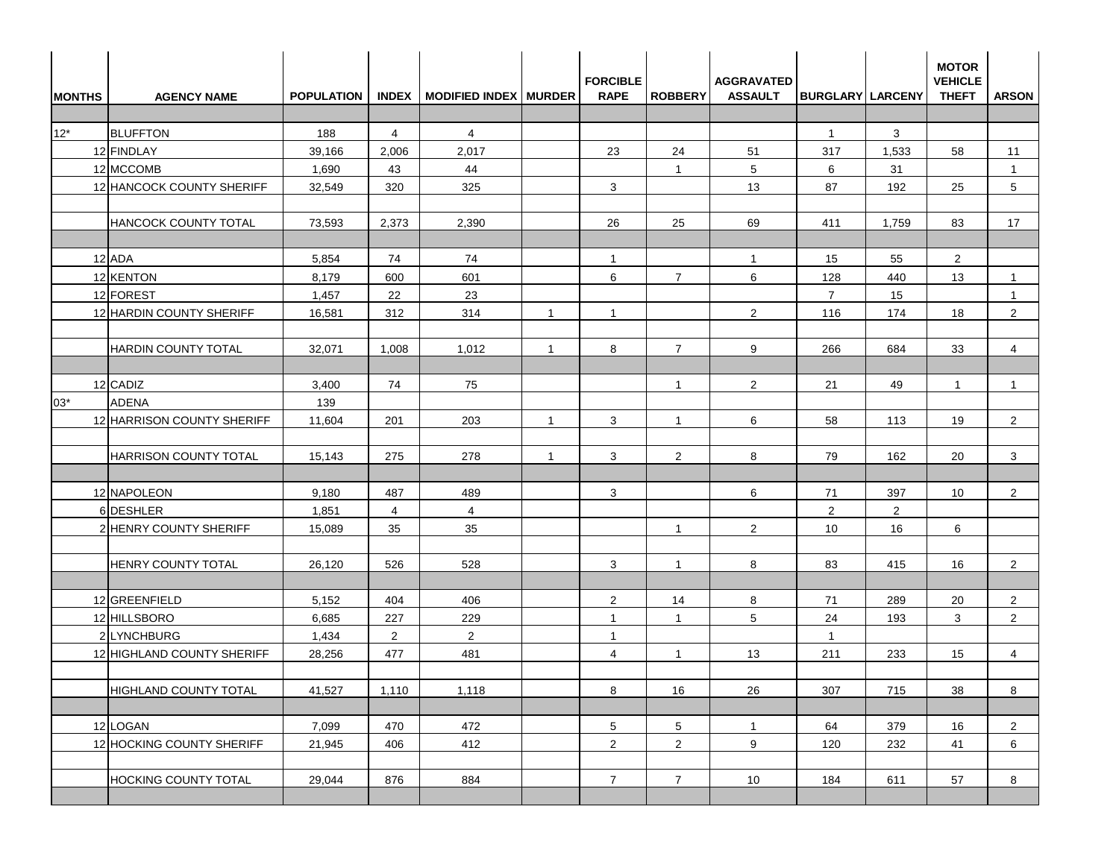| <b>MONTHS</b> | <b>AGENCY NAME</b>           | <b>POPULATION</b> |                | INDEX   MODIFIED INDEX   MURDER |                | <b>FORCIBLE</b><br><b>RAPE</b> | <b>ROBBERY</b>  | <b>AGGRAVATED</b><br><b>ASSAULT</b> | <b>BURGLARY LARCENY</b> |              | <b>MOTOR</b><br><b>VEHICLE</b><br><b>THEFT</b> | <b>ARSON</b>    |
|---------------|------------------------------|-------------------|----------------|---------------------------------|----------------|--------------------------------|-----------------|-------------------------------------|-------------------------|--------------|------------------------------------------------|-----------------|
|               |                              |                   |                |                                 |                |                                |                 |                                     |                         |              |                                                |                 |
| $12^*$        | <b>BLUFFTON</b>              | 188               | $\overline{4}$ | 4                               |                |                                |                 |                                     | $\mathbf{1}$            | 3            |                                                |                 |
|               | 12 FINDLAY                   | 39,166            | 2,006          | 2,017                           |                | 23                             | 24              | 51                                  | 317                     | 1,533        | 58                                             | 11              |
|               | 12 MCCOMB                    | 1,690             | 43             | 44                              |                |                                | $\mathbf{1}$    | 5                                   | 6                       | 31           |                                                | $\mathbf{1}$    |
|               | 12 HANCOCK COUNTY SHERIFF    | 32,549            | 320            | 325                             |                | 3                              |                 | 13                                  | 87                      | 192          | 25                                             | $5\overline{)}$ |
|               | HANCOCK COUNTY TOTAL         | 73,593            | 2,373          | 2,390                           |                | 26                             | 25              | 69                                  | 411                     | 1,759        | 83                                             | 17              |
|               | 12 ADA                       | 5,854             | 74             | 74                              |                | $\mathbf{1}$                   |                 | $\overline{1}$                      | 15                      | 55           | $\overline{2}$                                 |                 |
|               | 12 KENTON                    | 8,179             | 600            | 601                             |                | 6                              | $\overline{7}$  | 6                                   | 128                     | 440          | 13                                             | $\mathbf{1}$    |
|               | 12 FOREST                    | 1,457             | 22             | 23                              |                |                                |                 |                                     | $\overline{7}$          | 15           |                                                | $\mathbf 1$     |
|               | 12 HARDIN COUNTY SHERIFF     | 16,581            | 312            | 314                             | $\overline{1}$ | $\mathbf{1}$                   |                 | 2                                   | 116                     | 174          | 18                                             | $\overline{2}$  |
|               | <b>HARDIN COUNTY TOTAL</b>   | 32,071            | 1,008          | 1,012                           | $\overline{1}$ | 8                              | $\overline{7}$  | 9                                   | 266                     | 684          | 33                                             | $\overline{4}$  |
|               | 12 CADIZ                     | 3,400             | 74             | 75                              |                |                                | $\mathbf{1}$    | 2                                   | 21                      | 49           | $\mathbf{1}$                                   | $\overline{1}$  |
| 03*           | <b>ADENA</b>                 | 139               |                |                                 |                |                                |                 |                                     |                         |              |                                                |                 |
|               | 12 HARRISON COUNTY SHERIFF   | 11,604            | 201            | 203                             | $\overline{1}$ | 3                              | $\mathbf{1}$    | 6                                   | 58                      | 113          | 19                                             | $\overline{2}$  |
|               | <b>HARRISON COUNTY TOTAL</b> | 15,143            | 275            | 278                             | $\overline{1}$ | 3                              | $\overline{2}$  | 8                                   | 79                      | 162          | 20                                             | 3               |
|               | 12 NAPOLEON                  | 9,180             | 487            | 489                             |                | 3                              |                 | 6                                   | 71                      | 397          | 10                                             | $\overline{2}$  |
|               | 6DESHLER                     | 1,851             | $\overline{4}$ | $\overline{4}$                  |                |                                |                 |                                     | 2                       | $\mathbf{2}$ |                                                |                 |
|               | 2 HENRY COUNTY SHERIFF       | 15,089            | 35             | 35                              |                |                                | $\mathbf{1}$    | 2                                   | 10                      | 16           | 6                                              |                 |
|               | HENRY COUNTY TOTAL           | 26,120            | 526            | 528                             |                | 3                              | $\mathbf{1}$    | 8                                   | 83                      | 415          | 16                                             | $\overline{2}$  |
|               |                              |                   |                |                                 |                |                                |                 |                                     |                         |              |                                                |                 |
|               | 12 GREENFIELD                | 5,152             | 404            | 406                             |                | $\overline{2}$                 | 14              | 8                                   | 71                      | 289          | 20                                             | $\overline{2}$  |
|               | 12 HILLSBORO                 | 6,685             | 227            | 229                             |                | $\mathbf{1}$                   | $\mathbf{1}$    | 5                                   | 24                      | 193          | 3                                              | $\overline{2}$  |
|               | 2 LYNCHBURG                  | 1,434             | $\overline{2}$ | $\overline{2}$                  |                | $\mathbf{1}$                   |                 |                                     | $\mathbf{1}$            |              |                                                |                 |
|               | 12 HIGHLAND COUNTY SHERIFF   | 28,256            | 477            | 481                             |                | $\overline{4}$                 | $\mathbf{1}$    | 13                                  | 211                     | 233          | 15                                             | $\overline{4}$  |
|               | HIGHLAND COUNTY TOTAL        | 41,527            | 1,110          | 1,118                           |                | 8                              | 16              | 26                                  | 307                     | 715          | 38                                             | 8               |
|               | 12 LOGAN                     | 7,099             | 470            | 472                             |                | 5                              | $5\phantom{.0}$ | $\mathbf{1}$                        | 64                      | 379          | 16                                             | $\overline{2}$  |
|               | 12 HOCKING COUNTY SHERIFF    | 21,945            | 406            | 412                             |                | $\overline{2}$                 | $\overline{a}$  | 9                                   | 120                     | 232          | 41                                             | 6               |
|               | HOCKING COUNTY TOTAL         | 29,044            | 876            | 884                             |                | $\overline{7}$                 | $\overline{7}$  | 10                                  | 184                     | 611          | 57                                             | 8               |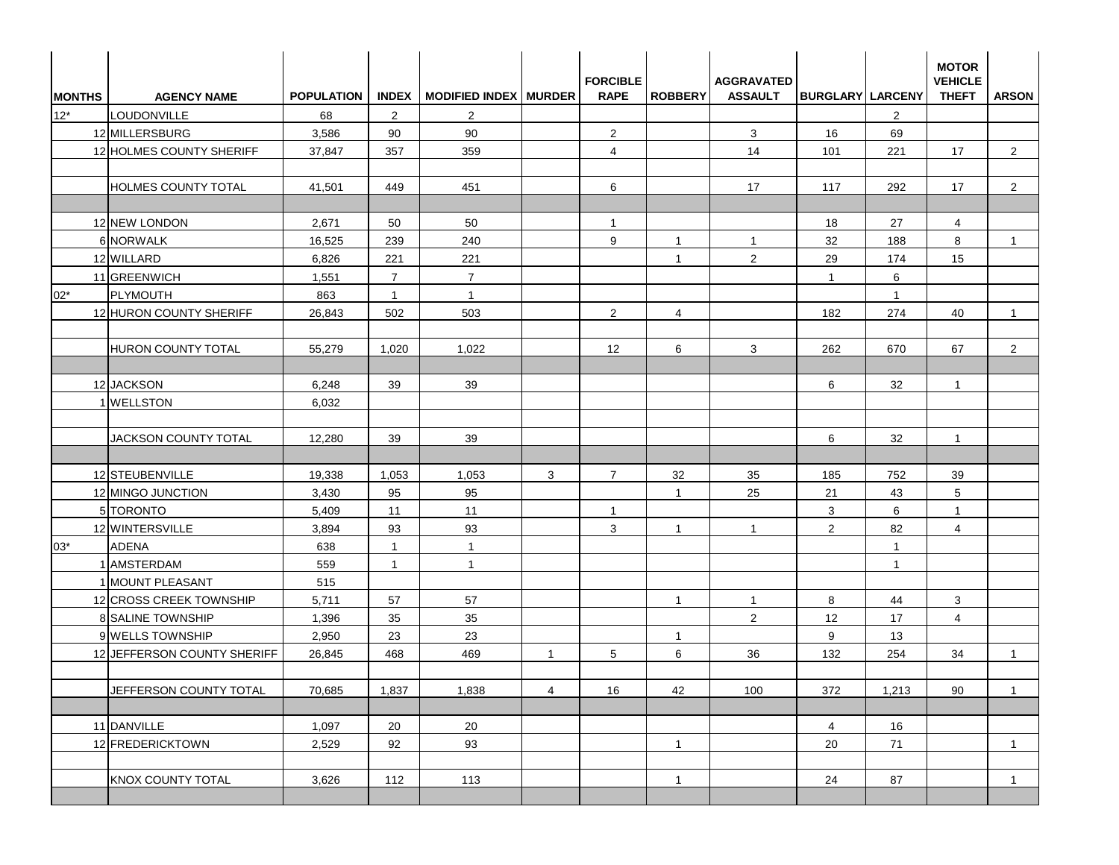| <b>MONTHS</b> | <b>AGENCY NAME</b>                          | <b>POPULATION</b> |                                  | INDEX   MODIFIED INDEX   MURDER |                | <b>FORCIBLE</b><br><b>RAPE</b> | <b>ROBBERY</b> | <b>AGGRAVATED</b><br><b>ASSAULT</b> | <b>BURGLARY LARCENY</b> |                | <b>MOTOR</b><br><b>VEHICLE</b><br><b>THEFT</b> | <b>ARSON</b>   |
|---------------|---------------------------------------------|-------------------|----------------------------------|---------------------------------|----------------|--------------------------------|----------------|-------------------------------------|-------------------------|----------------|------------------------------------------------|----------------|
| $12*$         | LOUDONVILLE                                 | 68                | 2                                | 2                               |                |                                |                |                                     |                         | $\overline{2}$ |                                                |                |
|               | 12 MILLERSBURG                              | 3,586             | 90                               | 90                              |                | $\overline{2}$                 |                | 3                                   | 16                      | 69             |                                                |                |
|               | 12 HOLMES COUNTY SHERIFF                    | 37,847            | 357                              | 359                             |                | $\overline{4}$                 |                | 14                                  | 101                     | 221            | 17                                             | $\overline{2}$ |
|               | <b>HOLMES COUNTY TOTAL</b>                  | 41,501            | 449                              | 451                             |                | 6                              |                | 17                                  | 117                     | 292            | 17                                             | $\overline{2}$ |
|               |                                             |                   |                                  |                                 |                |                                |                |                                     |                         |                |                                                |                |
|               | 12 NEW LONDON                               | 2,671             | 50                               | 50                              |                | $\mathbf{1}$                   |                |                                     | 18                      | 27             | $\overline{4}$                                 |                |
|               | 6 NORWALK                                   | 16,525            | 239                              | 240                             |                | 9                              | $\mathbf{1}$   | $\mathbf{1}$                        | 32                      | 188            | 8                                              | $\mathbf{1}$   |
|               | 12 WILLARD                                  | 6,826             | 221                              | 221                             |                |                                | $\mathbf{1}$   | 2                                   | 29                      | 174            | 15                                             |                |
|               | 11 GREENWICH                                | 1,551             | $\overline{7}$                   | $\overline{7}$                  |                |                                |                |                                     | $\overline{1}$          | 6              |                                                |                |
| $02*$         | PLYMOUTH                                    | 863               | $\overline{1}$                   | $\mathbf{1}$                    |                |                                |                |                                     |                         | $\mathbf{1}$   |                                                |                |
|               | 12 HURON COUNTY SHERIFF                     | 26,843            | 502                              | 503                             |                | 2                              | 4              |                                     | 182                     | 274            | 40                                             | $\mathbf{1}$   |
|               | <b>HURON COUNTY TOTAL</b>                   | 55,279            | 1,020                            | 1,022                           |                | 12                             | 6              | 3                                   | 262                     | 670            | 67                                             | $\overline{2}$ |
|               | 12 JACKSON                                  | 6,248             | 39                               | 39                              |                |                                |                |                                     | 6                       | 32             | $\mathbf{1}$                                   |                |
|               | 1 WELLSTON                                  | 6,032             |                                  |                                 |                |                                |                |                                     |                         |                |                                                |                |
|               | JACKSON COUNTY TOTAL                        | 12,280            | 39                               | 39                              |                |                                |                |                                     | 6                       | 32             | $\mathbf{1}$                                   |                |
|               |                                             |                   |                                  |                                 |                |                                |                |                                     |                         |                |                                                |                |
|               | 12 STEUBENVILLE                             | 19,338            | 1,053                            | 1,053                           | 3              | $\overline{7}$                 | 32             | 35                                  | 185                     | 752            | 39                                             |                |
|               | 12 MINGO JUNCTION                           | 3,430             | 95                               | 95                              |                |                                | $\mathbf{1}$   | 25                                  | 21                      | 43             | $5\phantom{.0}$                                |                |
|               | 5 TORONTO                                   | 5,409             | 11                               | 11                              |                | $\mathbf{1}$                   |                |                                     | 3                       | 6              | $\mathbf{1}$                                   |                |
|               | 12 WINTERSVILLE                             | 3,894             | 93                               | 93                              |                | 3                              | $\mathbf{1}$   | $\overline{1}$                      | 2                       | 82             | $\overline{4}$                                 |                |
| $03*$         | <b>ADENA</b>                                | 638               | $\overline{1}$<br>$\overline{1}$ | $\mathbf{1}$                    |                |                                |                |                                     |                         | $\mathbf{1}$   |                                                |                |
|               | 1 AMSTERDAM                                 | 559<br>515        |                                  | $\mathbf{1}$                    |                |                                |                |                                     |                         | $\overline{1}$ |                                                |                |
|               | 1 MOUNT PLEASANT<br>12 CROSS CREEK TOWNSHIP | 5,711             | 57                               | 57                              |                |                                | $\mathbf{1}$   | $\mathbf{1}$                        | 8                       | 44             | 3                                              |                |
|               | <b>8 SALINE TOWNSHIP</b>                    | 1,396             | 35                               | 35                              |                |                                |                | 2                                   | 12                      | 17             | $\overline{4}$                                 |                |
|               | 9 WELLS TOWNSHIP                            | 2,950             | 23                               | 23                              |                |                                | $\mathbf{1}$   |                                     | 9                       | 13             |                                                |                |
|               | 12 JEFFERSON COUNTY SHERIFF                 | 26,845            | 468                              | 469                             | $\overline{1}$ | 5                              | 6              | 36                                  | 132                     | 254            | 34                                             | $\overline{1}$ |
|               |                                             |                   |                                  |                                 |                |                                |                |                                     |                         |                |                                                |                |
|               | JEFFERSON COUNTY TOTAL                      | 70,685            | 1,837                            | 1,838                           | $\overline{4}$ | 16                             | 42             | 100                                 | 372                     | 1,213          | 90                                             | $\overline{1}$ |
|               | 11 DANVILLE                                 | 1,097             | 20                               | 20                              |                |                                |                |                                     | 4                       | 16             |                                                |                |
|               | 12 FREDERICKTOWN                            | 2,529             | 92                               | 93                              |                |                                | $\mathbf{1}$   |                                     | 20                      | 71             |                                                | $\mathbf{1}$   |
|               | <b>KNOX COUNTY TOTAL</b>                    | 3,626             | 112                              | 113                             |                |                                | $\mathbf{1}$   |                                     | 24                      | 87             |                                                | $\mathbf{1}$   |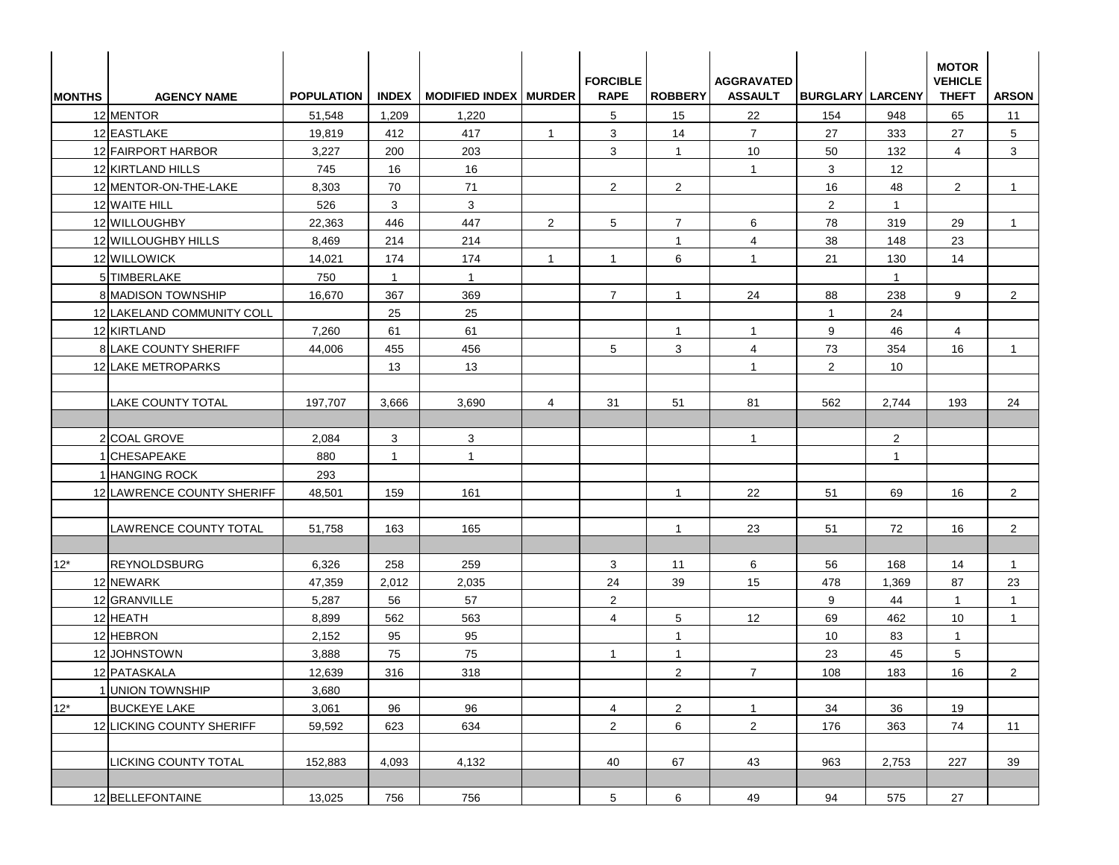| <b>MONTHS</b> | <b>AGENCY NAME</b>         | <b>POPULATION</b> |              | INDEX   MODIFIED INDEX   MURDER |                | <b>FORCIBLE</b><br><b>RAPE</b> | <b>ROBBERY</b> | <b>AGGRAVATED</b><br><b>ASSAULT</b> | <b>BURGLARY LARCENY</b> |                 | <b>MOTOR</b><br><b>VEHICLE</b><br><b>THEFT</b> | <b>ARSON</b>   |
|---------------|----------------------------|-------------------|--------------|---------------------------------|----------------|--------------------------------|----------------|-------------------------------------|-------------------------|-----------------|------------------------------------------------|----------------|
|               | 12 MENTOR                  | 51,548            | 1,209        | 1,220                           |                | 5                              | 15             | 22                                  | 154                     | 948             | 65                                             | 11             |
|               | 12 EASTLAKE                | 19,819            | 412          | 417                             | $\overline{1}$ | 3                              | 14             | $\overline{7}$                      | 27                      | 333             | 27                                             | 5              |
|               | 12 FAIRPORT HARBOR         | 3,227             | 200          | 203                             |                | 3                              | $\mathbf{1}$   | 10                                  | 50                      | 132             | $\overline{4}$                                 | 3              |
|               | 12 KIRTLAND HILLS          | 745               | 16           | 16                              |                |                                |                | $\mathbf{1}$                        | 3                       | 12 <sup>°</sup> |                                                |                |
|               | 12 MENTOR-ON-THE-LAKE      | 8,303             | 70           | 71                              |                | 2                              | $\overline{2}$ |                                     | 16                      | 48              | $\overline{2}$                                 | $\overline{1}$ |
|               | 12 WAITE HILL              | 526               | 3            | 3                               |                |                                |                |                                     | $\overline{2}$          | $\overline{1}$  |                                                |                |
|               | 12 WILLOUGHBY              | 22,363            | 446          | 447                             | 2              | 5                              | $\overline{7}$ | 6                                   | 78                      | 319             | 29                                             | $\mathbf{1}$   |
|               | 12 WILLOUGHBY HILLS        | 8,469             | 214          | 214                             |                |                                | $\mathbf{1}$   | $\overline{4}$                      | 38                      | 148             | 23                                             |                |
|               | 12 WILLOWICK               | 14,021            | 174          | 174                             | $\overline{1}$ | $\mathbf{1}$                   | 6              | $\overline{1}$                      | 21                      | 130             | 14                                             |                |
|               | 5 TIMBERLAKE               | 750               | $\mathbf{1}$ | $\mathbf{1}$                    |                |                                |                |                                     |                         | $\mathbf{1}$    |                                                |                |
|               | 8 MADISON TOWNSHIP         | 16,670            | 367          | 369                             |                | $\overline{7}$                 | $\mathbf{1}$   | 24                                  | 88                      | 238             | 9                                              | $\overline{2}$ |
|               | 12 LAKELAND COMMUNITY COLL |                   | 25           | 25                              |                |                                |                |                                     | $\mathbf{1}$            | 24              |                                                |                |
|               | 12 KIRTLAND                | 7,260             | 61           | 61                              |                |                                | $\mathbf{1}$   | $\overline{1}$                      | 9                       | 46              | $\overline{4}$                                 |                |
|               | 8 LAKE COUNTY SHERIFF      | 44,006            | 455          | 456                             |                | 5                              | 3              | $\overline{4}$                      | 73                      | 354             | 16                                             | $\mathbf{1}$   |
|               | 12 LAKE METROPARKS         |                   | 13           | 13                              |                |                                |                | $\overline{1}$                      | 2                       | 10              |                                                |                |
|               |                            |                   |              |                                 |                |                                |                |                                     |                         |                 |                                                |                |
|               | <b>LAKE COUNTY TOTAL</b>   | 197,707           | 3,666        | 3,690                           | $\overline{4}$ | 31                             | 51             | 81                                  | 562                     | 2,744           | 193                                            | 24             |
|               |                            |                   |              |                                 |                |                                |                |                                     |                         |                 |                                                |                |
|               | 2 COAL GROVE               | 2,084             | 3            | 3                               |                |                                |                | $\mathbf{1}$                        |                         | $\overline{2}$  |                                                |                |
|               | 1 CHESAPEAKE               | 880               | $\mathbf{1}$ | $\mathbf{1}$                    |                |                                |                |                                     |                         | $\mathbf{1}$    |                                                |                |
|               | 1 HANGING ROCK             | 293               |              |                                 |                |                                |                |                                     |                         |                 |                                                |                |
|               | 12 LAWRENCE COUNTY SHERIFF | 48,501            | 159          | 161                             |                |                                | $\mathbf{1}$   | 22                                  | 51                      | 69              | 16                                             | $\overline{2}$ |
|               |                            |                   |              |                                 |                |                                |                |                                     |                         |                 |                                                |                |
|               | LAWRENCE COUNTY TOTAL      | 51,758            | 163          | 165                             |                |                                | $\mathbf{1}$   | 23                                  | 51                      | 72              | 16                                             | $\mathbf{2}$   |
|               |                            |                   |              |                                 |                |                                |                |                                     |                         |                 |                                                |                |
| $12*$         | <b>REYNOLDSBURG</b>        | 6,326             | 258          | 259                             |                | 3                              | 11             | 6                                   | 56                      | 168             | 14                                             | $\mathbf{1}$   |
|               | 12 NEWARK                  | 47,359            | 2,012        | 2,035                           |                | 24                             | 39             | 15                                  | 478                     | 1,369           | 87                                             | 23             |
|               | 12 GRANVILLE               | 5,287             | 56           | 57                              |                | $\overline{2}$                 |                |                                     | 9                       | 44              | $\mathbf{1}$                                   | $\mathbf 1$    |
|               | 12 HEATH                   | 8,899             | 562          | 563                             |                | $\overline{4}$                 | 5              | 12                                  | 69                      | 462             | 10                                             | $\mathbf{1}$   |
|               | 12 HEBRON                  | 2,152             | 95           | 95                              |                |                                | $\overline{1}$ |                                     | 10                      | 83              | $\mathbf{1}$                                   |                |
|               | 12 JOHNSTOWN               | 3,888             | 75           | 75                              |                | $\mathbf{1}$                   | $\mathbf{1}$   |                                     | 23                      | 45              | $5\phantom{.0}$                                |                |
|               | 12 PATASKALA               | 12,639            | 316          | 318                             |                |                                | $\overline{a}$ | $\overline{7}$                      | 108                     | 183             | 16                                             | $\overline{a}$ |
|               | 1 UNION TOWNSHIP           | 3,680             |              |                                 |                |                                |                |                                     |                         |                 |                                                |                |
| $12^*$        | <b>BUCKEYE LAKE</b>        | 3,061             | 96           | 96                              |                | $\overline{4}$                 | $\overline{a}$ | $\mathbf{1}$                        | 34                      | 36              | 19                                             |                |
|               | 12 LICKING COUNTY SHERIFF  | 59,592            | 623          | 634                             |                | $\overline{2}$                 | 6              | $\overline{2}$                      | 176                     | 363             | 74                                             | 11             |
|               | LICKING COUNTY TOTAL       | 152,883           | 4,093        | 4,132                           |                | 40                             | 67             | 43                                  | 963                     | 2,753           | 227                                            | 39             |
|               |                            |                   |              |                                 |                |                                |                |                                     |                         |                 |                                                |                |
|               | 12 BELLEFONTAINE           | 13,025            | 756          | 756                             |                | 5 <sub>5</sub>                 | 6              | 49                                  | 94                      | 575             | 27                                             |                |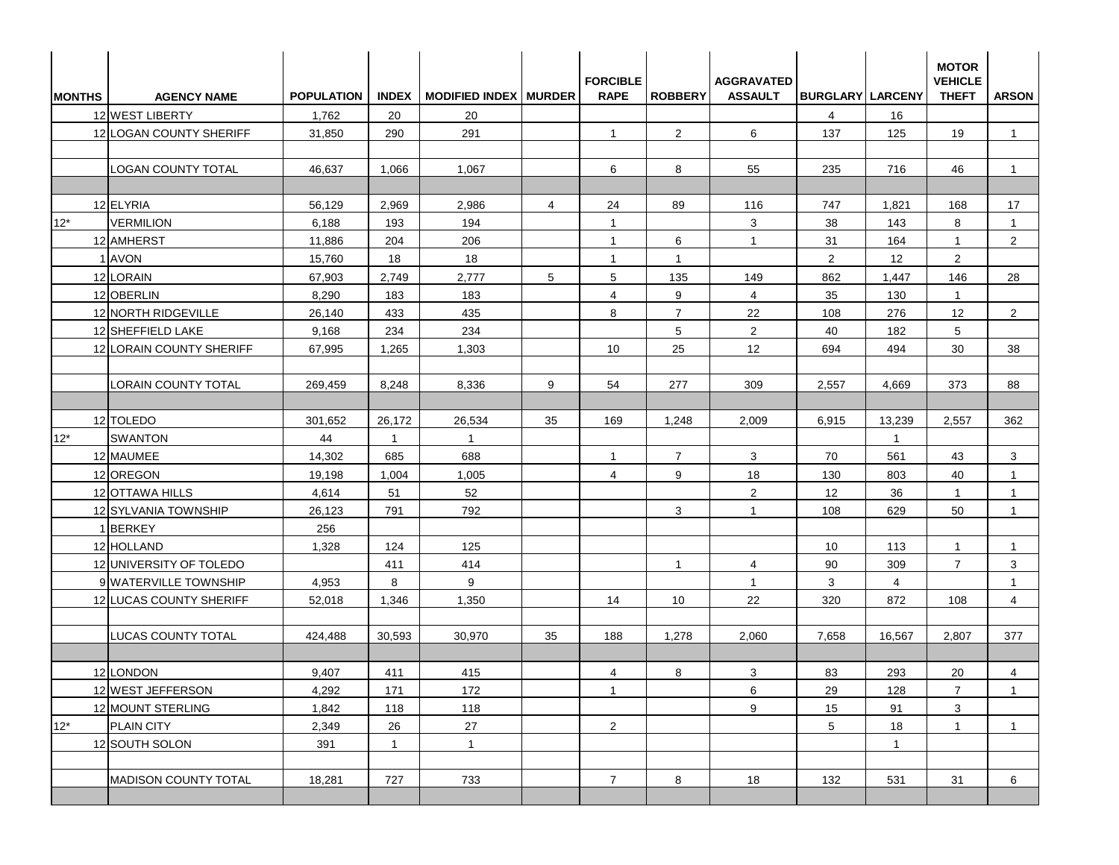| <b>IMONTHS</b> | <b>AGENCY NAME</b>          | <b>POPULATION</b> | <b>INDEX</b>   | <b>MODIFIED INDEX MURDER</b> |                | <b>FORCIBLE</b><br><b>RAPE</b> | <b>ROBBERY</b> | <b>AGGRAVATED</b><br><b>ASSAULT</b> | <b>BURGLARY LARCENY</b> |              | <b>MOTOR</b><br><b>VEHICLE</b><br><b>THEFT</b> | <b>ARSON</b>   |
|----------------|-----------------------------|-------------------|----------------|------------------------------|----------------|--------------------------------|----------------|-------------------------------------|-------------------------|--------------|------------------------------------------------|----------------|
|                | 12 WEST LIBERTY             | 1,762             | 20             | 20                           |                |                                |                |                                     | 4                       | 16           |                                                |                |
|                | 12 LOGAN COUNTY SHERIFF     | 31,850            | 290            | 291                          |                | $\mathbf{1}$                   | $\overline{2}$ | 6                                   | 137                     | 125          | 19                                             | 1              |
|                | <b>LOGAN COUNTY TOTAL</b>   | 46,637            | 1,066          | 1,067                        |                | 6                              | 8              | 55                                  | 235                     | 716          | 46                                             | $\mathbf{1}$   |
|                | 12 ELYRIA                   | 56,129            | 2,969          | 2,986                        | $\overline{4}$ | 24                             | 89             | 116                                 | 747                     | 1,821        | 168                                            | 17             |
| $12*$          | <b>VERMILION</b>            | 6,188             | 193            | 194                          |                | $\mathbf{1}$                   |                | 3                                   | 38                      | 143          | 8                                              | $\mathbf{1}$   |
|                | 12 AMHERST                  | 11,886            | 204            | 206                          |                | $\mathbf{1}$                   | 6              | $\mathbf{1}$                        | 31                      | 164          | $\mathbf{1}$                                   | $\overline{2}$ |
|                | 1 AVON                      | 15,760            | 18             | 18                           |                | $\mathbf{1}$                   | $\overline{1}$ |                                     | 2                       | 12           | $\overline{2}$                                 |                |
|                | 12 LORAIN                   | 67,903            | 2,749          | 2,777                        | 5              | 5                              | 135            | 149                                 | 862                     | 1.447        | 146                                            | 28             |
|                | 12 OBERLIN                  | 8,290             | 183            | 183                          |                | $\overline{4}$                 | 9              | $\overline{4}$                      | 35                      | 130          | $\mathbf{1}$                                   |                |
|                | 12 NORTH RIDGEVILLE         | 26,140            | 433            | 435                          |                | 8                              | $\overline{7}$ | 22                                  | 108                     | 276          | 12                                             | $\overline{2}$ |
|                | 12 SHEFFIELD LAKE           | 9,168             | 234            | 234                          |                |                                | 5              | $\overline{2}$                      | 40                      | 182          | 5                                              |                |
|                | 12 LORAIN COUNTY SHERIFF    | 67,995            | 1,265          | 1,303                        |                | 10                             | 25             | 12                                  | 694                     | 494          | 30                                             | 38             |
|                | <b>LORAIN COUNTY TOTAL</b>  | 269,459           | 8.248          | 8.336                        | 9              | 54                             | 277            | 309                                 | 2,557                   | 4.669        | 373                                            | 88             |
|                | 12 TOLEDO                   | 301,652           | 26,172         | 26,534                       | 35             | 169                            | 1,248          | 2,009                               | 6,915                   | 13,239       | 2,557                                          | 362            |
| $12*$          | <b>SWANTON</b>              | 44                | $\overline{1}$ | $\overline{1}$               |                |                                |                |                                     |                         | $\mathbf{1}$ |                                                |                |
|                | 12 MAUMEE                   | 14,302            | 685            | 688                          |                | $\overline{1}$                 | 7              | 3                                   | 70                      | 561          | 43                                             | 3              |
|                | 12 OREGON                   | 19,198            | 1,004          | 1,005                        |                | 4                              | 9              | 18                                  | 130                     | 803          | 40                                             | $\mathbf{1}$   |
|                | 12 OTTAWA HILLS             | 4,614             | 51             | 52                           |                |                                |                | $\overline{2}$                      | 12                      | 36           | $\mathbf{1}$                                   | $\mathbf{1}$   |
|                | 12 SYLVANIA TOWNSHIP        | 26,123            | 791            | 792                          |                |                                | 3              | $\mathbf{1}$                        | 108                     | 629          | 50                                             | $\overline{1}$ |
|                | 1BERKEY                     | 256               |                |                              |                |                                |                |                                     |                         |              |                                                |                |
|                | 12 HOLLAND                  | 1,328             | 124            | 125                          |                |                                |                |                                     | 10                      | 113          | 1                                              | $\mathbf 1$    |
|                | 12 UNIVERSITY OF TOLEDO     |                   | 411            | 414                          |                |                                | $\overline{1}$ | 4                                   | 90                      | 309          | $\overline{7}$                                 | 3              |
|                | 9 WATERVILLE TOWNSHIP       | 4,953             | 8              | 9                            |                |                                |                | $\mathbf{1}$                        | 3                       | 4            |                                                | -1             |
|                | 12 LUCAS COUNTY SHERIFF     | 52,018            | 1,346          | 1,350                        |                | 14                             | 10             | 22                                  | 320                     | 872          | 108                                            | $\overline{4}$ |
|                | <b>LUCAS COUNTY TOTAL</b>   | 424,488           | 30,593         | 30,970                       | 35             | 188                            | 1,278          | 2,060                               | 7,658                   | 16,567       | 2,807                                          | 377            |
|                | 12 LONDON                   | 9,407             | 411            | 415                          |                | $\overline{4}$                 | $8\phantom{.}$ | $\mathbf 3$                         | 83                      | 293          | 20                                             | $\overline{4}$ |
|                | 12 WEST JEFFERSON           | 4,292             | 171            | 172                          |                | $\overline{1}$                 |                | 6                                   | 29                      | 128          | $\overline{7}$                                 | $\mathbf{1}$   |
|                | 12 MOUNT STERLING           | 1,842             | 118            | 118                          |                |                                |                | 9                                   | 15                      | 91           | 3                                              |                |
| $12*$          | PLAIN CITY                  | 2,349             | 26             | 27                           |                | $\overline{2}$                 |                |                                     | 5                       | 18           | $\mathbf{1}$                                   | $\mathbf{1}$   |
|                | 12 SOUTH SOLON              | 391               | $\mathbf{1}$   | $\overline{1}$               |                |                                |                |                                     |                         | $\mathbf{1}$ |                                                |                |
|                | <b>MADISON COUNTY TOTAL</b> | 18,281            | 727            | 733                          |                | $\overline{7}$                 | 8              | 18                                  | 132                     | 531          | 31                                             | 6              |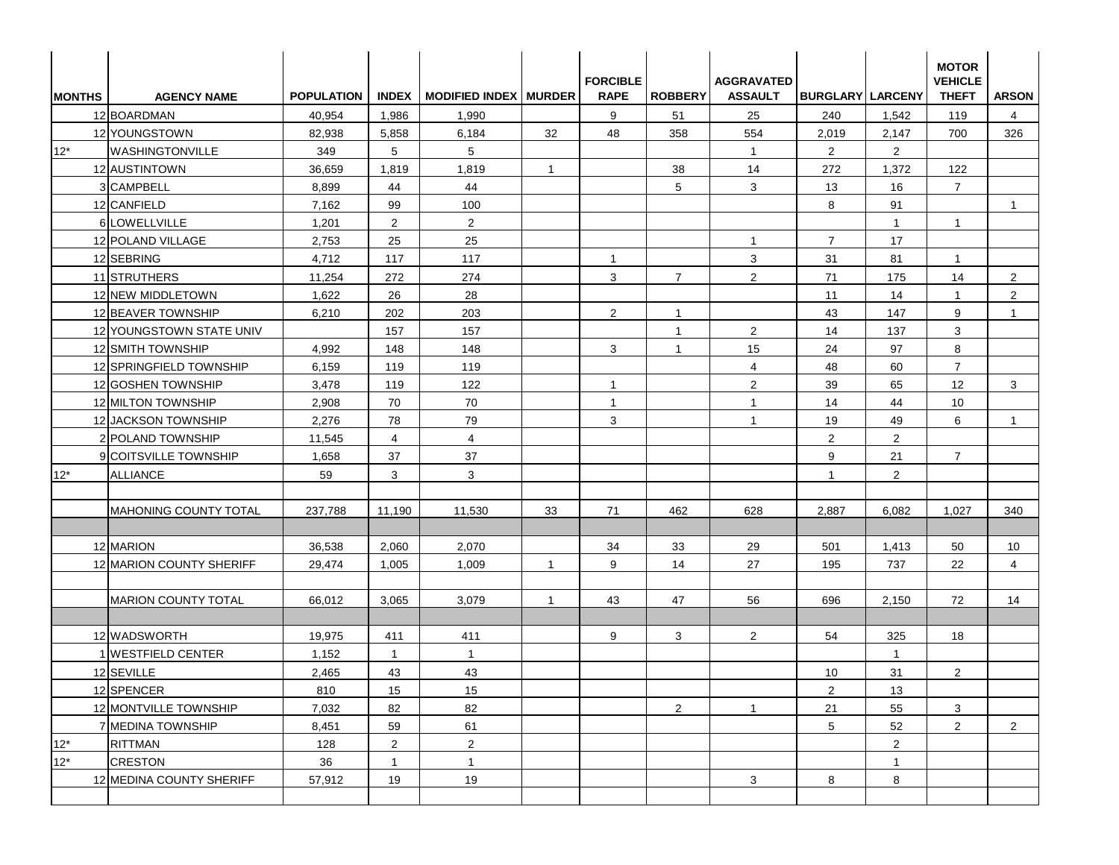| <b>MONTHS</b> | <b>AGENCY NAME</b>           | <b>POPULATION</b> |                | INDEX   MODIFIED INDEX   MURDER |                | <b>FORCIBLE</b><br><b>RAPE</b> | <b>ROBBERY</b> | <b>AGGRAVATED</b><br><b>ASSAULT</b> | <b>BURGLARY LARCENY</b> |                | <b>MOTOR</b><br><b>VEHICLE</b><br><b>THEFT</b> | <b>ARSON</b>   |
|---------------|------------------------------|-------------------|----------------|---------------------------------|----------------|--------------------------------|----------------|-------------------------------------|-------------------------|----------------|------------------------------------------------|----------------|
|               | 12 BOARDMAN                  | 40,954            | 1,986          | 1,990                           |                | 9                              | 51             | 25                                  | 240                     | 1,542          | 119                                            | 4              |
|               | 12 YOUNGSTOWN                | 82,938            | 5,858          | 6,184                           | 32             | 48                             | 358            | 554                                 | 2,019                   | 2,147          | 700                                            | 326            |
| $12*$         | <b>WASHINGTONVILLE</b>       | 349               | 5              | 5                               |                |                                |                | $\mathbf{1}$                        | 2                       | $\overline{2}$ |                                                |                |
|               | 12 AUSTINTOWN                | 36,659            | 1,819          | 1,819                           | $\overline{1}$ |                                | 38             | 14                                  | 272                     | 1,372          | 122                                            |                |
|               | 3 CAMPBELL                   | 8,899             | 44             | 44                              |                |                                | 5              | 3                                   | 13                      | 16             | $\overline{7}$                                 |                |
|               | 12 CANFIELD                  | 7,162             | 99             | 100                             |                |                                |                |                                     | 8                       | 91             |                                                | $\mathbf{1}$   |
|               | 6 LOWELLVILLE                | 1,201             | $\overline{2}$ | $\overline{2}$                  |                |                                |                |                                     |                         | $\mathbf{1}$   | $\mathbf{1}$                                   |                |
|               | 12 POLAND VILLAGE            | 2,753             | 25             | 25                              |                |                                |                | $\overline{1}$                      | $\overline{7}$          | 17             |                                                |                |
|               | 12 SEBRING                   | 4,712             | 117            | 117                             |                | $\overline{1}$                 |                | 3                                   | 31                      | 81             | $\mathbf{1}$                                   |                |
|               | 11 STRUTHERS                 | 11,254            | 272            | 274                             |                | 3                              | $\overline{7}$ | $\overline{2}$                      | 71                      | 175            | 14                                             | $\overline{2}$ |
|               | 12 NEW MIDDLETOWN            | 1,622             | 26             | 28                              |                |                                |                |                                     | 11                      | 14             | $\mathbf{1}$                                   | $\overline{2}$ |
|               | 12 BEAVER TOWNSHIP           | 6,210             | 202            | 203                             |                | 2                              | $\mathbf{1}$   |                                     | 43                      | 147            | 9                                              | $\mathbf{1}$   |
|               | 12 YOUNGSTOWN STATE UNIV     |                   | 157            | 157                             |                |                                | $\mathbf{1}$   | $\overline{2}$                      | 14                      | 137            | 3                                              |                |
|               | 12 SMITH TOWNSHIP            | 4,992             | 148            | 148                             |                | 3                              | $\mathbf{1}$   | 15                                  | 24                      | 97             | 8                                              |                |
|               | 12 SPRINGFIELD TOWNSHIP      | 6,159             | 119            | 119                             |                |                                |                | $\overline{4}$                      | 48                      | 60             | $\overline{7}$                                 |                |
|               | 12 GOSHEN TOWNSHIP           | 3,478             | 119            | 122                             |                | $\mathbf{1}$                   |                | $\overline{2}$                      | 39                      | 65             | 12                                             | 3              |
|               | 12 MILTON TOWNSHIP           | 2,908             | 70             | 70                              |                | $\mathbf{1}$                   |                | $\mathbf{1}$                        | 14                      | 44             | 10                                             |                |
|               | 12 JACKSON TOWNSHIP          | 2,276             | 78             | 79                              |                | 3                              |                | $\mathbf{1}$                        | 19                      | 49             | 6                                              | $\overline{1}$ |
|               | 2 POLAND TOWNSHIP            | 11,545            | $\overline{4}$ | $\overline{4}$                  |                |                                |                |                                     | 2                       | $\overline{2}$ |                                                |                |
|               | 9 COITSVILLE TOWNSHIP        | 1,658             | 37             | 37                              |                |                                |                |                                     | 9                       | 21             | $\overline{7}$                                 |                |
| $12^*$        | <b>ALLIANCE</b>              | 59                | 3              | 3                               |                |                                |                |                                     | $\mathbf{1}$            | $\overline{2}$ |                                                |                |
|               |                              |                   |                |                                 |                |                                |                |                                     |                         |                |                                                |                |
|               | <b>MAHONING COUNTY TOTAL</b> | 237,788           | 11,190         | 11,530                          | 33             | 71                             | 462            | 628                                 | 2,887                   | 6,082          | 1,027                                          | 340            |
|               |                              |                   |                |                                 |                |                                |                |                                     |                         |                |                                                |                |
|               | 12 MARION                    | 36,538            | 2,060          | 2,070                           |                | 34                             | 33             | 29                                  | 501                     | 1,413          | 50                                             | 10             |
|               | 12 MARION COUNTY SHERIFF     | 29,474            | 1,005          | 1,009                           | $\overline{1}$ | 9                              | 14             | 27                                  | 195                     | 737            | 22                                             | $\overline{4}$ |
|               | <b>MARION COUNTY TOTAL</b>   | 66,012            | 3,065          | 3,079                           | $\mathbf{1}$   | 43                             | 47             | 56                                  | 696                     | 2,150          | 72                                             | 14             |
|               |                              |                   |                |                                 |                |                                |                |                                     |                         |                |                                                |                |
|               | 12 WADSWORTH                 | 19,975            | 411            | 411                             |                | 9                              | 3              | $\overline{2}$                      | 54                      | 325            | 18                                             |                |
|               | 1 WESTFIELD CENTER           | 1,152             | $\mathbf{1}$   | $\mathbf{1}$                    |                |                                |                |                                     |                         | $\overline{1}$ |                                                |                |
|               | 12 SEVILLE                   | 2,465             | 43             | 43                              |                |                                |                |                                     | 10                      | 31             | $\overline{2}$                                 |                |
|               | 12 SPENCER                   | 810               | 15             | 15                              |                |                                |                |                                     | $\overline{2}$          | 13             |                                                |                |
|               | 12 MONTVILLE TOWNSHIP        | 7,032             | 82             | 82                              |                |                                | $\overline{2}$ | $\mathbf{1}$                        | 21                      | 55             | 3 <sup>1</sup>                                 |                |
|               | 7 MEDINA TOWNSHIP            | 8,451             | 59             | 61                              |                |                                |                |                                     | $5\phantom{.0}$         | 52             | $\overline{2}$                                 | $\overline{2}$ |
| $12^*$        | <b>RITTMAN</b>               | 128               | $\overline{2}$ | $\overline{2}$                  |                |                                |                |                                     |                         | $\overline{2}$ |                                                |                |
|               | <b>CRESTON</b>               | 36                | $\mathbf{1}$   | $\mathbf{1}$                    |                |                                |                |                                     |                         | $\mathbf{1}$   |                                                |                |
| $12*$         |                              |                   |                |                                 |                |                                |                |                                     |                         |                |                                                |                |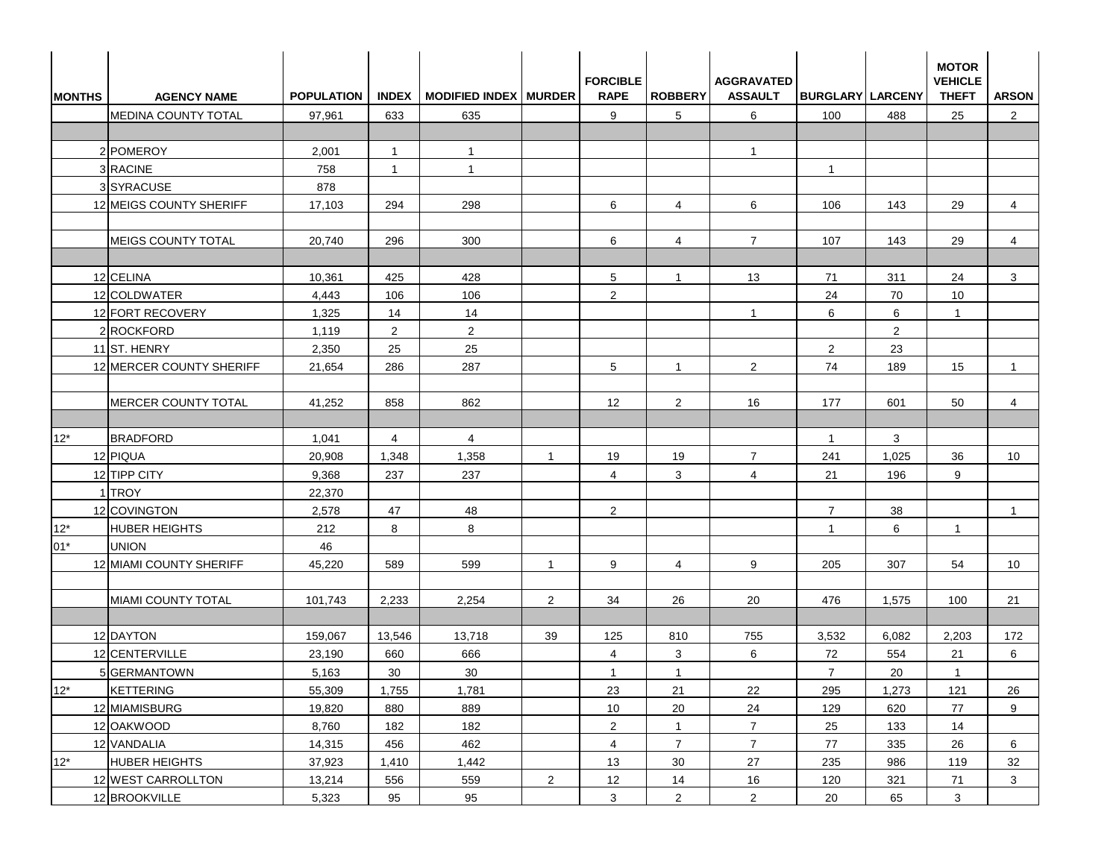| <b>MONTHS</b> | <b>AGENCY NAME</b>         | <b>POPULATION</b> |                 | INDEX   MODIFIED INDEX   MURDER |                | <b>FORCIBLE</b><br><b>RAPE</b> | <b>ROBBERY</b> | <b>AGGRAVATED</b><br><b>ASSAULT</b> | <b>BURGLARY LARCENY</b> |                | <b>MOTOR</b><br><b>VEHICLE</b><br><b>THEFT</b> | <b>ARSON</b>   |
|---------------|----------------------------|-------------------|-----------------|---------------------------------|----------------|--------------------------------|----------------|-------------------------------------|-------------------------|----------------|------------------------------------------------|----------------|
|               | <b>MEDINA COUNTY TOTAL</b> | 97,961            | 633             | 635                             |                | 9                              | 5              | 6                                   | 100                     | 488            | 25                                             | $\overline{2}$ |
|               |                            |                   |                 |                                 |                |                                |                |                                     |                         |                |                                                |                |
|               | 2 POMEROY                  | 2,001             | $\overline{1}$  | $\mathbf{1}$                    |                |                                |                | $\mathbf{1}$                        |                         |                |                                                |                |
|               | 3 RACINE                   | 758               | $\mathbf{1}$    | $\mathbf{1}$                    |                |                                |                |                                     | $\overline{1}$          |                |                                                |                |
|               | 3SYRACUSE                  | 878               |                 |                                 |                |                                |                |                                     |                         |                |                                                |                |
|               | 12 MEIGS COUNTY SHERIFF    | 17,103            | 294             | 298                             |                | 6                              | $\overline{4}$ | 6                                   | 106                     | 143            | 29                                             | $\overline{4}$ |
|               | <b>MEIGS COUNTY TOTAL</b>  | 20,740            | 296             | 300                             |                | 6                              | $\overline{4}$ | $\overline{7}$                      | 107                     | 143            | 29                                             | $\overline{4}$ |
|               | 12 CELINA                  | 10,361            | 425             | 428                             |                | 5                              | $\mathbf{1}$   | 13                                  | 71                      | 311            | 24                                             | 3              |
|               | 12 COLDWATER               | 4,443             | 106             | 106                             |                | 2                              |                |                                     | 24                      | 70             | 10 <sup>1</sup>                                |                |
|               | 12 FORT RECOVERY           | 1,325             | 14              | 14                              |                |                                |                | $\mathbf{1}$                        | 6                       | 6              | $\mathbf{1}$                                   |                |
|               | 2 ROCKFORD                 | 1,119             | $\overline{2}$  | $\overline{2}$                  |                |                                |                |                                     |                         | $\overline{2}$ |                                                |                |
|               | 11ST. HENRY                | 2,350             | 25              | 25                              |                |                                |                |                                     | 2                       | 23             |                                                |                |
|               | 12 MERCER COUNTY SHERIFF   | 21,654            | 286             | 287                             |                | 5                              | $\mathbf{1}$   | $\overline{2}$                      | 74                      | 189            | 15                                             | $\mathbf{1}$   |
|               | MERCER COUNTY TOTAL        | 41,252            | 858             | 862                             |                | 12                             | 2              | 16                                  | 177                     | 601            | 50                                             | 4              |
|               |                            |                   |                 |                                 |                |                                |                |                                     |                         |                |                                                |                |
| $12*$         | <b>BRADFORD</b>            | 1,041             | $\overline{4}$  | $\overline{4}$                  |                |                                |                |                                     | $\overline{1}$          | 3              |                                                |                |
|               | 12 PIQUA                   | 20,908            | 1,348           | 1,358                           | $\overline{1}$ | 19                             | 19             | $\overline{7}$                      | 241                     | 1,025          | 36                                             | 10             |
|               | 12 TIPP CITY               | 9,368             | 237             | 237                             |                | $\overline{4}$                 | 3              | $\overline{4}$                      | 21                      | 196            | 9                                              |                |
|               | 1 TROY                     | 22,370            |                 |                                 |                |                                |                |                                     |                         |                |                                                |                |
|               | 12 COVINGTON               | 2,578             | 47              | 48                              |                | $\overline{2}$                 |                |                                     | $\overline{7}$          | 38             |                                                | $\overline{1}$ |
| $12*$         | <b>HUBER HEIGHTS</b>       | 212               | 8               | 8                               |                |                                |                |                                     | $\overline{1}$          | 6              | $\mathbf{1}$                                   |                |
| $01*$         | <b>UNION</b>               | 46                |                 |                                 |                |                                |                |                                     |                         |                |                                                |                |
|               | 12 MIAMI COUNTY SHERIFF    | 45,220            | 589             | 599                             | $\overline{1}$ | 9                              | $\overline{4}$ | 9                                   | 205                     | 307            | 54                                             | 10             |
|               | MIAMI COUNTY TOTAL         | 101,743           | 2,233           | 2,254                           | $\overline{2}$ | 34                             | 26             | 20                                  | 476                     | 1,575          | 100                                            | 21             |
|               |                            |                   |                 |                                 |                |                                |                |                                     |                         |                |                                                |                |
|               | 12 DAYTON                  | 159,067           | 13,546          | 13,718                          | 39             | 125                            | 810            | 755                                 | 3,532                   | 6,082          | 2,203                                          | 172            |
|               | 12 CENTERVILLE             | 23,190            | 660             | 666                             |                | $\overline{4}$                 | 3              | 6                                   | 72                      | 554            | 21                                             | 6              |
|               | 5 GERMANTOWN               | 5,163             | 30 <sup>°</sup> | $30\,$                          |                | $\mathbf{1}$                   | $\mathbf{1}$   |                                     | $\overline{7}$          | 20             | $\mathbf{1}$                                   |                |
| $12^*$        | <b>KETTERING</b>           | 55,309            | 1,755           | 1,781                           |                | 23                             | 21             | 22                                  | 295                     | 1,273          | 121                                            | 26             |
|               | 12 MIAMISBURG              | 19,820            | 880             | 889                             |                | 10                             | 20             | 24                                  | 129                     | 620            | 77                                             | 9              |
|               | 12 OAKWOOD                 | 8,760             | 182             | 182                             |                | $\overline{2}$                 | $\mathbf{1}$   | $\overline{7}$                      | 25                      | 133            | 14                                             |                |
|               | 12 VANDALIA                | 14,315            | 456             | 462                             |                | $\overline{4}$                 | $\overline{7}$ | $\overline{7}$                      | 77                      | 335            | 26                                             | 6              |
| $12^*$        | <b>HUBER HEIGHTS</b>       | 37,923            | 1,410           | 1,442                           |                | 13                             | 30             | 27                                  | 235                     | 986            | 119                                            | 32             |
|               | 12 WEST CARROLLTON         | 13,214            | 556             | 559                             | $\overline{2}$ | 12                             | 14             | 16                                  | 120                     | 321            | 71                                             | 3 <sup>1</sup> |
|               | 12 BROOKVILLE              | 5,323             | 95              | 95                              |                | $\mathbf{3}$                   | $\overline{2}$ | $\overline{2}$                      | $20\,$                  | 65             | $\mathbf{3}$                                   |                |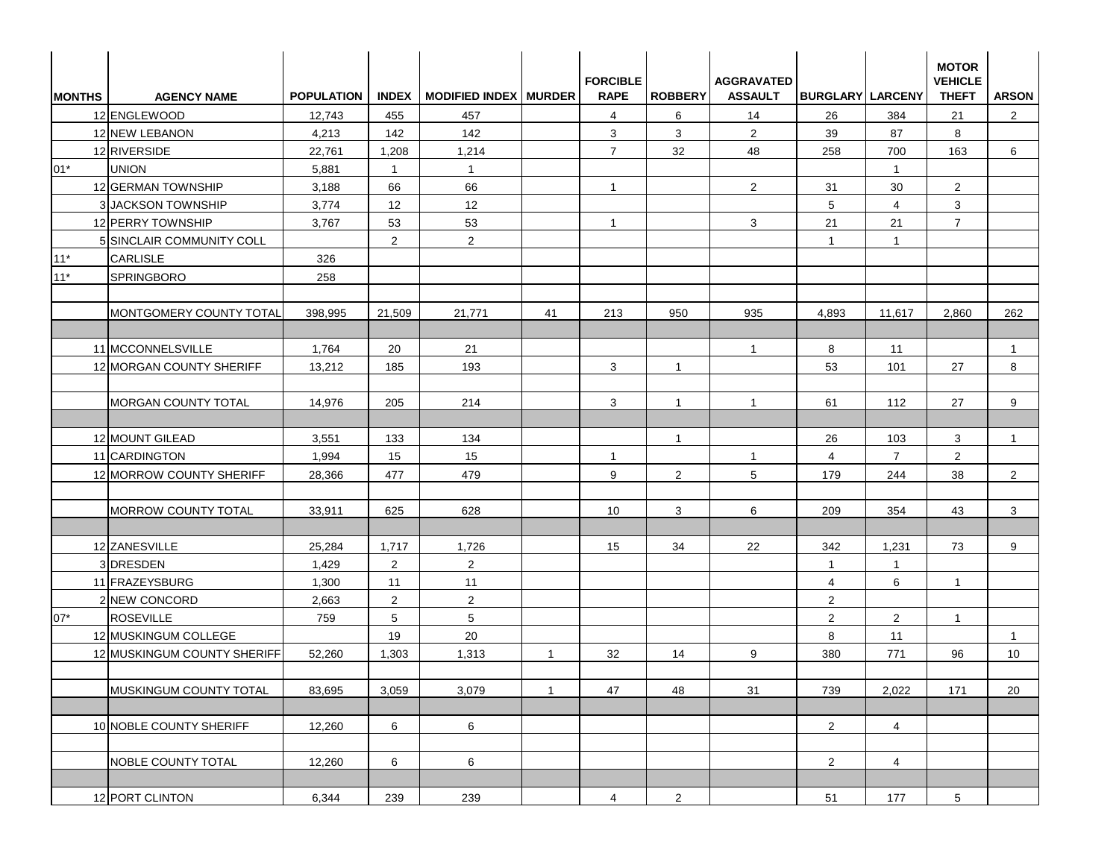| <b>MONTHS</b> | <b>AGENCY NAME</b>               | <b>POPULATION</b> |                | INDEX   MODIFIED INDEX   MURDER |              | <b>FORCIBLE</b><br><b>RAPE</b> | <b>ROBBERY</b> | <b>AGGRAVATED</b><br><b>ASSAULT</b> | <b>BURGLARY LARCENY</b> |                | <b>MOTOR</b><br><b>VEHICLE</b><br><b>THEFT</b> | <b>ARSON</b>   |
|---------------|----------------------------------|-------------------|----------------|---------------------------------|--------------|--------------------------------|----------------|-------------------------------------|-------------------------|----------------|------------------------------------------------|----------------|
|               | 12 ENGLEWOOD                     | 12,743            | 455            | 457                             |              | $\overline{4}$                 | 6              | 14                                  | 26                      | 384            | 21                                             | $\overline{2}$ |
|               | 12 NEW LEBANON                   | 4,213             | 142            | 142                             |              | 3                              | 3              | $\overline{2}$                      | 39                      | 87             | 8                                              |                |
|               | 12 RIVERSIDE                     | 22,761            | 1,208          | 1,214                           |              | $\overline{7}$                 | 32             | 48                                  | 258                     | 700            | 163                                            | 6              |
| $01*$         | <b>UNION</b>                     | 5,881             | $\mathbf{1}$   | $\overline{1}$                  |              |                                |                |                                     |                         | $\mathbf{1}$   |                                                |                |
|               | 12 GERMAN TOWNSHIP               | 3,188             | 66             | 66                              |              | $\mathbf{1}$                   |                | $\overline{2}$                      | 31                      | 30             | $\overline{2}$                                 |                |
|               | 3 JACKSON TOWNSHIP               | 3,774             | 12             | 12                              |              |                                |                |                                     | 5                       | $\overline{4}$ | 3                                              |                |
|               | 12 PERRY TOWNSHIP                | 3,767             | 53             | 53                              |              | $\mathbf{1}$                   |                | 3                                   | 21                      | 21             | $\overline{7}$                                 |                |
|               | <b>5 SINCLAIR COMMUNITY COLL</b> |                   | $\overline{2}$ | $\overline{2}$                  |              |                                |                |                                     | $\mathbf{1}$            | $\overline{1}$ |                                                |                |
| $11*$         | <b>CARLISLE</b>                  | 326               |                |                                 |              |                                |                |                                     |                         |                |                                                |                |
| $11*$         | <b>SPRINGBORO</b>                | 258               |                |                                 |              |                                |                |                                     |                         |                |                                                |                |
|               | MONTGOMERY COUNTY TOTAL          | 398,995           | 21,509         | 21,771                          | 41           | 213                            | 950            | 935                                 | 4,893                   | 11,617         | 2,860                                          | 262            |
|               | 11 MCCONNELSVILLE                | 1,764             | 20             | 21                              |              |                                |                | $\mathbf{1}$                        | 8                       | 11             |                                                | $\mathbf{1}$   |
|               | 12 MORGAN COUNTY SHERIFF         | 13,212            | 185            | 193                             |              | 3                              | $\mathbf{1}$   |                                     | 53                      | 101            | 27                                             | 8              |
|               |                                  |                   |                |                                 |              |                                |                |                                     |                         |                |                                                |                |
|               | <b>MORGAN COUNTY TOTAL</b>       | 14,976            | 205            | 214                             |              | 3                              | $\mathbf{1}$   | $\mathbf{1}$                        | 61                      | 112            | 27                                             | 9              |
|               | 12 MOUNT GILEAD                  | 3,551             | 133            | 134                             |              |                                | $\mathbf{1}$   |                                     | 26                      | 103            | 3                                              | $\mathbf{1}$   |
|               | 11 CARDINGTON                    | 1,994             | 15             | 15                              |              | $\mathbf{1}$                   |                | $\mathbf{1}$                        | 4                       | $\overline{7}$ | $\overline{2}$                                 |                |
|               | 12 MORROW COUNTY SHERIFF         | 28,366            | 477            | 479                             |              | 9                              | $\overline{2}$ | 5                                   | 179                     | 244            | 38                                             | $\overline{2}$ |
|               |                                  |                   |                |                                 |              |                                |                |                                     |                         |                |                                                |                |
|               | <b>MORROW COUNTY TOTAL</b>       | 33,911            | 625            | 628                             |              | 10                             | 3              | 6                                   | 209                     | 354            | 43                                             | 3              |
|               | 12 ZANESVILLE                    | 25,284            | 1,717          | 1,726                           |              | 15                             | 34             | 22                                  | 342                     | 1,231          | 73                                             | 9              |
|               | 3DRESDEN                         | 1,429             | $\overline{2}$ | $\overline{2}$                  |              |                                |                |                                     | $\overline{1}$          | $\mathbf{1}$   |                                                |                |
|               | 11 FRAZEYSBURG                   | 1,300             | 11             | 11                              |              |                                |                |                                     | $\overline{4}$          | 6              | $\mathbf{1}$                                   |                |
|               | 2 NEW CONCORD                    | 2,663             | $\overline{2}$ | $\overline{2}$                  |              |                                |                |                                     | $\overline{2}$          |                |                                                |                |
| $07*$         | <b>ROSEVILLE</b>                 | 759               | 5              | 5                               |              |                                |                |                                     | 2                       | 2              | $\mathbf{1}$                                   |                |
|               | 12 MUSKINGUM COLLEGE             |                   | 19             | 20                              |              |                                |                |                                     | 8                       | 11             |                                                | $\overline{1}$ |
|               | 12 MUSKINGUM COUNTY SHERIFF      | 52,260            | 1,303          | 1,313                           | $\mathbf{1}$ | 32                             | 14             | 9                                   | 380                     | 771            | 96                                             | 10             |
|               | MUSKINGUM COUNTY TOTAL           | 83,695            | 3,059          | 3,079                           | $\mathbf{1}$ | 47                             | 48             | 31                                  | 739                     | 2,022          | 171                                            | 20             |
|               |                                  |                   |                |                                 |              |                                |                |                                     |                         |                |                                                |                |
|               | 10 NOBLE COUNTY SHERIFF          | 12,260            | 6              | 6                               |              |                                |                |                                     | $\overline{2}$          | 4              |                                                |                |
|               | NOBLE COUNTY TOTAL               | 12,260            | 6              | 6                               |              |                                |                |                                     | $\overline{2}$          | $\overline{4}$ |                                                |                |
|               |                                  |                   |                |                                 |              |                                |                |                                     |                         |                |                                                |                |
|               | 12 PORT CLINTON                  | 6,344             | 239            | 239                             |              | $\overline{4}$                 | $\overline{2}$ |                                     | 51                      | 177            | $5\phantom{.0}$                                |                |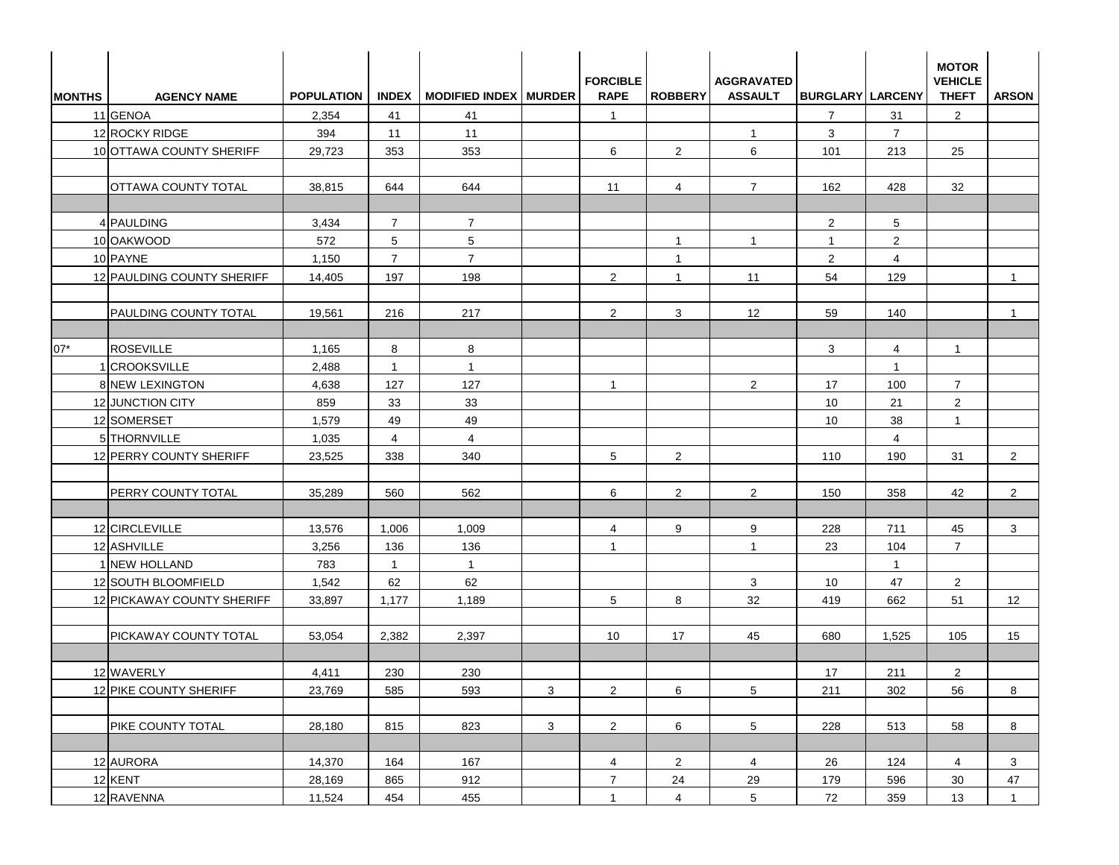| <b>MONTHS</b> | <b>AGENCY NAME</b>         | <b>POPULATION</b> |                | INDEX   MODIFIED INDEX   MURDER |              | <b>FORCIBLE</b><br><b>RAPE</b> | <b>ROBBERY</b>  | <b>AGGRAVATED</b><br><b>ASSAULT</b> | <b>BURGLARY LARCENY</b> |                | <b>MOTOR</b><br><b>VEHICLE</b><br><b>THEFT</b> | <b>ARSON</b>   |
|---------------|----------------------------|-------------------|----------------|---------------------------------|--------------|--------------------------------|-----------------|-------------------------------------|-------------------------|----------------|------------------------------------------------|----------------|
|               | 11 GENOA                   | 2,354             | 41             | 41                              |              | $\mathbf{1}$                   |                 |                                     | $\overline{7}$          | 31             | $\overline{2}$                                 |                |
|               | 12 ROCKY RIDGE             | 394               | 11             | 11                              |              |                                |                 | $\mathbf{1}$                        | 3                       | $\overline{7}$ |                                                |                |
|               | 10 OTTAWA COUNTY SHERIFF   | 29,723            | 353            | 353                             |              | 6                              | $\overline{2}$  | 6                                   | 101                     | 213            | 25                                             |                |
|               |                            |                   |                |                                 |              |                                |                 |                                     |                         |                |                                                |                |
|               | <b>OTTAWA COUNTY TOTAL</b> | 38,815            | 644            | 644                             |              | 11                             | $\overline{4}$  | $\overline{7}$                      | 162                     | 428            | 32                                             |                |
|               |                            |                   |                |                                 |              |                                |                 |                                     |                         |                |                                                |                |
|               | 4 PAULDING                 | 3,434             | $\overline{7}$ | $\overline{7}$                  |              |                                |                 |                                     | $\overline{2}$          | 5              |                                                |                |
|               | 10 OAKWOOD                 | 572               | 5              | 5                               |              |                                | $\mathbf{1}$    | $\mathbf{1}$                        | $\mathbf{1}$            | $\overline{2}$ |                                                |                |
|               | 10 PAYNE                   | 1,150             | $\overline{7}$ | $\overline{7}$                  |              |                                | $\mathbf{1}$    |                                     | 2                       | $\overline{4}$ |                                                |                |
|               | 12 PAULDING COUNTY SHERIFF | 14,405            | 197            | 198                             |              | 2                              | $\mathbf{1}$    | 11                                  | 54                      | 129            |                                                | $\overline{1}$ |
|               |                            |                   |                |                                 |              |                                |                 |                                     |                         |                |                                                |                |
|               | PAULDING COUNTY TOTAL      | 19,561            | 216            | 217                             |              | 2                              | 3               | $12 \overline{ }$                   | 59                      | 140            |                                                | $\mathbf{1}$   |
| 07*           | <b>ROSEVILLE</b>           | 1,165             | 8              | 8                               |              |                                |                 |                                     | 3                       | $\overline{4}$ | $\mathbf{1}$                                   |                |
|               | 1 CROOKSVILLE              | 2,488             | $\overline{1}$ | $\mathbf{1}$                    |              |                                |                 |                                     |                         | $\mathbf{1}$   |                                                |                |
|               | 8 NEW LEXINGTON            | 4,638             | 127            | 127                             |              | $\mathbf{1}$                   |                 | 2                                   | 17                      | 100            | $\overline{7}$                                 |                |
|               | 12 JUNCTION CITY           | 859               | 33             | 33                              |              |                                |                 |                                     | 10                      | 21             | $\overline{2}$                                 |                |
|               | 12 SOMERSET                | 1,579             | 49             | 49                              |              |                                |                 |                                     | 10                      | 38             | $\mathbf{1}$                                   |                |
|               | 5 THORNVILLE               | 1,035             | $\overline{4}$ | $\overline{4}$                  |              |                                |                 |                                     |                         | 4              |                                                |                |
|               | 12 PERRY COUNTY SHERIFF    | 23,525            | 338            | 340                             |              | 5                              | $\overline{2}$  |                                     | 110                     | 190            | 31                                             | $\overline{2}$ |
|               |                            |                   |                |                                 |              |                                |                 |                                     |                         |                |                                                |                |
|               | PERRY COUNTY TOTAL         | 35,289            | 560            | 562                             |              | 6                              | $\overline{2}$  | $\overline{2}$                      | 150                     | 358            | 42                                             | $\overline{2}$ |
|               |                            |                   |                |                                 |              |                                |                 |                                     |                         |                |                                                |                |
|               | 12 CIRCLEVILLE             | 13,576            | 1,006          | 1,009                           |              | $\overline{4}$                 | 9               | 9                                   | 228                     | 711            | 45                                             | 3              |
|               | 12 ASHVILLE                | 3,256             | 136            | 136                             |              | $\overline{1}$                 |                 | $\mathbf{1}$                        | 23                      | 104            | $\overline{7}$                                 |                |
|               | 1 NEW HOLLAND              | 783               | $\overline{1}$ | $\mathbf{1}$                    |              |                                |                 |                                     |                         | $\mathbf{1}$   |                                                |                |
|               | 12 SOUTH BLOOMFIELD        | 1,542             | 62             | 62                              |              |                                |                 | 3                                   | 10                      | 47             | $\overline{2}$                                 |                |
|               | 12 PICKAWAY COUNTY SHERIFF | 33,897            | 1,177          | 1,189                           |              | 5                              | 8               | 32                                  | 419                     | 662            | 51                                             | 12             |
|               |                            |                   |                |                                 |              |                                |                 |                                     |                         |                |                                                |                |
|               | PICKAWAY COUNTY TOTAL      | 53,054            | 2,382          | 2,397                           |              | 10                             | 17              | 45                                  | 680                     | 1,525          | 105                                            | 15             |
|               | 12 WAVERLY                 | 4,411             | 230            | 230                             |              |                                |                 |                                     | 17                      | 211            | $\overline{2}$                                 |                |
|               | 12 PIKE COUNTY SHERIFF     | 23,769            | 585            | 593                             | $\mathbf{3}$ | $\overline{2}$                 | $6\overline{6}$ | $5\overline{)}$                     | 211                     | 302            | 56                                             | 8              |
|               |                            |                   |                |                                 |              |                                |                 |                                     |                         |                |                                                |                |
|               | PIKE COUNTY TOTAL          | 28,180            | 815            | 823                             | $\mathbf{3}$ | $2\overline{ }$                | 6               | $5\overline{)}$                     | 228                     | 513            | 58                                             | 8              |
|               |                            |                   |                |                                 |              |                                |                 |                                     |                         |                |                                                |                |
|               | 12 AURORA                  | 14,370            | 164            | 167                             |              | $\overline{4}$                 | $\overline{2}$  | $\overline{4}$                      | 26                      | 124            | $\overline{4}$                                 | 3              |
|               | 12 KENT                    | 28,169            | 865            | 912                             |              | $7^{\circ}$                    | 24              | 29                                  | 179                     | 596            | 30 <sup>°</sup>                                | 47             |
|               | 12 RAVENNA                 | 11,524            | 454            | 455                             |              | $\mathbf{1}$                   | $\overline{4}$  | 5 <sub>5</sub>                      | 72                      | 359            | 13                                             | $\mathbf{1}$   |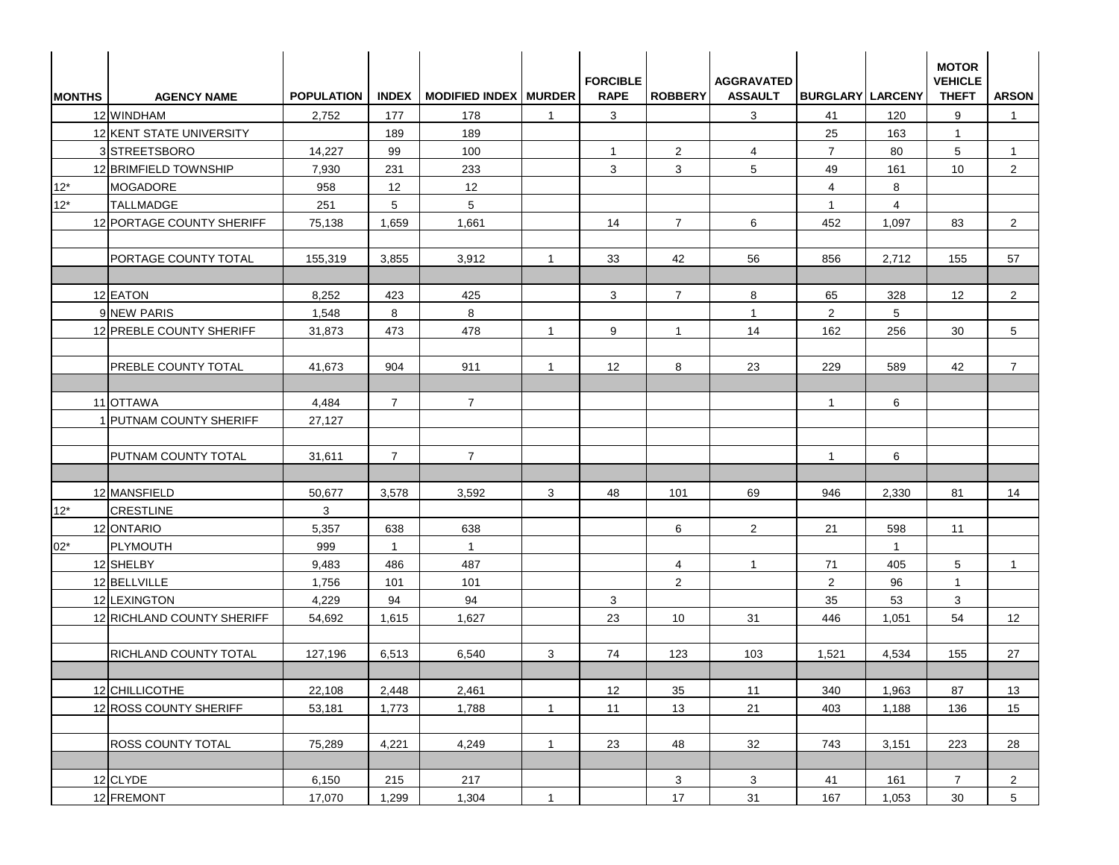| <b>MONTHS</b> | <b>AGENCY NAME</b>             | <b>POPULATION</b> |                | INDEX   MODIFIED INDEX   MURDER |                | <b>FORCIBLE</b><br><b>RAPE</b> | <b>ROBBERY</b> | <b>AGGRAVATED</b><br><b>ASSAULT</b> | <b>BURGLARY LARCENY</b> |                | <b>MOTOR</b><br><b>VEHICLE</b><br><b>THEFT</b> | <b>ARSON</b>    |
|---------------|--------------------------------|-------------------|----------------|---------------------------------|----------------|--------------------------------|----------------|-------------------------------------|-------------------------|----------------|------------------------------------------------|-----------------|
|               | 12 WINDHAM                     | 2,752             | 177            | 178                             | $\overline{1}$ | 3                              |                | 3                                   | 41                      | 120            | 9                                              | $\overline{1}$  |
|               | 12 KENT STATE UNIVERSITY       |                   | 189            | 189                             |                |                                |                |                                     | 25                      | 163            | $\mathbf{1}$                                   |                 |
|               | 3 STREETSBORO                  | 14,227            | 99             | 100                             |                | $\mathbf{1}$                   | $\overline{2}$ | 4                                   | $\overline{7}$          | 80             | 5                                              | $\mathbf{1}$    |
|               | 12 BRIMFIELD TOWNSHIP          | 7,930             | 231            | 233                             |                | 3                              | 3              | 5                                   | 49                      | 161            | 10 <sup>°</sup>                                | $\overline{2}$  |
| $12*$         | <b>MOGADORE</b>                | 958               | 12             | 12                              |                |                                |                |                                     | $\overline{4}$          | 8              |                                                |                 |
| $12*$         | <b>TALLMADGE</b>               | 251               | 5              | 5                               |                |                                |                |                                     | $\mathbf{1}$            | $\overline{4}$ |                                                |                 |
|               | 12 PORTAGE COUNTY SHERIFF      | 75,138            | 1,659          | 1,661                           |                | 14                             | $\overline{7}$ | 6                                   | 452                     | 1,097          | 83                                             | $\overline{2}$  |
|               | PORTAGE COUNTY TOTAL           | 155,319           | 3,855          | 3,912                           | $\overline{1}$ | 33                             | 42             | 56                                  | 856                     | 2,712          | 155                                            | 57              |
|               | 12 EATON                       | 8,252             | 423            | 425                             |                | 3                              | $\overline{7}$ | 8                                   | 65                      | 328            | 12                                             | $\overline{2}$  |
|               | 9 NEW PARIS                    | 1,548             | 8              | 8                               |                |                                |                | $\mathbf{1}$                        | 2                       | 5              |                                                |                 |
|               | 12 PREBLE COUNTY SHERIFF       | 31,873            | 473            | 478                             | $\overline{1}$ | 9                              | $\mathbf{1}$   | 14                                  | 162                     | 256            | 30                                             | 5               |
|               |                                |                   |                |                                 |                |                                |                |                                     |                         |                |                                                |                 |
|               | <b>PREBLE COUNTY TOTAL</b>     | 41,673            | 904            | 911                             | $\overline{1}$ | 12                             | 8              | 23                                  | 229                     | 589            | 42                                             | $\overline{7}$  |
|               | 11 OTTAWA                      | 4,484             | $\overline{7}$ | $\overline{7}$                  |                |                                |                |                                     | $\overline{1}$          | 6              |                                                |                 |
|               | <b>1 PUTNAM COUNTY SHERIFF</b> | 27,127            |                |                                 |                |                                |                |                                     |                         |                |                                                |                 |
|               | <b>PUTNAM COUNTY TOTAL</b>     | 31,611            | $\overline{7}$ | $\overline{7}$                  |                |                                |                |                                     | $\mathbf{1}$            | 6              |                                                |                 |
|               | 12 MANSFIELD                   | 50,677            | 3,578          | 3,592                           | 3              | 48                             | 101            | 69                                  | 946                     | 2,330          | 81                                             | 14              |
| $12*$         | <b>CRESTLINE</b>               | 3                 |                |                                 |                |                                |                |                                     |                         |                |                                                |                 |
|               | 12 ONTARIO                     | 5,357             | 638            | 638                             |                |                                | 6              | 2                                   | 21                      | 598            | 11                                             |                 |
| $02*$         | <b>PLYMOUTH</b>                | 999               | $\overline{1}$ | $\overline{1}$                  |                |                                |                |                                     |                         | $\mathbf{1}$   |                                                |                 |
|               | 12 SHELBY                      | 9,483             | 486            | 487                             |                |                                | $\overline{4}$ | $\overline{1}$                      | 71                      | 405            | 5                                              | $\overline{1}$  |
|               | 12 BELLVILLE                   | 1,756             | 101            | 101                             |                |                                | $\overline{2}$ |                                     | 2                       | 96             | $\mathbf{1}$                                   |                 |
|               | 12 LEXINGTON                   | 4,229             | 94             | 94                              |                | 3                              |                |                                     | 35                      | 53             | 3                                              |                 |
|               | 12 RICHLAND COUNTY SHERIFF     | 54,692            | 1,615          | 1,627                           |                | 23                             | 10             | 31                                  | 446                     | 1,051          | 54                                             | 12 <sup>°</sup> |
|               | <b>RICHLAND COUNTY TOTAL</b>   | 127,196           | 6,513          | 6,540                           | 3              | 74                             | 123            | 103                                 | 1,521                   | 4,534          | 155                                            | 27              |
|               | 12 CHILLICOTHE                 | 22,108            | 2,448          | 2,461                           |                | 12                             | 35             | 11                                  | 340                     | 1,963          | 87                                             | 13              |
|               | 12 ROSS COUNTY SHERIFF         | 53,181            | 1,773          | 1,788                           | $\overline{1}$ | 11                             | 13             | 21                                  | 403                     | 1,188          | 136                                            | 15              |
|               | <b>ROSS COUNTY TOTAL</b>       | 75,289            | 4,221          | 4,249                           | $\mathbf{1}$   | 23                             | 48             | 32                                  | 743                     | 3,151          | 223                                            | 28              |
|               |                                |                   |                |                                 |                |                                |                |                                     |                         |                |                                                |                 |
|               | 12 CLYDE<br>12 FREMONT         | 6,150             | 215            | 217                             |                |                                | 3<br>17        | 3<br>31                             | 41<br>167               | 161<br>1,053   | $\overline{7}$<br>30 <sup>°</sup>              | $\mathbf{2}$    |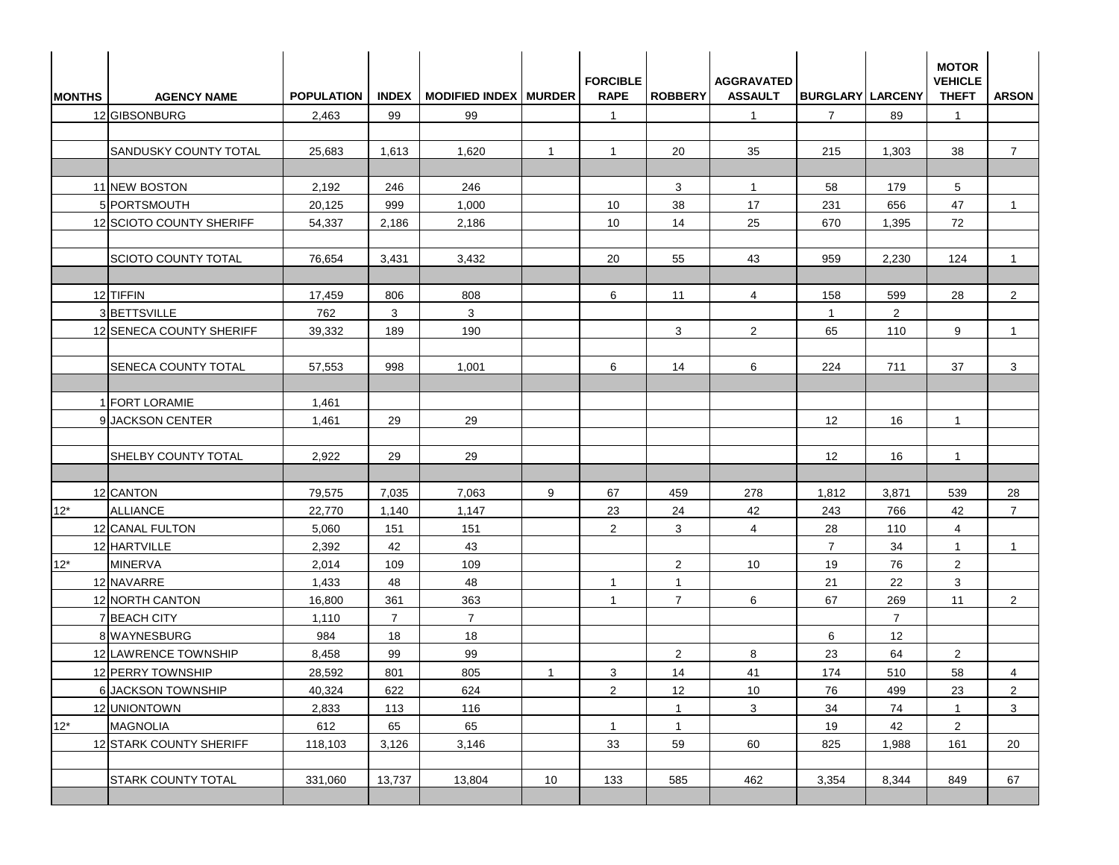| <b>MONTHS</b> | <b>AGENCY NAME</b>         | <b>POPULATION</b> |                | INDEX   MODIFIED INDEX   MURDER |                | <b>FORCIBLE</b><br><b>RAPE</b> | <b>ROBBERY</b> | <b>AGGRAVATED</b><br><b>ASSAULT</b> | <b>BURGLARY LARCENY</b> |                       | <b>MOTOR</b><br><b>VEHICLE</b><br><b>THEFT</b> | <b>ARSON</b>   |
|---------------|----------------------------|-------------------|----------------|---------------------------------|----------------|--------------------------------|----------------|-------------------------------------|-------------------------|-----------------------|------------------------------------------------|----------------|
|               | 12 GIBSONBURG              | 2,463             | 99             | 99                              |                | $\mathbf{1}$                   |                | $\overline{1}$                      | $\overline{7}$          | 89                    | $\mathbf{1}$                                   |                |
|               |                            |                   |                |                                 |                |                                |                |                                     |                         |                       |                                                |                |
|               | SANDUSKY COUNTY TOTAL      | 25,683            | 1,613          | 1,620                           | $\overline{1}$ | $\mathbf{1}$                   | 20             | 35                                  | 215                     | 1,303                 | 38                                             | $\overline{7}$ |
|               | 11 NEW BOSTON              | 2,192             | 246            | 246                             |                |                                | 3              | $\mathbf{1}$                        | 58                      | 179                   | $5\phantom{.0}$                                |                |
|               | 5 PORTSMOUTH               | 20,125            | 999            | 1,000                           |                | 10                             | 38             | 17                                  | 231                     | 656                   | 47                                             | $\overline{1}$ |
|               | 12 SCIOTO COUNTY SHERIFF   | 54,337            | 2,186          | 2,186                           |                | 10                             | 14             | 25                                  | 670                     | 1,395                 | 72                                             |                |
|               | <b>SCIOTO COUNTY TOTAL</b> | 76,654            | 3,431          | 3,432                           |                | 20                             | 55             | 43                                  | 959                     | 2,230                 | 124                                            | $\mathbf{1}$   |
|               |                            |                   |                |                                 |                |                                |                |                                     |                         |                       |                                                |                |
|               | 12 TIFFIN<br>3 BETTSVILLE  | 17,459<br>762     | 806            | 808<br>3                        |                | 6                              | 11             | 4                                   | 158                     | 599                   | 28                                             | $\overline{2}$ |
|               | 12 SENECA COUNTY SHERIFF   | 39,332            | 3<br>189       | 190                             |                |                                | 3              | $\overline{2}$                      | $\mathbf{1}$<br>65      | $\overline{2}$<br>110 | 9                                              | $\mathbf{1}$   |
|               |                            |                   |                |                                 |                |                                |                |                                     |                         |                       |                                                |                |
|               | <b>SENECA COUNTY TOTAL</b> | 57,553            | 998            | 1,001                           |                | 6                              | 14             | 6                                   | 224                     | 711                   | 37                                             | 3              |
|               | 1 FORT LORAMIE             | 1,461             |                |                                 |                |                                |                |                                     |                         |                       |                                                |                |
|               | 9JACKSON CENTER            | 1,461             | 29             | 29                              |                |                                |                |                                     | 12                      | 16                    | $\mathbf{1}$                                   |                |
|               | <b>SHELBY COUNTY TOTAL</b> | 2,922             | 29             | 29                              |                |                                |                |                                     | 12                      | 16                    | $\mathbf{1}$                                   |                |
|               |                            |                   |                |                                 |                |                                |                |                                     |                         |                       |                                                |                |
|               | 12 CANTON                  | 79,575            | 7,035          | 7,063                           | 9              | 67                             | 459            | 278                                 | 1,812                   | 3,871                 | 539                                            | 28             |
| $12*$         | <b>ALLIANCE</b>            | 22,770            | 1,140          | 1,147                           |                | 23                             | 24             | 42                                  | 243                     | 766                   | 42                                             | $\overline{7}$ |
|               | 12 CANAL FULTON            | 5,060             | 151            | 151                             |                | 2                              | 3              | $\overline{4}$                      | 28                      | 110                   | $\overline{4}$                                 |                |
|               | 12 HARTVILLE               | 2,392             | 42             | 43                              |                |                                |                |                                     | $\overline{7}$          | 34                    | $\mathbf{1}$                                   | $\mathbf{1}$   |
| $12*$         | <b>MINERVA</b>             | 2,014             | 109            | 109                             |                |                                | $\overline{2}$ | 10                                  | 19                      | 76                    | $\overline{2}$                                 |                |
|               | 12 NAVARRE                 | 1,433             | 48             | 48                              |                | $\mathbf{1}$                   | $\mathbf{1}$   |                                     | 21                      | 22                    | 3                                              |                |
|               | 12 NORTH CANTON            | 16,800            | 361            | 363                             |                | $\mathbf{1}$                   | $\overline{7}$ | 6                                   | 67                      | 269                   | 11                                             | $\mathbf{2}$   |
|               | 7 BEACH CITY               | 1,110             | $\overline{7}$ | $\overline{7}$                  |                |                                |                |                                     |                         | $\overline{7}$        |                                                |                |
|               | 8 WAYNESBURG               | 984               | 18             | 18                              |                |                                |                |                                     | 6                       | 12                    |                                                |                |
|               | 12 LAWRENCE TOWNSHIP       | 8,458             | 99             | 99                              |                |                                | $\mathbf{2}$   | 8                                   | 23                      | 64                    | $\overline{2}$                                 |                |
|               | 12 PERRY TOWNSHIP          | 28,592            | 801            | 805                             | $\mathbf{1}$   | $\mathbf{3}$                   | 14             | 41                                  | 174                     | 510                   | 58                                             | $\overline{4}$ |
|               | 6 JACKSON TOWNSHIP         | 40,324            | 622            | 624                             |                | $\overline{2}$                 | 12             | 10                                  | 76                      | 499                   | 23                                             | $\overline{2}$ |
|               | 12 UNIONTOWN               | 2,833             | 113            | 116                             |                |                                | $\mathbf{1}$   | $\mathbf{3}$                        | 34                      | 74                    | $\mathbf{1}$                                   | $\mathbf{3}$   |
| $12*$         | <b>MAGNOLIA</b>            | 612               | 65             | 65                              |                | $\mathbf{1}$                   | $\mathbf{1}$   |                                     | 19                      | 42                    | $\overline{2}$                                 |                |
|               | 12 STARK COUNTY SHERIFF    | 118,103           | 3,126          | 3,146                           |                | 33                             | 59             | 60                                  | 825                     | 1,988                 | 161                                            | 20             |
|               | <b>STARK COUNTY TOTAL</b>  | 331,060           | 13,737         | 13,804                          | 10             | 133                            | 585            | 462                                 | 3,354                   | 8,344                 | 849                                            | 67             |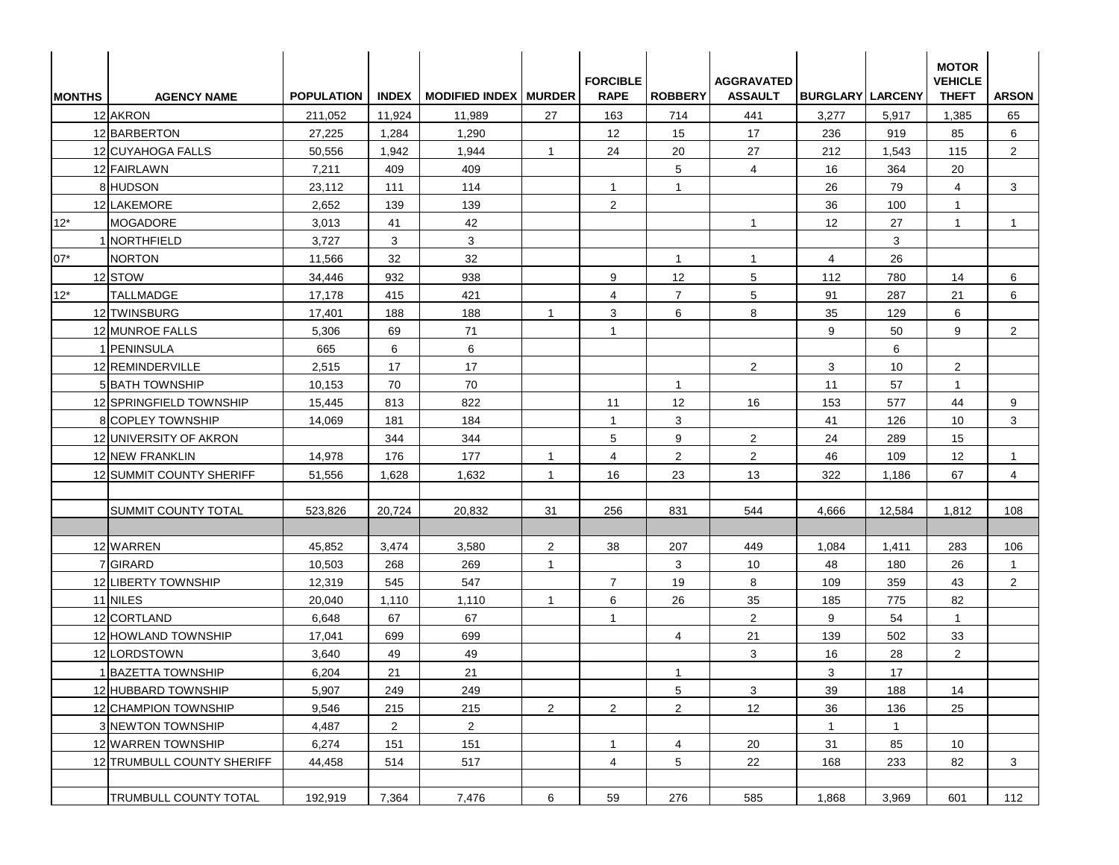| <b>IMONTHS</b> | <b>AGENCY NAME</b>           | <b>POPULATION</b> |                | INDEX   MODIFIED INDEX   MURDER |                | <b>FORCIBLE</b><br><b>RAPE</b> | <b>ROBBERY</b> | <b>AGGRAVATED</b><br><b>ASSAULT</b> | <b>BURGLARY LARCENY</b> |              | <b>MOTOR</b><br><b>VEHICLE</b><br><b>THEFT</b> | <b>ARSON</b>   |
|----------------|------------------------------|-------------------|----------------|---------------------------------|----------------|--------------------------------|----------------|-------------------------------------|-------------------------|--------------|------------------------------------------------|----------------|
|                | 12 AKRON                     | 211,052           | 11,924         | 11,989                          | 27             | 163                            | 714            | 441                                 | 3,277                   | 5,917        | 1,385                                          | 65             |
|                | 12 BARBERTON                 | 27,225            | 1,284          | 1,290                           |                | 12                             | 15             | 17                                  | 236                     | 919          | 85                                             | 6              |
|                | 12 CUYAHOGA FALLS            | 50,556            | 1,942          | 1,944                           | $\mathbf{1}$   | 24                             | 20             | 27                                  | 212                     | 1,543        | 115                                            | $\overline{2}$ |
|                | 12 FAIRLAWN                  | 7,211             | 409            | 409                             |                |                                | 5              | 4                                   | 16                      | 364          | 20                                             |                |
|                | 8 HUDSON                     | 23,112            | 111            | 114                             |                | $\mathbf{1}$                   | $\overline{1}$ |                                     | 26                      | 79           | $\overline{4}$                                 | 3              |
|                | 12 LAKEMORE                  | 2,652             | 139            | 139                             |                | $\overline{2}$                 |                |                                     | 36                      | 100          | $\mathbf{1}$                                   |                |
| $12*$          | <b>MOGADORE</b>              | 3,013             | 41             | 42                              |                |                                |                | $\mathbf{1}$                        | 12                      | 27           | $\mathbf{1}$                                   | $\mathbf{1}$   |
|                | 1 NORTHFIELD                 | 3,727             | 3              | 3                               |                |                                |                |                                     |                         | 3            |                                                |                |
| $07*$          | <b>NORTON</b>                | 11,566            | 32             | 32                              |                |                                | $\overline{1}$ | $\mathbf{1}$                        | 4                       | 26           |                                                |                |
|                | 12 STOW                      | 34,446            | 932            | 938                             |                | 9                              | 12             | 5                                   | 112                     | 780          | 14                                             | 6              |
| $12*$          | <b>TALLMADGE</b>             | 17,178            | 415            | 421                             |                | $\overline{4}$                 | $\overline{7}$ | 5                                   | 91                      | 287          | 21                                             | 6              |
|                | 12 TWINSBURG                 | 17,401            | 188            | 188                             | $\overline{1}$ | 3                              | 6              | 8                                   | 35                      | 129          | 6                                              |                |
|                | 12 MUNROE FALLS              | 5,306             | 69             | 71                              |                | $\mathbf{1}$                   |                |                                     | 9                       | 50           | 9                                              | $\overline{2}$ |
|                | 1 PENINSULA                  | 665               | 6              | 6                               |                |                                |                |                                     |                         | 6            |                                                |                |
|                | 12 REMINDERVILLE             | 2,515             | 17             | 17                              |                |                                |                | $\overline{2}$                      | 3                       | 10           | $\overline{2}$                                 |                |
|                | <b>5 BATH TOWNSHIP</b>       | 10,153            | 70             | 70                              |                |                                | $\overline{1}$ |                                     | 11                      | 57           | $\mathbf{1}$                                   |                |
|                | 12 SPRINGFIELD TOWNSHIP      | 15,445            | 813            | 822                             |                | 11                             | 12             | 16                                  | 153                     | 577          | 44                                             | 9              |
|                | <b>8</b> COPLEY TOWNSHIP     | 14,069            | 181            | 184                             |                | $\overline{1}$                 | 3              |                                     | 41                      | 126          | 10                                             | 3              |
|                | 12 UNIVERSITY OF AKRON       |                   | 344            | 344                             |                | 5                              | 9              | $\overline{2}$                      | 24                      | 289          | 15                                             |                |
|                | 12 NEW FRANKLIN              | 14,978            | 176            | 177                             | $\overline{1}$ | $\overline{4}$                 | 2              | 2                                   | 46                      | 109          | $12 \overline{ }$                              | $\mathbf{1}$   |
|                | 12 SUMMIT COUNTY SHERIFF     | 51,556            | 1,628          | 1,632                           | $\overline{1}$ | 16                             | 23             | 13                                  | 322                     | 1,186        | 67                                             | $\overline{4}$ |
|                | SUMMIT COUNTY TOTAL          | 523,826           | 20,724         | 20,832                          | 31             | 256                            | 831            | 544                                 | 4,666                   | 12,584       | 1,812                                          | 108            |
|                | 12 WARREN                    | 45,852            | 3,474          | 3,580                           | 2              | 38                             | 207            | 449                                 | 1,084                   | 1,411        | 283                                            | 106            |
|                | 7 GIRARD                     | 10,503            | 268            | 269                             | $\mathbf{1}$   |                                | 3              | 10                                  | 48                      | 180          | 26                                             | $\mathbf{1}$   |
|                | 12 LIBERTY TOWNSHIP          | 12,319            | 545            | 547                             |                | $\overline{7}$                 | 19             | 8                                   | 109                     | 359          | 43                                             | $\overline{2}$ |
|                | 11 NILES                     | 20,040            | 1,110          | 1,110                           | $\overline{1}$ | 6                              | 26             | 35                                  | 185                     | 775          | 82                                             |                |
|                | 12 CORTLAND                  | 6,648             | 67             | 67                              |                | $\overline{1}$                 |                | $\overline{2}$                      | 9                       | 54           | $\mathbf{1}$                                   |                |
|                | 12 HOWLAND TOWNSHIP          | 17,041            | 699            | 699                             |                |                                | $\overline{4}$ | 21                                  | 139                     | 502          | 33                                             |                |
|                | 12 LORDSTOWN                 | 3,640             | 49             | 49                              |                |                                |                | 3                                   | 16                      | 28           | $\overline{2}$                                 |                |
|                | 1 BAZETTA TOWNSHIP           | 6,204             | $21$           | 21                              |                |                                | $\mathbf{1}$   |                                     | $\mathbf{3}$            | $17\,$       |                                                |                |
|                | 12 HUBBARD TOWNSHIP          | 5,907             | 249            | 249                             |                |                                | 5              | 3                                   | 39                      | 188          | 14                                             |                |
|                | 12 CHAMPION TOWNSHIP         | 9,546             | 215            | 215                             | $\overline{2}$ | $\overline{2}$                 | $\overline{2}$ | 12                                  | 36                      | 136          | 25                                             |                |
|                | 3 NEWTON TOWNSHIP            | 4,487             | $\overline{2}$ | $\overline{2}$                  |                |                                |                |                                     | $\mathbf{1}$            | $\mathbf{1}$ |                                                |                |
|                | 12 WARREN TOWNSHIP           | 6,274             | 151            | 151                             |                | $\mathbf{1}$                   | $\overline{4}$ | 20                                  | 31                      | 85           | 10                                             |                |
|                | 12 TRUMBULL COUNTY SHERIFF   | 44,458            | 514            | 517                             |                | $\overline{4}$                 | 5              | 22                                  | 168                     | 233          | 82                                             | 3              |
|                | <b>TRUMBULL COUNTY TOTAL</b> | 192,919           | 7,364          | 7,476                           | 6              | 59                             | 276            | 585                                 | 1,868                   | 3,969        | 601                                            | 112            |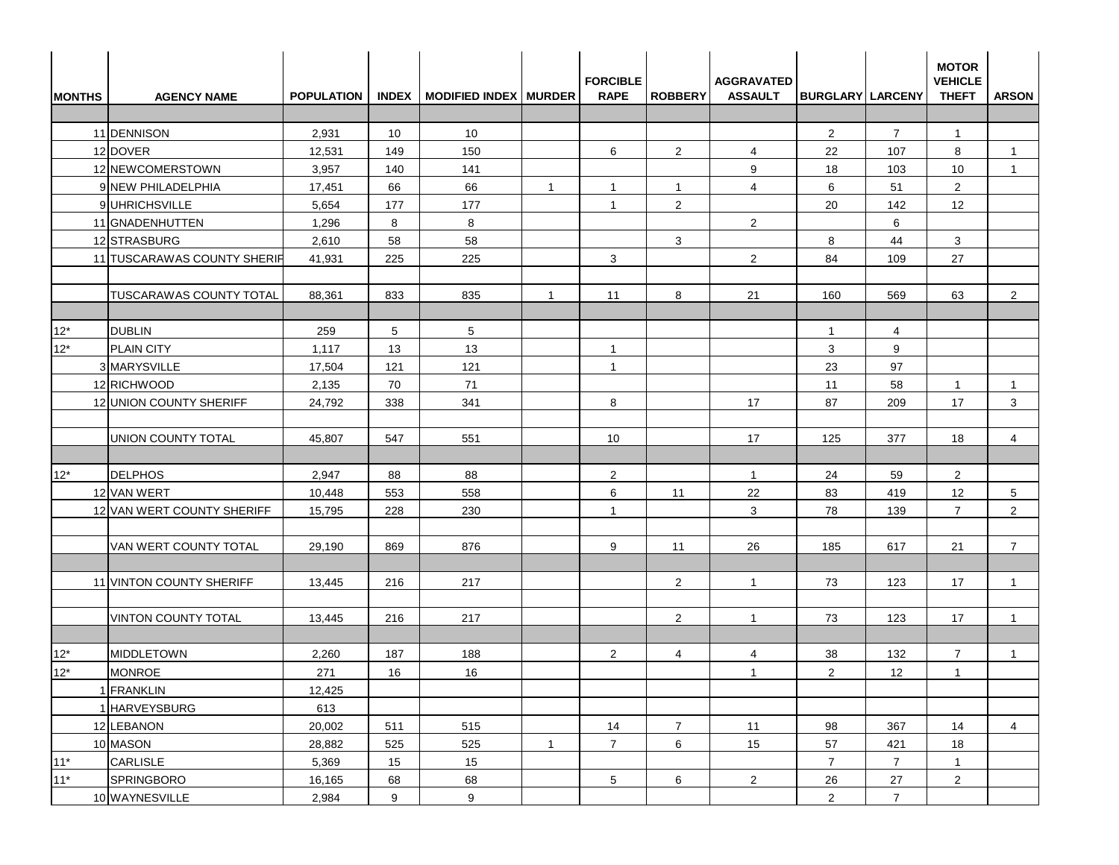| <b>MONTHS</b> | <b>AGENCY NAME</b>             | <b>POPULATION</b> |                 | INDEX   MODIFIED INDEX   MURDER |              | <b>FORCIBLE</b><br><b>RAPE</b> | <b>ROBBERY</b> | <b>AGGRAVATED</b><br><b>ASSAULT</b> | <b>BURGLARY LARCENY</b> |                | <b>MOTOR</b><br><b>VEHICLE</b><br><b>THEFT</b> | <b>ARSON</b>    |
|---------------|--------------------------------|-------------------|-----------------|---------------------------------|--------------|--------------------------------|----------------|-------------------------------------|-------------------------|----------------|------------------------------------------------|-----------------|
|               |                                |                   |                 |                                 |              |                                |                |                                     |                         |                |                                                |                 |
|               | 11 DENNISON                    | 2,931             | 10              | 10                              |              |                                |                |                                     | $\overline{2}$          | $\overline{7}$ | $\mathbf{1}$                                   |                 |
|               | 12 DOVER                       | 12,531            | 149             | 150                             |              | 6                              | $\overline{2}$ | 4                                   | 22                      | 107            | 8                                              | -1              |
|               | 12 NEWCOMERSTOWN               | 3,957             | 140             | 141                             |              |                                |                | 9                                   | 18                      | 103            | 10                                             | $\mathbf{1}$    |
|               | 9 NEW PHILADELPHIA             | 17,451            | 66              | 66                              | $\mathbf{1}$ | $\mathbf{1}$                   | $\mathbf{1}$   | $\overline{4}$                      | 6                       | 51             | $\overline{2}$                                 |                 |
|               | 9 UHRICHSVILLE                 | 5,654             | 177             | 177                             |              | $\mathbf{1}$                   | $\overline{2}$ |                                     | 20                      | 142            | 12                                             |                 |
|               | 11 GNADENHUTTEN                | 1,296             | 8               | 8                               |              |                                |                | $\overline{2}$                      |                         | 6              |                                                |                 |
|               | 12 STRASBURG                   | 2,610             | 58              | 58                              |              |                                | 3              |                                     | 8                       | 44             | 3                                              |                 |
|               | 11 TUSCARAWAS COUNTY SHERIF    | 41,931            | 225             | 225                             |              | 3                              |                | 2                                   | 84                      | 109            | 27                                             |                 |
|               |                                |                   |                 |                                 |              |                                |                |                                     |                         |                |                                                |                 |
|               | <b>TUSCARAWAS COUNTY TOTAL</b> | 88,361            | 833             | 835                             | -1           | 11                             | 8              | 21                                  | 160                     | 569            | 63                                             | $\overline{2}$  |
|               |                                |                   |                 |                                 |              |                                |                |                                     |                         |                |                                                |                 |
| $12*$         | <b>DUBLIN</b>                  | 259               | $5\overline{)}$ | 5                               |              |                                |                |                                     | $\mathbf{1}$            | 4              |                                                |                 |
| $12*$         | <b>PLAIN CITY</b>              | 1,117             | 13              | 13                              |              | $\mathbf{1}$                   |                |                                     | 3                       | 9              |                                                |                 |
|               | 3 MARYSVILLE                   | 17,504            | 121             | 121                             |              | $\mathbf{1}$                   |                |                                     | 23                      | 97             |                                                |                 |
|               | 12 RICHWOOD                    | 2,135             | 70              | 71                              |              |                                |                |                                     | 11                      | 58             | $\mathbf{1}$                                   | $\mathbf{1}$    |
|               | 12 UNION COUNTY SHERIFF        | 24,792            | 338             | 341                             |              | 8                              |                | 17                                  | 87                      | 209            | 17                                             | 3               |
|               |                                |                   |                 |                                 |              |                                |                |                                     |                         |                |                                                |                 |
|               | UNION COUNTY TOTAL             | 45,807            | 547             | 551                             |              | 10                             |                | 17                                  | 125                     | 377            | 18                                             | $\overline{4}$  |
|               |                                |                   |                 |                                 |              |                                |                |                                     |                         |                |                                                |                 |
| $12^*$        | <b>DELPHOS</b>                 | 2,947             | 88              | 88                              |              | $\overline{2}$                 |                | $\mathbf{1}$                        | 24                      | 59             | $\overline{2}$                                 |                 |
|               | 12 VAN WERT                    | 10,448            | 553             | 558                             |              | 6                              | 11             | 22                                  | 83                      | 419            | 12                                             | $5\overline{)}$ |
|               | 12 VAN WERT COUNTY SHERIFF     | 15,795            | 228             | 230                             |              | $\mathbf{1}$                   |                | 3                                   | 78                      | 139            | $\overline{7}$                                 | $\overline{2}$  |
|               |                                |                   |                 |                                 |              |                                |                |                                     |                         |                |                                                |                 |
|               | VAN WERT COUNTY TOTAL          | 29,190            | 869             | 876                             |              | 9                              | 11             | 26                                  | 185                     | 617            | 21                                             | $\overline{7}$  |
|               |                                |                   |                 |                                 |              |                                |                |                                     |                         |                |                                                |                 |
|               | 11 VINTON COUNTY SHERIFF       | 13,445            | 216             | 217                             |              |                                | $\overline{2}$ | $\mathbf{1}$                        | 73                      | 123            | 17                                             | $\overline{1}$  |
|               |                                |                   |                 |                                 |              |                                |                |                                     |                         |                |                                                |                 |
|               | <b>VINTON COUNTY TOTAL</b>     | 13,445            | 216             | 217                             |              |                                | $\overline{2}$ | $\mathbf{1}$                        | 73                      | 123            | 17                                             | $\mathbf{1}$    |
|               |                                |                   |                 |                                 |              |                                |                |                                     |                         |                |                                                |                 |
| $12^*$        | MIDDLETOWN                     | 2,260             | 187             | 188                             |              | $\overline{2}$                 | $\overline{4}$ | 4                                   | 38                      | 132            | $\overline{7}$                                 | $\mathbf{1}$    |
| $12*$         | <b>MONROE</b>                  | 271               | 16              | $16\,$                          |              |                                |                | $\mathbf{1}$                        | $\sqrt{2}$              | 12             | $\mathbf{1}$                                   |                 |
|               | 1 FRANKLIN                     | 12,425            |                 |                                 |              |                                |                |                                     |                         |                |                                                |                 |
|               | 1 HARVEYSBURG                  | 613               |                 |                                 |              |                                |                |                                     |                         |                |                                                |                 |
|               | 12 LEBANON                     | 20,002            | 511             | 515                             |              | 14                             | $\overline{7}$ | 11                                  | 98                      | 367            | 14                                             | 4               |
|               | 10 MASON                       | 28,882            | 525             | 525                             | $\mathbf{1}$ | $\overline{7}$                 | 6              | 15                                  | 57                      | 421            | 18                                             |                 |
| $11*$         | CARLISLE                       | 5,369             | 15              | 15                              |              |                                |                |                                     | $\overline{7}$          | $\overline{7}$ | $\mathbf{1}$                                   |                 |
| $11*$         | SPRINGBORO                     | 16,165            | 68              | 68                              |              | 5 <sup>5</sup>                 | 6              | $\overline{2}$                      | 26                      | 27             | $2\overline{ }$                                |                 |
|               | 10 WAYNESVILLE                 | 2,984             | 9               | 9                               |              |                                |                |                                     | $\overline{2}$          | $\overline{7}$ |                                                |                 |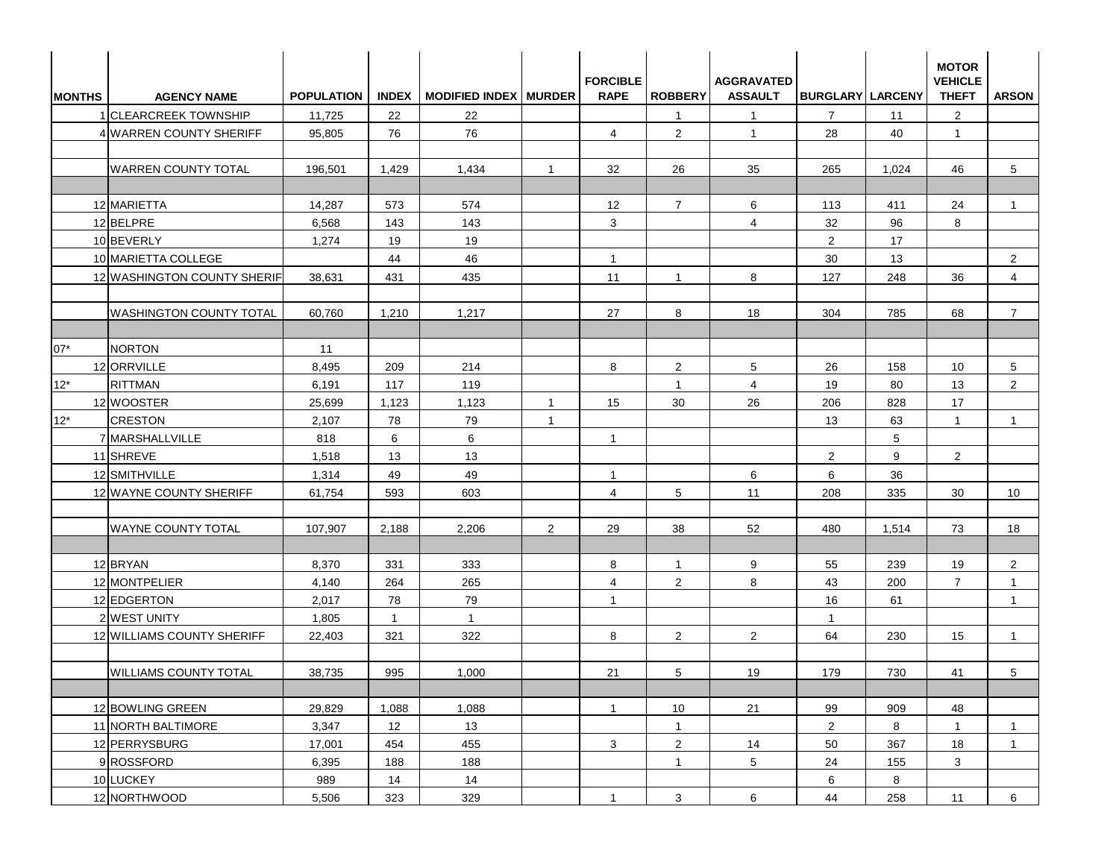| <b>MONTHS</b> | <b>AGENCY NAME</b>             | <b>POPULATION</b> |                | INDEX   MODIFIED INDEX   MURDER |                | <b>FORCIBLE</b><br><b>RAPE</b> | <b>ROBBERY</b> | <b>AGGRAVATED</b><br><b>ASSAULT</b> | <b>BURGLARY LARCENY</b> |       | <b>MOTOR</b><br><b>VEHICLE</b><br><b>THEFT</b> | <b>ARSON</b>   |
|---------------|--------------------------------|-------------------|----------------|---------------------------------|----------------|--------------------------------|----------------|-------------------------------------|-------------------------|-------|------------------------------------------------|----------------|
|               | 1 CLEARCREEK TOWNSHIP          | 11,725            | 22             | 22                              |                |                                | $\mathbf{1}$   | $\mathbf{1}$                        | $\overline{7}$          | 11    | 2                                              |                |
|               | 4 WARREN COUNTY SHERIFF        | 95,805            | 76             | 76                              |                | $\overline{4}$                 | $\overline{2}$ | $\overline{1}$                      | 28                      | 40    | $\mathbf{1}$                                   |                |
|               | <b>WARREN COUNTY TOTAL</b>     | 196,501           | 1,429          | 1,434                           | $\overline{1}$ | 32                             | 26             | 35                                  | 265                     | 1,024 | 46                                             | 5              |
|               | 12 MARIETTA                    | 14,287            | 573            | 574                             |                | 12                             | $\overline{7}$ | 6                                   | 113                     | 411   | 24                                             | $\mathbf{1}$   |
|               | 12 BELPRE                      | 6,568             | 143            | 143                             |                | 3                              |                | $\overline{4}$                      | 32                      | 96    | 8                                              |                |
|               | 10 BEVERLY                     | 1,274             | 19             | 19                              |                |                                |                |                                     | $\overline{2}$          | 17    |                                                |                |
|               | 10 MARIETTA COLLEGE            |                   | 44             | 46                              |                | $\mathbf{1}$                   |                |                                     | 30                      | 13    |                                                | $\overline{2}$ |
|               | 12 WASHINGTON COUNTY SHERIF    | 38,631            | 431            | 435                             |                | 11                             | $\mathbf{1}$   | 8                                   | 127                     | 248   | 36                                             | 4              |
|               | <b>WASHINGTON COUNTY TOTAL</b> | 60,760            | 1,210          | 1,217                           |                | 27                             | 8              | 18                                  | 304                     | 785   | 68                                             | $\overline{7}$ |
| $07*$         | <b>NORTON</b>                  | 11                |                |                                 |                |                                |                |                                     |                         |       |                                                |                |
|               | 12 ORRVILLE                    | 8,495             | 209            | 214                             |                | 8                              | $\overline{2}$ | 5                                   | 26                      | 158   | 10                                             | 5              |
| $12*$         | <b>RITTMAN</b>                 | 6,191             | 117            | 119                             |                |                                | $\mathbf{1}$   | $\overline{4}$                      | 19                      | 80    | 13                                             | $\overline{2}$ |
|               | 12 WOOSTER                     | 25,699            | 1,123          | 1,123                           | $\overline{1}$ | 15                             | 30             | 26                                  | 206                     | 828   | 17                                             |                |
| $12*$         | <b>CRESTON</b>                 | 2,107             | 78             | 79                              | $\overline{1}$ |                                |                |                                     | 13                      | 63    | $\mathbf{1}$                                   | $\overline{1}$ |
|               | 7 MARSHALLVILLE                | 818               | 6              | 6                               |                | $\mathbf{1}$                   |                |                                     |                         | 5     |                                                |                |
|               | 11 SHREVE                      | 1,518             | 13             | 13                              |                |                                |                |                                     | 2                       | 9     | $\overline{2}$                                 |                |
|               | 12 SMITHVILLE                  | 1,314             | 49             | 49                              |                | $\mathbf{1}$                   |                | 6                                   | 6                       | 36    |                                                |                |
|               | 12 WAYNE COUNTY SHERIFF        | 61,754            | 593            | 603                             |                | $\overline{4}$                 | 5 <sup>5</sup> | 11                                  | 208                     | 335   | 30                                             | 10             |
|               | <b>WAYNE COUNTY TOTAL</b>      | 107,907           | 2,188          | 2,206                           | $\overline{2}$ | 29                             | 38             | 52                                  | 480                     | 1,514 | 73                                             | 18             |
|               | 12 BRYAN                       | 8,370             | 331            | 333                             |                | 8                              | $\mathbf{1}$   | 9                                   | 55                      | 239   | 19                                             | $\overline{2}$ |
|               | 12 MONTPELIER                  | 4,140             | 264            | 265                             |                | $\overline{4}$                 | $\overline{2}$ | 8                                   | 43                      | 200   | $\overline{7}$                                 | $\mathbf 1$    |
|               | 12 EDGERTON                    | 2,017             | 78             | 79                              |                | $\mathbf{1}$                   |                |                                     | 16                      | 61    |                                                | $\mathbf 1$    |
|               | 2 WEST UNITY                   | 1,805             | $\overline{1}$ | $\mathbf{1}$                    |                |                                |                |                                     | $\mathbf{1}$            |       |                                                |                |
|               | 12 WILLIAMS COUNTY SHERIFF     | 22,403            | 321            | 322                             |                | 8                              | $\overline{2}$ | $\overline{2}$                      | 64                      | 230   | 15                                             | $\mathbf{1}$   |
|               | <b>WILLIAMS COUNTY TOTAL</b>   | 38,735            | 995            | 1,000                           |                | 21                             | 5 <sub>5</sub> | 19                                  | 179                     | 730   | 41                                             | 5              |
|               | 12 BOWLING GREEN               | 29,829            | 1,088          | 1,088                           |                | $\mathbf{1}$                   | 10             | 21                                  | 99                      | 909   | 48                                             |                |
|               | 11 NORTH BALTIMORE             | 3,347             | 12             | 13                              |                |                                | $\mathbf{1}$   |                                     | $\overline{2}$          | 8     | $\mathbf{1}$                                   | $\mathbf{1}$   |
|               | 12 PERRYSBURG                  | 17,001            | 454            | 455                             |                | 3                              | $\overline{2}$ | 14                                  | 50                      | 367   | 18                                             | $\mathbf{1}$   |
|               | 9 ROSSFORD                     | 6,395             | 188            | 188                             |                |                                | $\mathbf{1}$   | $5\overline{)}$                     | 24                      | 155   | 3 <sup>1</sup>                                 |                |
|               | 10 LUCKEY                      | 989               | 14             | 14                              |                |                                |                |                                     | 6                       | 8     |                                                |                |
|               | 12 NORTHWOOD                   | 5,506             | 323            | 329                             |                | $\mathbf{1}$                   | $\mathbf{3}$   | 6                                   | 44                      | 258   | 11                                             | 6              |